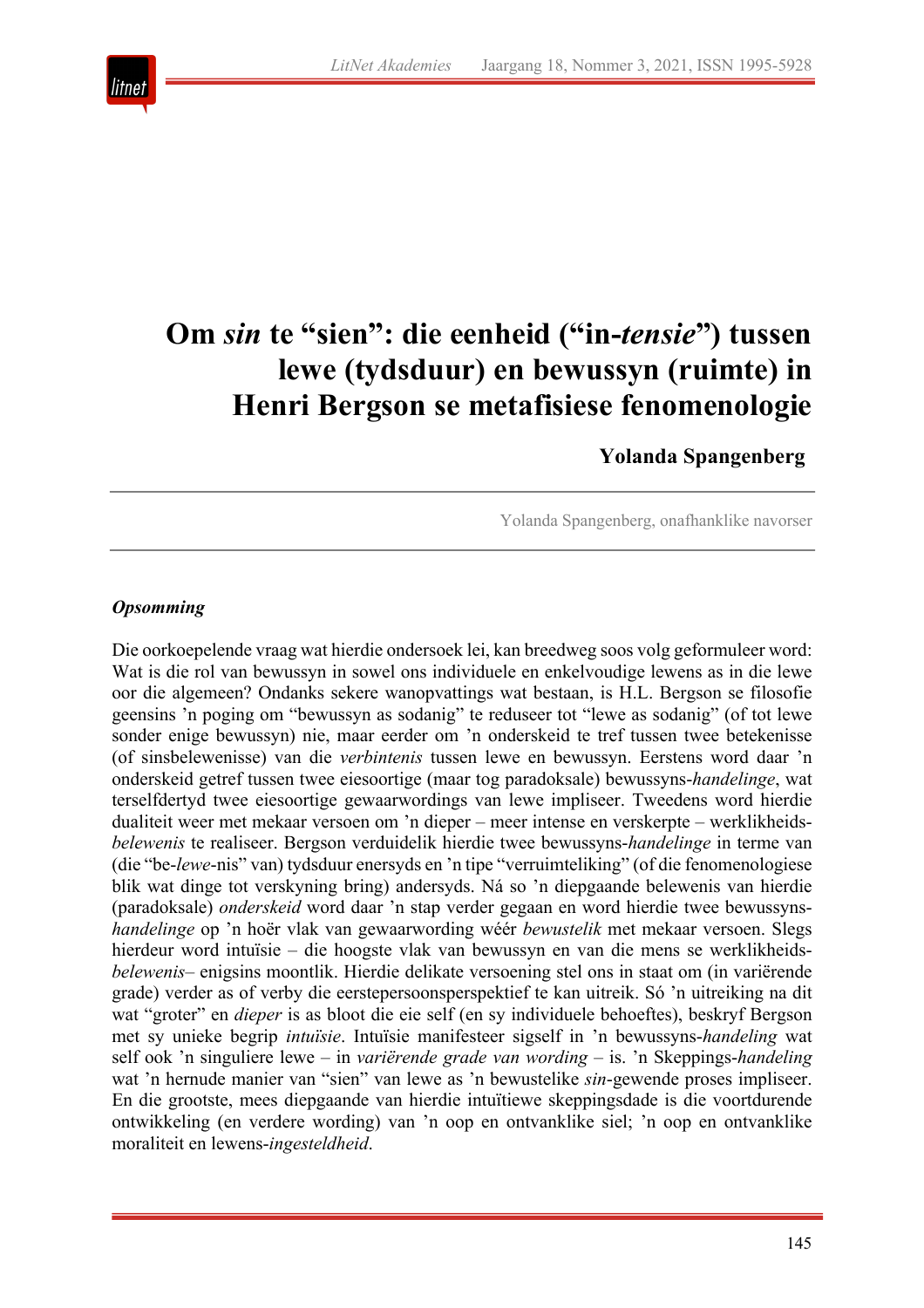

# **Om** *sin* **te "sien": die eenheid ("in-***tensie***") tussen lewe (tydsduur) en bewussyn (ruimte) in Henri Bergson se metafisiese fenomenologie**

# **Yolanda Spangenberg**

Yolanda Spangenberg, onafhanklike navorser

## *Opsomming*

Die oorkoepelende vraag wat hierdie ondersoek lei, kan breedweg soos volg geformuleer word: Wat is die rol van bewussyn in sowel ons individuele en enkelvoudige lewens as in die lewe oor die algemeen? Ondanks sekere wanopvattings wat bestaan, is H.L. Bergson se filosofie geensins 'n poging om "bewussyn as sodanig" te reduseer tot "lewe as sodanig" (of tot lewe sonder enige bewussyn) nie, maar eerder om 'n onderskeid te tref tussen twee betekenisse (of sinsbelewenisse) van die *verbintenis* tussen lewe en bewussyn. Eerstens word daar 'n onderskeid getref tussen twee eiesoortige (maar tog paradoksale) bewussyns-*handelinge*, wat terselfdertyd twee eiesoortige gewaarwordings van lewe impliseer. Tweedens word hierdie dualiteit weer met mekaar versoen om 'n dieper – meer intense en verskerpte – werklikheids*belewenis* te realiseer. Bergson verduidelik hierdie twee bewussyns-*handelinge* in terme van (die "be-*lewe*-nis" van) tydsduur enersyds en 'n tipe "verruimteliking" (of die fenomenologiese blik wat dinge tot verskyning bring) andersyds. Ná so 'n diepgaande belewenis van hierdie (paradoksale) *onderskeid* word daar 'n stap verder gegaan en word hierdie twee bewussyns*handelinge* op 'n hoër vlak van gewaarwording wéér *bewustelik* met mekaar versoen. Slegs hierdeur word intuïsie – die hoogste vlak van bewussyn en van die mens se werklikheids*belewenis*– enigsins moontlik. Hierdie delikate versoening stel ons in staat om (in variërende grade) verder as of verby die eerstepersoonsperspektief te kan uitreik. Só 'n uitreiking na dit wat "groter" en *dieper* is as bloot die eie self (en sy individuele behoeftes), beskryf Bergson met sy unieke begrip *intuïsie*. Intuïsie manifesteer sigself in 'n bewussyns-*handeling* wat self ook 'n singuliere lewe – in *variërende grade van wording* – is. 'n Skeppings-*handeling* wat 'n hernude manier van "sien" van lewe as 'n bewustelike *sin*-gewende proses impliseer. En die grootste, mees diepgaande van hierdie intuïtiewe skeppingsdade is die voortdurende ontwikkeling (en verdere wording) van 'n oop en ontvanklike siel; 'n oop en ontvanklike moraliteit en lewens-*ingesteldheid*.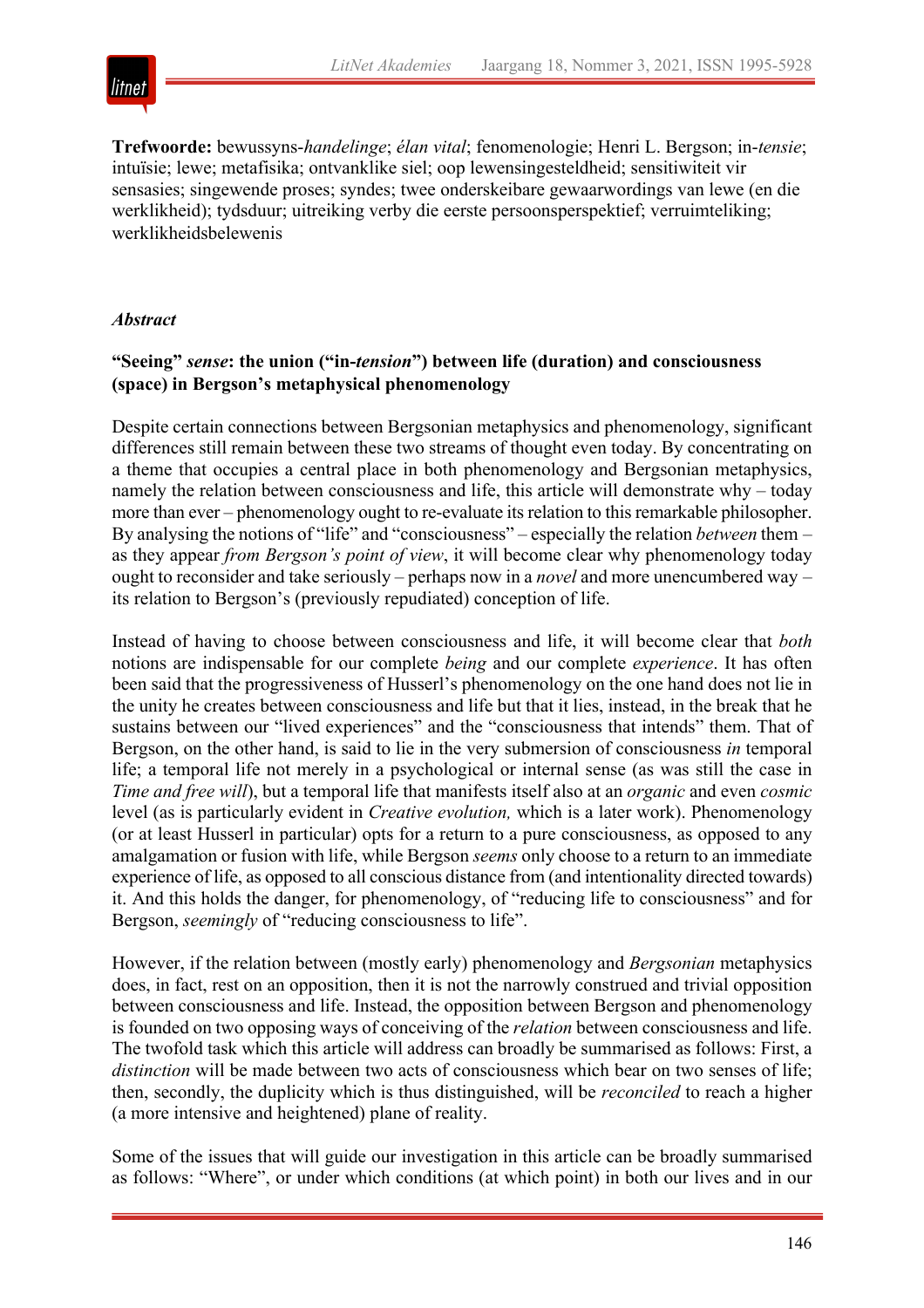

**Trefwoorde:** bewussyns-*handelinge*; *élan vital*; fenomenologie; Henri L. Bergson; in-*tensie*; intuïsie; lewe; metafisika; ontvanklike siel; oop lewensingesteldheid; sensitiwiteit vir sensasies; singewende proses; syndes; twee onderskeibare gewaarwordings van lewe (en die werklikheid); tydsduur; uitreiking verby die eerste persoonsperspektief; verruimteliking; werklikheidsbelewenis

### *Abstract*

#### **"Seeing"** *sense***: the union ("in-***tension***") between life (duration) and consciousness (space) in Bergson's metaphysical phenomenology**

Despite certain connections between Bergsonian metaphysics and phenomenology, significant differences still remain between these two streams of thought even today. By concentrating on a theme that occupies a central place in both phenomenology and Bergsonian metaphysics, namely the relation between consciousness and life, this article will demonstrate why – today more than ever – phenomenology ought to re-evaluate its relation to this remarkable philosopher. By analysing the notions of "life" and "consciousness" – especially the relation *between* them – as they appear *from Bergson's point of view*, it will become clear why phenomenology today ought to reconsider and take seriously – perhaps now in a *novel* and more unencumbered way – its relation to Bergson's (previously repudiated) conception of life.

Instead of having to choose between consciousness and life, it will become clear that *both* notions are indispensable for our complete *being* and our complete *experience*. It has often been said that the progressiveness of Husserl's phenomenology on the one hand does not lie in the unity he creates between consciousness and life but that it lies, instead, in the break that he sustains between our "lived experiences" and the "consciousness that intends" them. That of Bergson, on the other hand, is said to lie in the very submersion of consciousness *in* temporal life; a temporal life not merely in a psychological or internal sense (as was still the case in *Time and free will*), but a temporal life that manifests itself also at an *organic* and even *cosmic* level (as is particularly evident in *Creative evolution,* which is a later work). Phenomenology (or at least Husserl in particular) opts for a return to a pure consciousness, as opposed to any amalgamation or fusion with life, while Bergson *seems* only choose to a return to an immediate experience of life, as opposed to all conscious distance from (and intentionality directed towards) it. And this holds the danger, for phenomenology, of "reducing life to consciousness" and for Bergson, *seemingly* of "reducing consciousness to life".

However, if the relation between (mostly early) phenomenology and *Bergsonian* metaphysics does, in fact, rest on an opposition, then it is not the narrowly construed and trivial opposition between consciousness and life. Instead, the opposition between Bergson and phenomenology is founded on two opposing ways of conceiving of the *relation* between consciousness and life. The twofold task which this article will address can broadly be summarised as follows: First, a *distinction* will be made between two acts of consciousness which bear on two senses of life; then, secondly, the duplicity which is thus distinguished, will be *reconciled* to reach a higher (a more intensive and heightened) plane of reality.

Some of the issues that will guide our investigation in this article can be broadly summarised as follows: "Where", or under which conditions (at which point) in both our lives and in our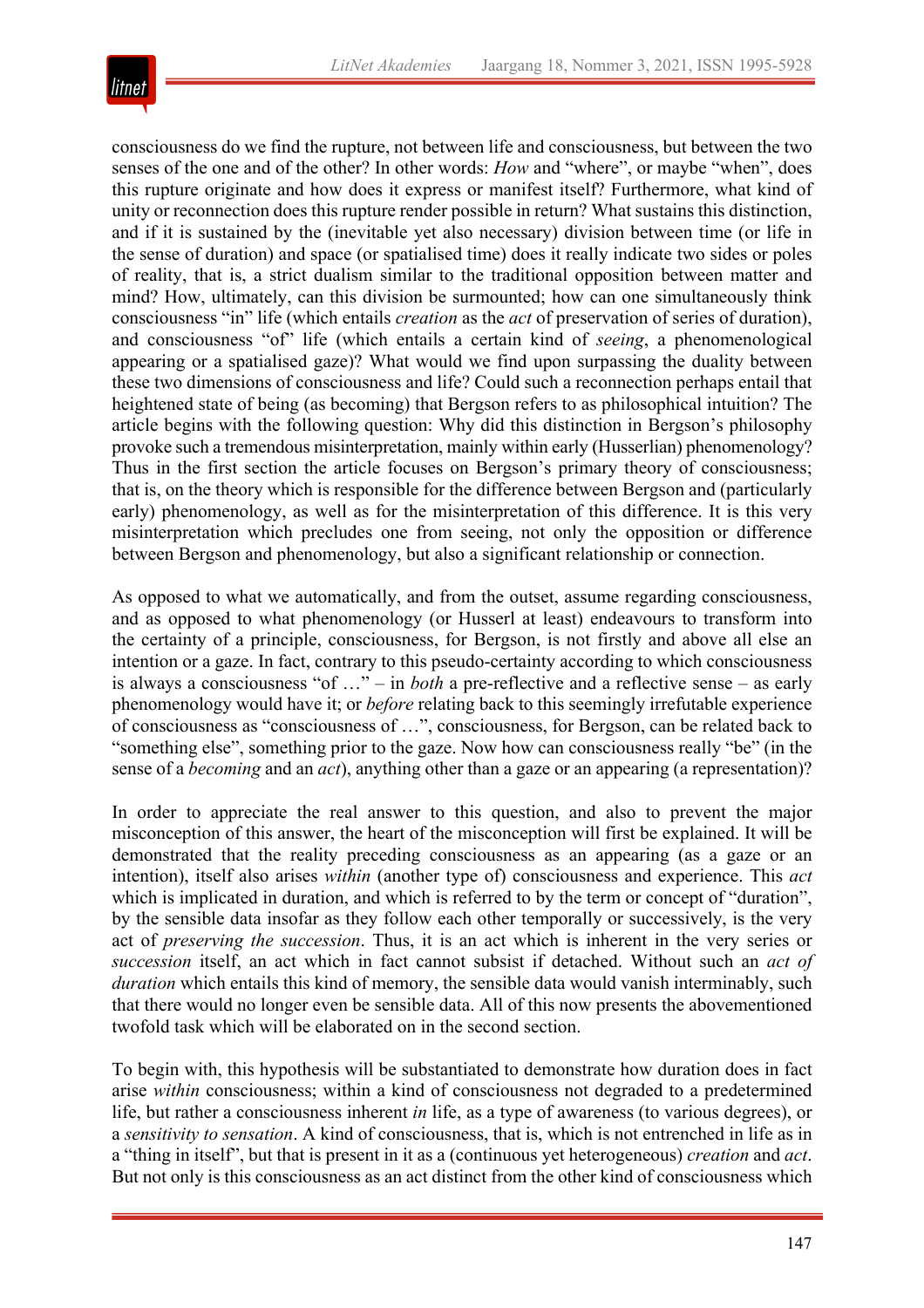

consciousness do we find the rupture, not between life and consciousness, but between the two senses of the one and of the other? In other words: *How* and "where", or maybe "when", does this rupture originate and how does it express or manifest itself? Furthermore, what kind of unity or reconnection does this rupture render possible in return? What sustains this distinction, and if it is sustained by the (inevitable yet also necessary) division between time (or life in the sense of duration) and space (or spatialised time) does it really indicate two sides or poles of reality, that is, a strict dualism similar to the traditional opposition between matter and mind? How, ultimately, can this division be surmounted; how can one simultaneously think consciousness "in" life (which entails *creation* as the *act* of preservation of series of duration), and consciousness "of" life (which entails a certain kind of *seeing*, a phenomenological appearing or a spatialised gaze)? What would we find upon surpassing the duality between these two dimensions of consciousness and life? Could such a reconnection perhaps entail that heightened state of being (as becoming) that Bergson refers to as philosophical intuition? The article begins with the following question: Why did this distinction in Bergson's philosophy provoke such a tremendous misinterpretation, mainly within early (Husserlian) phenomenology? Thus in the first section the article focuses on Bergson's primary theory of consciousness; that is, on the theory which is responsible for the difference between Bergson and (particularly early) phenomenology, as well as for the misinterpretation of this difference. It is this very misinterpretation which precludes one from seeing, not only the opposition or difference between Bergson and phenomenology, but also a significant relationship or connection.

As opposed to what we automatically, and from the outset, assume regarding consciousness, and as opposed to what phenomenology (or Husserl at least) endeavours to transform into the certainty of a principle, consciousness, for Bergson, is not firstly and above all else an intention or a gaze. In fact, contrary to this pseudo-certainty according to which consciousness is always a consciousness "of …" – in *both* a pre-reflective and a reflective sense – as early phenomenology would have it; or *before* relating back to this seemingly irrefutable experience of consciousness as "consciousness of …", consciousness, for Bergson, can be related back to "something else", something prior to the gaze. Now how can consciousness really "be" (in the sense of a *becoming* and an *act*), anything other than a gaze or an appearing (a representation)?

In order to appreciate the real answer to this question, and also to prevent the major misconception of this answer, the heart of the misconception will first be explained. It will be demonstrated that the reality preceding consciousness as an appearing (as a gaze or an intention), itself also arises *within* (another type of) consciousness and experience. This *act* which is implicated in duration, and which is referred to by the term or concept of "duration", by the sensible data insofar as they follow each other temporally or successively, is the very act of *preserving the succession*. Thus, it is an act which is inherent in the very series or *succession* itself, an act which in fact cannot subsist if detached. Without such an *act of duration* which entails this kind of memory, the sensible data would vanish interminably, such that there would no longer even be sensible data. All of this now presents the abovementioned twofold task which will be elaborated on in the second section.

To begin with, this hypothesis will be substantiated to demonstrate how duration does in fact arise *within* consciousness; within a kind of consciousness not degraded to a predetermined life, but rather a consciousness inherent *in* life, as a type of awareness (to various degrees), or a *sensitivity to sensation*. A kind of consciousness, that is, which is not entrenched in life as in a "thing in itself", but that is present in it as a (continuous yet heterogeneous) *creation* and *act*. But not only is this consciousness as an act distinct from the other kind of consciousness which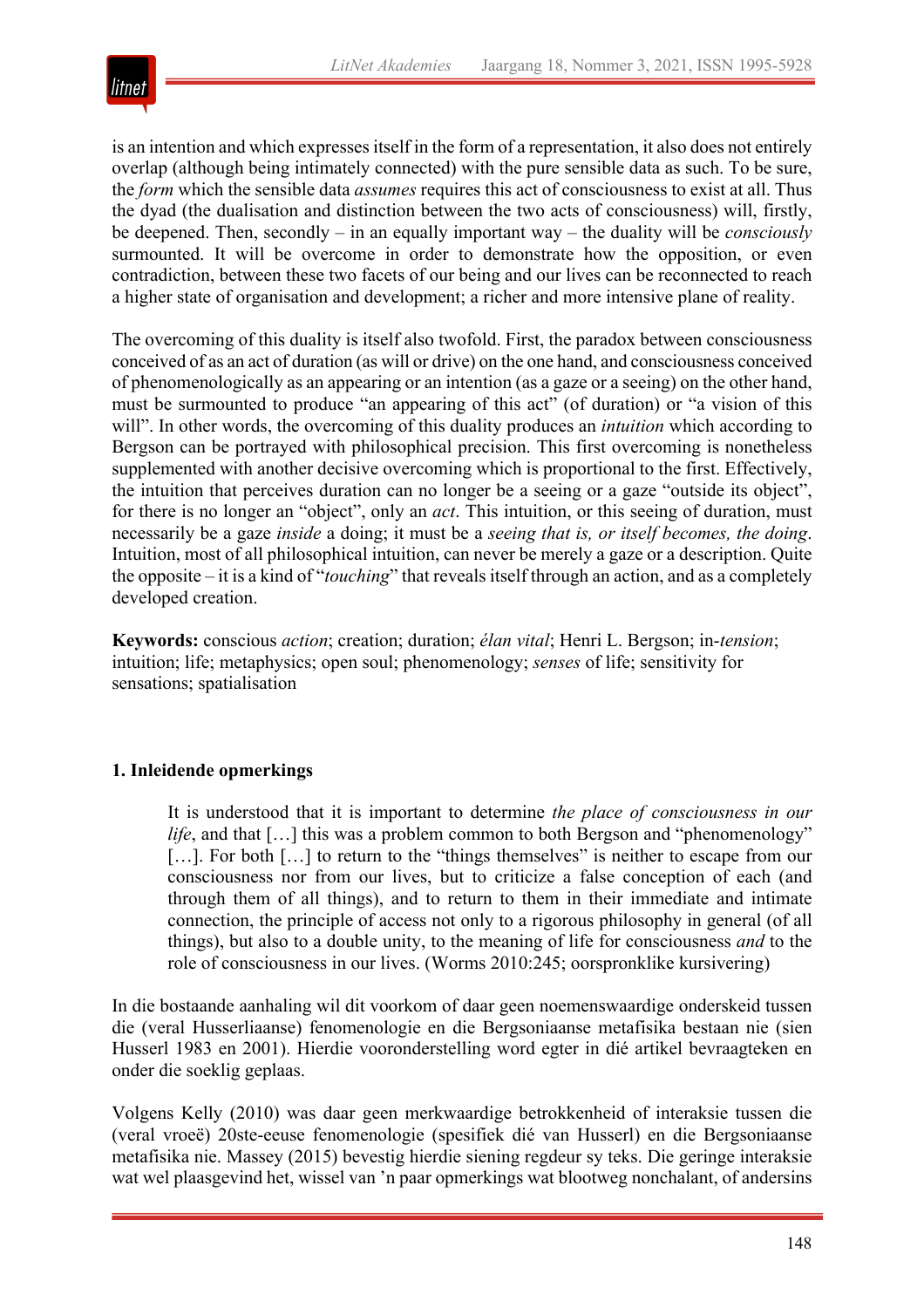

is an intention and which expresses itself in the form of a representation, it also does not entirely overlap (although being intimately connected) with the pure sensible data as such. To be sure, the *form* which the sensible data *assumes* requires this act of consciousness to exist at all. Thus the dyad (the dualisation and distinction between the two acts of consciousness) will, firstly, be deepened. Then, secondly – in an equally important way – the duality will be *consciously* surmounted. It will be overcome in order to demonstrate how the opposition, or even contradiction, between these two facets of our being and our lives can be reconnected to reach a higher state of organisation and development; a richer and more intensive plane of reality.

The overcoming of this duality is itself also twofold. First, the paradox between consciousness conceived of as an act of duration (as will or drive) on the one hand, and consciousness conceived of phenomenologically as an appearing or an intention (as a gaze or a seeing) on the other hand, must be surmounted to produce "an appearing of this act" (of duration) or "a vision of this will". In other words, the overcoming of this duality produces an *intuition* which according to Bergson can be portrayed with philosophical precision. This first overcoming is nonetheless supplemented with another decisive overcoming which is proportional to the first. Effectively, the intuition that perceives duration can no longer be a seeing or a gaze "outside its object", for there is no longer an "object", only an *act*. This intuition, or this seeing of duration, must necessarily be a gaze *inside* a doing; it must be a *seeing that is, or itself becomes, the doing*. Intuition, most of all philosophical intuition, can never be merely a gaze or a description. Quite the opposite – it is a kind of "*touching*" that reveals itself through an action, and as a completely developed creation.

**Keywords:** conscious *action*; creation; duration; *élan vital*; Henri L. Bergson; in-*tension*; intuition; life; metaphysics; open soul; phenomenology; *senses* of life; sensitivity for sensations; spatialisation

### **1. Inleidende opmerkings**

It is understood that it is important to determine *the place of consciousness in our life*, and that [...] this was a problem common to both Bergson and "phenomenology" [...]. For both [...] to return to the "things themselves" is neither to escape from our consciousness nor from our lives, but to criticize a false conception of each (and through them of all things), and to return to them in their immediate and intimate connection, the principle of access not only to a rigorous philosophy in general (of all things), but also to a double unity, to the meaning of life for consciousness *and* to the role of consciousness in our lives. (Worms 2010:245; oorspronklike kursivering)

In die bostaande aanhaling wil dit voorkom of daar geen noemenswaardige onderskeid tussen die (veral Husserliaanse) fenomenologie en die Bergsoniaanse metafisika bestaan nie (sien Husserl 1983 en 2001). Hierdie vooronderstelling word egter in dié artikel bevraagteken en onder die soeklig geplaas.

Volgens Kelly (2010) was daar geen merkwaardige betrokkenheid of interaksie tussen die (veral vroeë) 20ste-eeuse fenomenologie (spesifiek dié van Husserl) en die Bergsoniaanse metafisika nie. Massey (2015) bevestig hierdie siening regdeur sy teks. Die geringe interaksie wat wel plaasgevind het, wissel van 'n paar opmerkings wat blootweg nonchalant, of andersins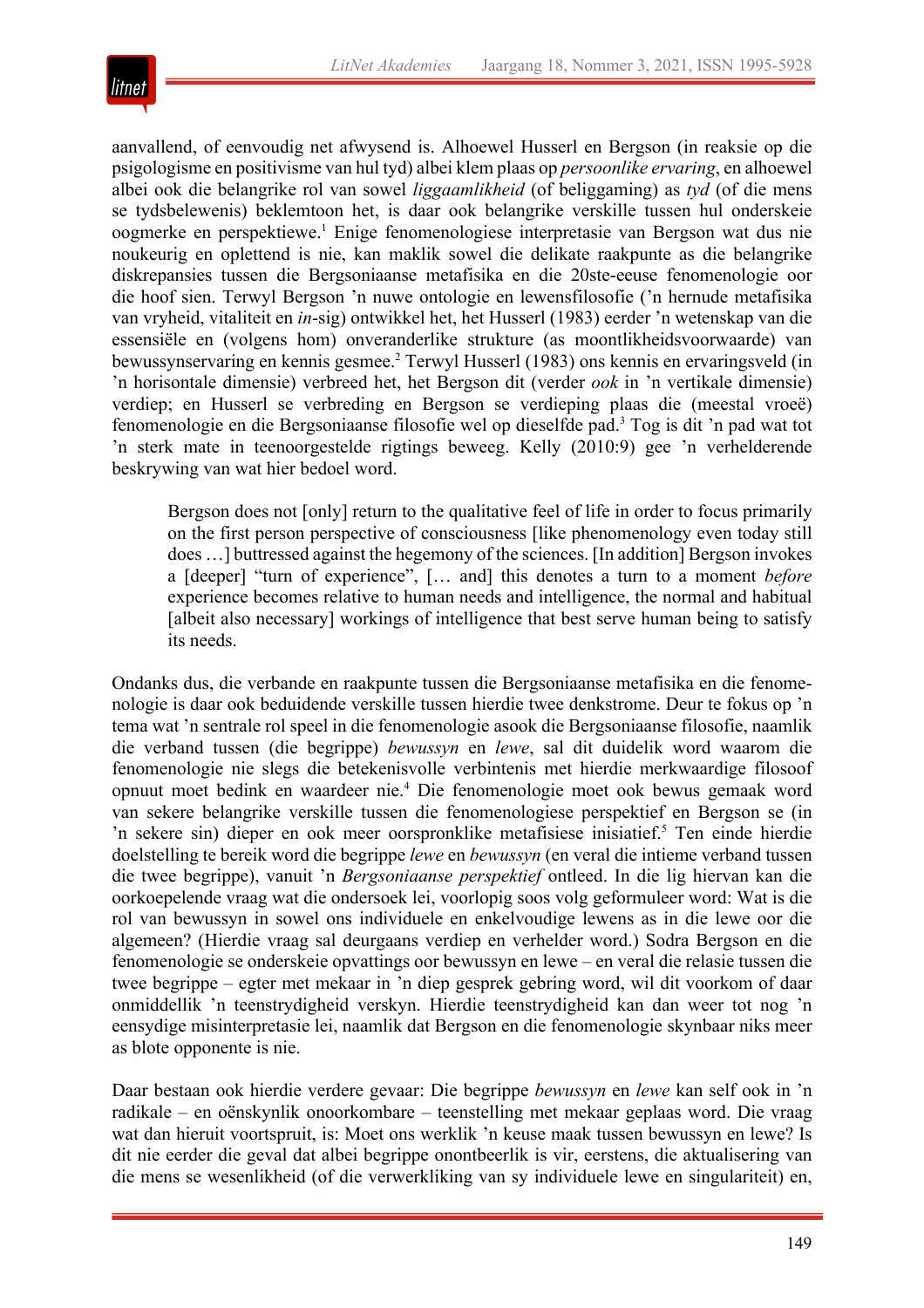

aanvallend, of eenvoudig net afwysend is. Alhoewel Husserl en Bergson (in reaksie op die psigologisme en positivisme van hul tyd) albei klem plaas op *persoonlike ervaring*, en alhoewel albei ook die belangrike rol van sowel *liggaamlikheid* (of beliggaming) as *tyd* (of die mens se tydsbelewenis) beklemtoon het, is daar ook belangrike verskille tussen hul onderskeie oogmerke en perspektiewe.1 Enige fenomenologiese interpretasie van Bergson wat dus nie noukeurig en oplettend is nie, kan maklik sowel die delikate raakpunte as die belangrike diskrepansies tussen die Bergsoniaanse metafisika en die 20ste-eeuse fenomenologie oor die hoof sien. Terwyl Bergson 'n nuwe ontologie en lewensfilosofie ('n hernude metafisika van vryheid, vitaliteit en *in*-sig) ontwikkel het, het Husserl (1983) eerder 'n wetenskap van die essensiële en (volgens hom) onveranderlike strukture (as moontlikheidsvoorwaarde) van bewussynservaring en kennis gesmee.2 Terwyl Husserl (1983) ons kennis en ervaringsveld (in 'n horisontale dimensie) verbreed het, het Bergson dit (verder *ook* in 'n vertikale dimensie) verdiep; en Husserl se verbreding en Bergson se verdieping plaas die (meestal vroeë) fenomenologie en die Bergsoniaanse filosofie wel op dieselfde pad.3 Tog is dit 'n pad wat tot 'n sterk mate in teenoorgestelde rigtings beweeg. Kelly (2010:9) gee 'n verhelderende beskrywing van wat hier bedoel word.

Bergson does not [only] return to the qualitative feel of life in order to focus primarily on the first person perspective of consciousness [like phenomenology even today still does …] buttressed against the hegemony of the sciences. [In addition] Bergson invokes a [deeper] "turn of experience", [… and] this denotes a turn to a moment *before* experience becomes relative to human needs and intelligence, the normal and habitual [albeit also necessary] workings of intelligence that best serve human being to satisfy its needs.

Ondanks dus, die verbande en raakpunte tussen die Bergsoniaanse metafisika en die fenomenologie is daar ook beduidende verskille tussen hierdie twee denkstrome. Deur te fokus op 'n tema wat 'n sentrale rol speel in die fenomenologie asook die Bergsoniaanse filosofie, naamlik die verband tussen (die begrippe) *bewussyn* en *lewe*, sal dit duidelik word waarom die fenomenologie nie slegs die betekenisvolle verbintenis met hierdie merkwaardige filosoof opnuut moet bedink en waardeer nie.4 Die fenomenologie moet ook bewus gemaak word van sekere belangrike verskille tussen die fenomenologiese perspektief en Bergson se (in 'n sekere sin) dieper en ook meer oorspronklike metafisiese inisiatief.<sup>5</sup> Ten einde hierdie doelstelling te bereik word die begrippe *lewe* en *bewussyn* (en veral die intieme verband tussen die twee begrippe), vanuit 'n *Bergsoniaanse perspektief* ontleed. In die lig hiervan kan die oorkoepelende vraag wat die ondersoek lei, voorlopig soos volg geformuleer word: Wat is die rol van bewussyn in sowel ons individuele en enkelvoudige lewens as in die lewe oor die algemeen? (Hierdie vraag sal deurgaans verdiep en verhelder word.) Sodra Bergson en die fenomenologie se onderskeie opvattings oor bewussyn en lewe – en veral die relasie tussen die twee begrippe – egter met mekaar in 'n diep gesprek gebring word, wil dit voorkom of daar onmiddellik 'n teenstrydigheid verskyn. Hierdie teenstrydigheid kan dan weer tot nog 'n eensydige misinterpretasie lei, naamlik dat Bergson en die fenomenologie skynbaar niks meer as blote opponente is nie.

Daar bestaan ook hierdie verdere gevaar: Die begrippe *bewussyn* en *lewe* kan self ook in 'n radikale – en oënskynlik onoorkombare – teenstelling met mekaar geplaas word. Die vraag wat dan hieruit voortspruit, is: Moet ons werklik 'n keuse maak tussen bewussyn en lewe? Is dit nie eerder die geval dat albei begrippe onontbeerlik is vir, eerstens, die aktualisering van die mens se wesenlikheid (of die verwerkliking van sy individuele lewe en singulariteit) en,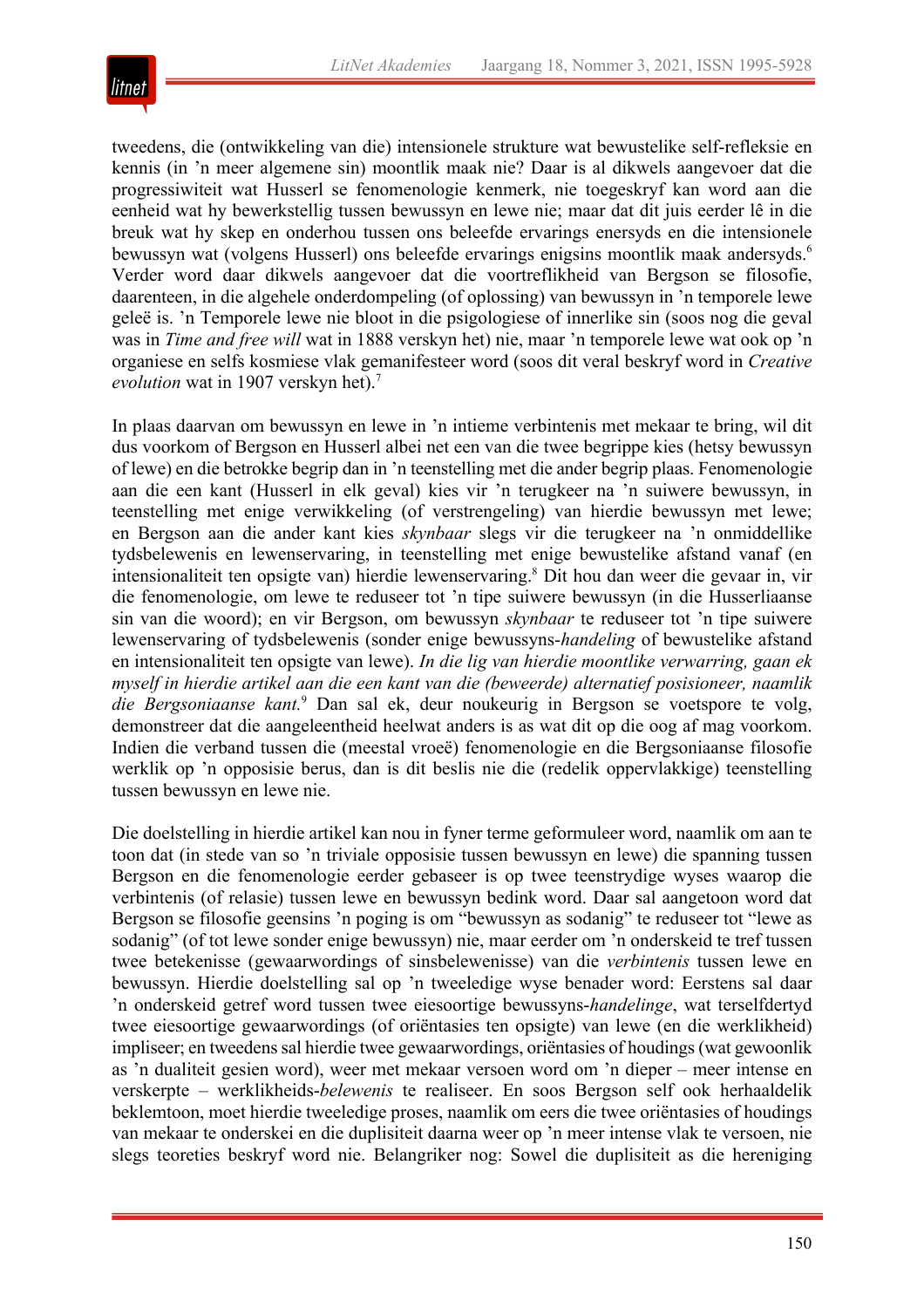

tweedens, die (ontwikkeling van die) intensionele strukture wat bewustelike self-refleksie en kennis (in 'n meer algemene sin) moontlik maak nie? Daar is al dikwels aangevoer dat die progressiwiteit wat Husserl se fenomenologie kenmerk, nie toegeskryf kan word aan die eenheid wat hy bewerkstellig tussen bewussyn en lewe nie; maar dat dit juis eerder lê in die breuk wat hy skep en onderhou tussen ons beleefde ervarings enersyds en die intensionele bewussyn wat (volgens Husserl) ons beleefde ervarings enigsins moontlik maak andersyds.6 Verder word daar dikwels aangevoer dat die voortreflikheid van Bergson se filosofie, daarenteen, in die algehele onderdompeling (of oplossing) van bewussyn in 'n temporele lewe geleë is. 'n Temporele lewe nie bloot in die psigologiese of innerlike sin (soos nog die geval was in *Time and free will* wat in 1888 verskyn het) nie, maar 'n temporele lewe wat ook op 'n organiese en selfs kosmiese vlak gemanifesteer word (soos dit veral beskryf word in *Creative evolution* wat in 1907 verskyn het).<sup>7</sup>

In plaas daarvan om bewussyn en lewe in 'n intieme verbintenis met mekaar te bring, wil dit dus voorkom of Bergson en Husserl albei net een van die twee begrippe kies (hetsy bewussyn of lewe) en die betrokke begrip dan in 'n teenstelling met die ander begrip plaas. Fenomenologie aan die een kant (Husserl in elk geval) kies vir 'n terugkeer na 'n suiwere bewussyn, in teenstelling met enige verwikkeling (of verstrengeling) van hierdie bewussyn met lewe; en Bergson aan die ander kant kies *skynbaar* slegs vir die terugkeer na 'n onmiddellike tydsbelewenis en lewenservaring, in teenstelling met enige bewustelike afstand vanaf (en intensionaliteit ten opsigte van) hierdie lewenservaring.8 Dit hou dan weer die gevaar in, vir die fenomenologie, om lewe te reduseer tot 'n tipe suiwere bewussyn (in die Husserliaanse sin van die woord); en vir Bergson, om bewussyn *skynbaar* te reduseer tot 'n tipe suiwere lewenservaring of tydsbelewenis (sonder enige bewussyns-*handeling* of bewustelike afstand en intensionaliteit ten opsigte van lewe). *In die lig van hierdie moontlike verwarring, gaan ek myself in hierdie artikel aan die een kant van die (beweerde) alternatief posisioneer, naamlik die Bergsoniaanse kant.*<sup>9</sup> Dan sal ek, deur noukeurig in Bergson se voetspore te volg, demonstreer dat die aangeleentheid heelwat anders is as wat dit op die oog af mag voorkom. Indien die verband tussen die (meestal vroeë) fenomenologie en die Bergsoniaanse filosofie werklik op 'n opposisie berus, dan is dit beslis nie die (redelik oppervlakkige) teenstelling tussen bewussyn en lewe nie.

Die doelstelling in hierdie artikel kan nou in fyner terme geformuleer word, naamlik om aan te toon dat (in stede van so 'n triviale opposisie tussen bewussyn en lewe) die spanning tussen Bergson en die fenomenologie eerder gebaseer is op twee teenstrydige wyses waarop die verbintenis (of relasie) tussen lewe en bewussyn bedink word. Daar sal aangetoon word dat Bergson se filosofie geensins 'n poging is om "bewussyn as sodanig" te reduseer tot "lewe as sodanig" (of tot lewe sonder enige bewussyn) nie, maar eerder om 'n onderskeid te tref tussen twee betekenisse (gewaarwordings of sinsbelewenisse) van die *verbintenis* tussen lewe en bewussyn. Hierdie doelstelling sal op 'n tweeledige wyse benader word: Eerstens sal daar 'n onderskeid getref word tussen twee eiesoortige bewussyns-*handelinge*, wat terselfdertyd twee eiesoortige gewaarwordings (of oriëntasies ten opsigte) van lewe (en die werklikheid) impliseer; en tweedens sal hierdie twee gewaarwordings, oriëntasies of houdings (wat gewoonlik as 'n dualiteit gesien word), weer met mekaar versoen word om 'n dieper – meer intense en verskerpte – werklikheids-*belewenis* te realiseer. En soos Bergson self ook herhaaldelik beklemtoon, moet hierdie tweeledige proses, naamlik om eers die twee oriëntasies of houdings van mekaar te onderskei en die duplisiteit daarna weer op 'n meer intense vlak te versoen, nie slegs teoreties beskryf word nie. Belangriker nog: Sowel die duplisiteit as die hereniging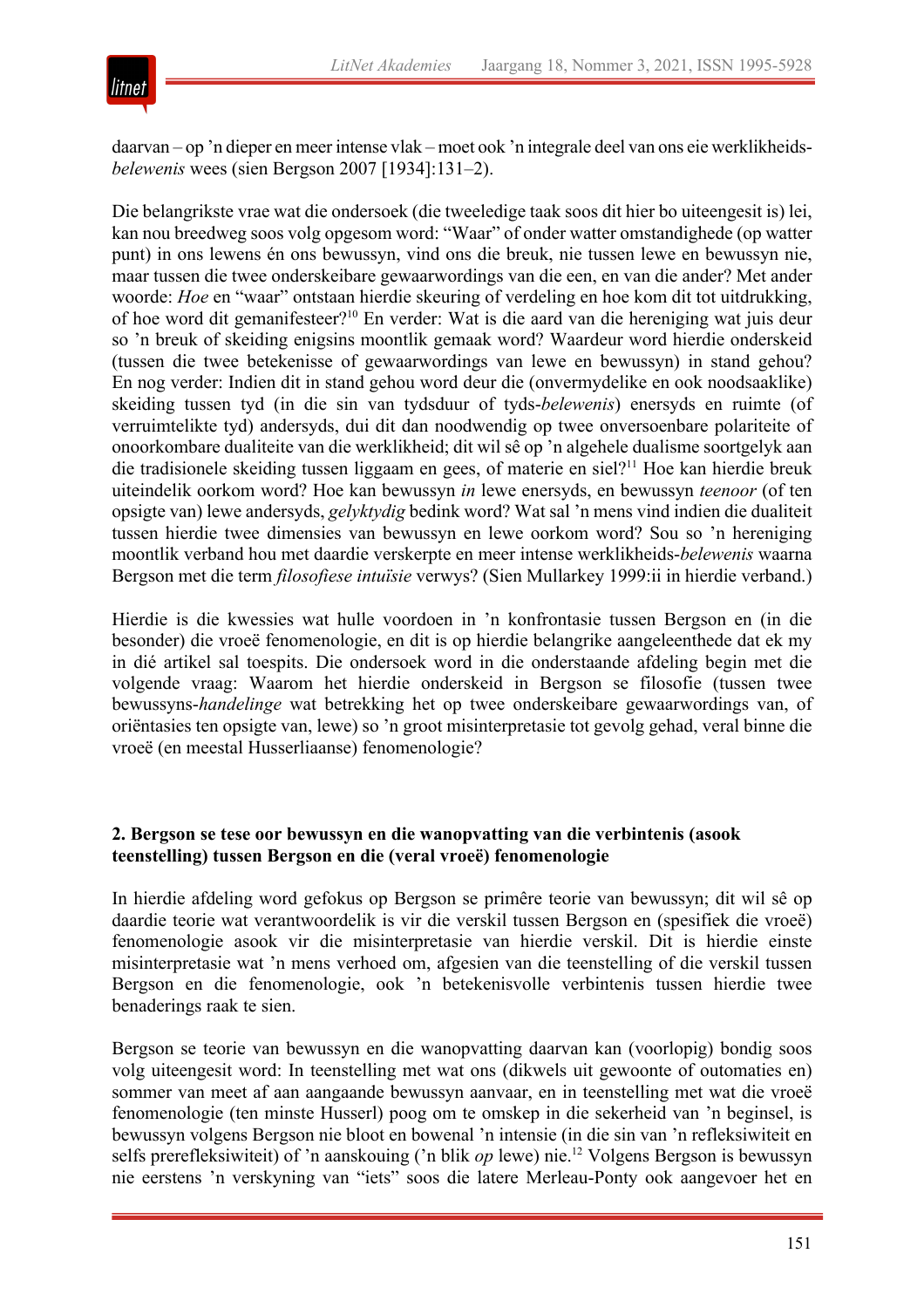

daarvan – op 'n dieper en meer intense vlak – moet ook 'n integrale deel van ons eie werklikheids*belewenis* wees (sien Bergson 2007 [1934]:131–2).

Die belangrikste vrae wat die ondersoek (die tweeledige taak soos dit hier bo uiteengesit is) lei, kan nou breedweg soos volg opgesom word: "Waar" of onder watter omstandighede (op watter punt) in ons lewens én ons bewussyn, vind ons die breuk, nie tussen lewe en bewussyn nie, maar tussen die twee onderskeibare gewaarwordings van die een, en van die ander? Met ander woorde: *Hoe* en "waar" ontstaan hierdie skeuring of verdeling en hoe kom dit tot uitdrukking, of hoe word dit gemanifesteer?10 En verder: Wat is die aard van die hereniging wat juis deur so 'n breuk of skeiding enigsins moontlik gemaak word? Waardeur word hierdie onderskeid (tussen die twee betekenisse of gewaarwordings van lewe en bewussyn) in stand gehou? En nog verder: Indien dit in stand gehou word deur die (onvermydelike en ook noodsaaklike) skeiding tussen tyd (in die sin van tydsduur of tyds-*belewenis*) enersyds en ruimte (of verruimtelikte tyd) andersyds, dui dit dan noodwendig op twee onversoenbare polariteite of onoorkombare dualiteite van die werklikheid; dit wil sê op 'n algehele dualisme soortgelyk aan die tradisionele skeiding tussen liggaam en gees, of materie en siel?<sup>11</sup> Hoe kan hierdie breuk uiteindelik oorkom word? Hoe kan bewussyn *in* lewe enersyds, en bewussyn *teenoor* (of ten opsigte van) lewe andersyds, *gelyktydig* bedink word? Wat sal 'n mens vind indien die dualiteit tussen hierdie twee dimensies van bewussyn en lewe oorkom word? Sou so 'n hereniging moontlik verband hou met daardie verskerpte en meer intense werklikheids-*belewenis* waarna Bergson met die term *filosofiese intuïsie* verwys? (Sien Mullarkey 1999:ii in hierdie verband.)

Hierdie is die kwessies wat hulle voordoen in 'n konfrontasie tussen Bergson en (in die besonder) die vroeë fenomenologie, en dit is op hierdie belangrike aangeleenthede dat ek my in dié artikel sal toespits. Die ondersoek word in die onderstaande afdeling begin met die volgende vraag: Waarom het hierdie onderskeid in Bergson se filosofie (tussen twee bewussyns-*handelinge* wat betrekking het op twee onderskeibare gewaarwordings van, of oriëntasies ten opsigte van, lewe) so 'n groot misinterpretasie tot gevolg gehad, veral binne die vroeë (en meestal Husserliaanse) fenomenologie?

### **2. Bergson se tese oor bewussyn en die wanopvatting van die verbintenis (asook teenstelling) tussen Bergson en die (veral vroeë) fenomenologie**

In hierdie afdeling word gefokus op Bergson se primêre teorie van bewussyn; dit wil sê op daardie teorie wat verantwoordelik is vir die verskil tussen Bergson en (spesifiek die vroeë) fenomenologie asook vir die misinterpretasie van hierdie verskil. Dit is hierdie einste misinterpretasie wat 'n mens verhoed om, afgesien van die teenstelling of die verskil tussen Bergson en die fenomenologie, ook 'n betekenisvolle verbintenis tussen hierdie twee benaderings raak te sien.

Bergson se teorie van bewussyn en die wanopvatting daarvan kan (voorlopig) bondig soos volg uiteengesit word: In teenstelling met wat ons (dikwels uit gewoonte of outomaties en) sommer van meet af aan aangaande bewussyn aanvaar, en in teenstelling met wat die vroeë fenomenologie (ten minste Husserl) poog om te omskep in die sekerheid van 'n beginsel, is bewussyn volgens Bergson nie bloot en bowenal 'n intensie (in die sin van 'n refleksiwiteit en selfs prerefleksiwiteit) of 'n aanskouing ('n blik *op* lewe) nie.12 Volgens Bergson is bewussyn nie eerstens 'n verskyning van "iets" soos die latere Merleau-Ponty ook aangevoer het en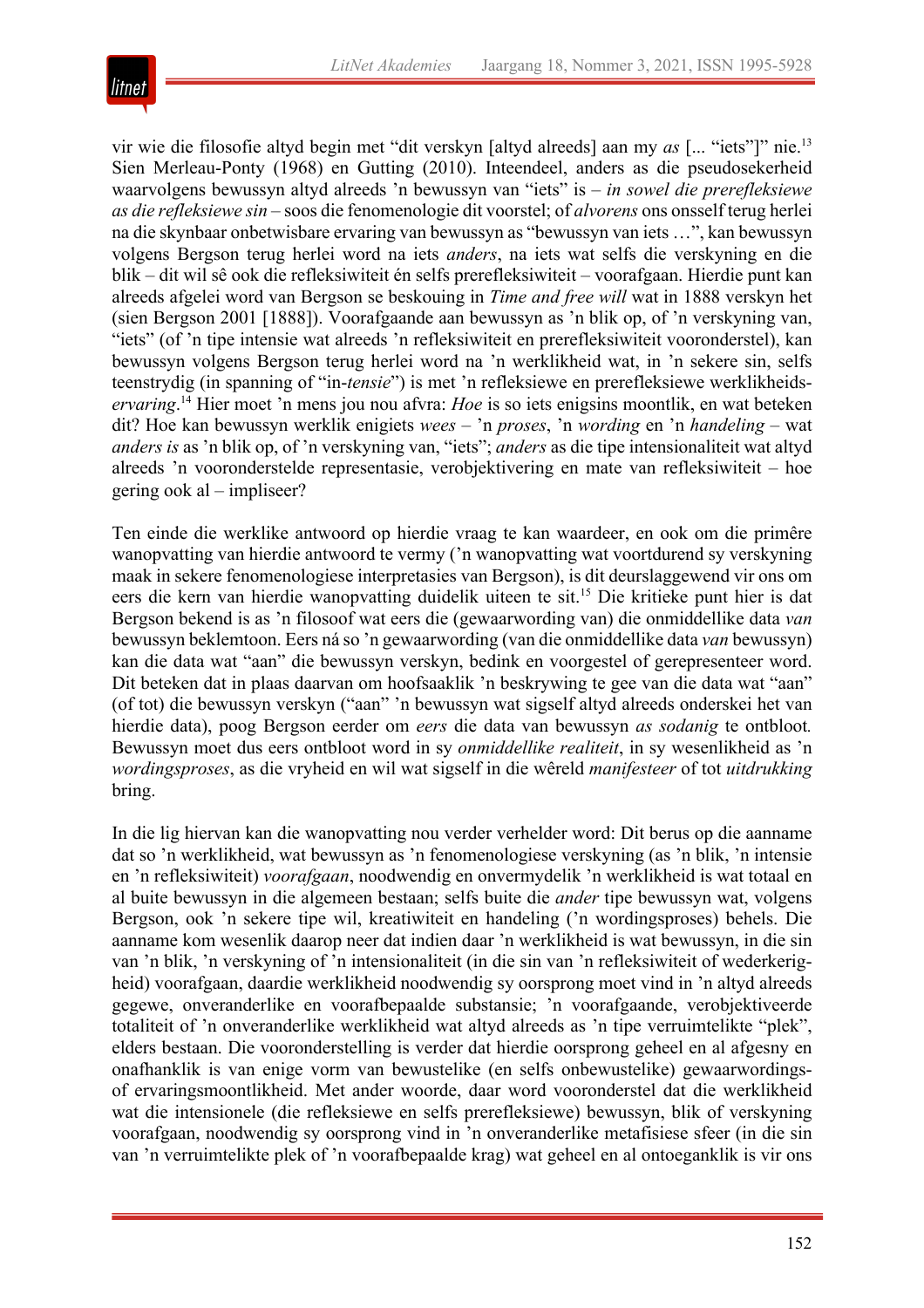

vir wie die filosofie altyd begin met "dit verskyn [altyd alreeds] aan my *as* [... "iets"]" nie.13 Sien Merleau-Ponty (1968) en Gutting (2010). Inteendeel, anders as die pseudosekerheid waarvolgens bewussyn altyd alreeds 'n bewussyn van "iets" is – *in sowel die prerefleksiewe as die refleksiewe sin* – soos die fenomenologie dit voorstel; of *alvorens* ons onsself terug herlei na die skynbaar onbetwisbare ervaring van bewussyn as "bewussyn van iets …", kan bewussyn volgens Bergson terug herlei word na iets *anders*, na iets wat selfs die verskyning en die blik – dit wil sê ook die refleksiwiteit én selfs prerefleksiwiteit – voorafgaan. Hierdie punt kan alreeds afgelei word van Bergson se beskouing in *Time and free will* wat in 1888 verskyn het (sien Bergson 2001 [1888]). Voorafgaande aan bewussyn as 'n blik op, of 'n verskyning van, "iets" (of 'n tipe intensie wat alreeds 'n refleksiwiteit en prerefleksiwiteit vooronderstel), kan bewussyn volgens Bergson terug herlei word na 'n werklikheid wat, in 'n sekere sin, selfs teenstrydig (in spanning of "in-*tensie*") is met 'n refleksiewe en prerefleksiewe werklikheids*ervaring*. <sup>14</sup> Hier moet 'n mens jou nou afvra: *Hoe* is so iets enigsins moontlik, en wat beteken dit? Hoe kan bewussyn werklik enigiets *wees –* 'n *proses*, 'n *wording* en 'n *handeling* – wat *anders is* as 'n blik op, of 'n verskyning van, "iets"; *anders* as die tipe intensionaliteit wat altyd alreeds 'n vooronderstelde representasie, verobjektivering en mate van refleksiwiteit – hoe gering ook al – impliseer?

Ten einde die werklike antwoord op hierdie vraag te kan waardeer, en ook om die primêre wanopvatting van hierdie antwoord te vermy ('n wanopvatting wat voortdurend sy verskyning maak in sekere fenomenologiese interpretasies van Bergson), is dit deurslaggewend vir ons om eers die kern van hierdie wanopvatting duidelik uiteen te sit.<sup>15</sup> Die kritieke punt hier is dat Bergson bekend is as 'n filosoof wat eers die (gewaarwording van) die onmiddellike data *van* bewussyn beklemtoon. Eers ná so 'n gewaarwording (van die onmiddellike data *van* bewussyn) kan die data wat "aan" die bewussyn verskyn, bedink en voorgestel of gerepresenteer word. Dit beteken dat in plaas daarvan om hoofsaaklik 'n beskrywing te gee van die data wat "aan" (of tot) die bewussyn verskyn ("aan" 'n bewussyn wat sigself altyd alreeds onderskei het van hierdie data), poog Bergson eerder om *eers* die data van bewussyn *as sodanig* te ontbloot*.* Bewussyn moet dus eers ontbloot word in sy *onmiddellike realiteit*, in sy wesenlikheid as 'n *wordingsproses*, as die vryheid en wil wat sigself in die wêreld *manifesteer* of tot *uitdrukking* bring.

In die lig hiervan kan die wanopvatting nou verder verhelder word: Dit berus op die aanname dat so 'n werklikheid, wat bewussyn as 'n fenomenologiese verskyning (as 'n blik, 'n intensie en 'n refleksiwiteit) *voorafgaan*, noodwendig en onvermydelik 'n werklikheid is wat totaal en al buite bewussyn in die algemeen bestaan; selfs buite die *ander* tipe bewussyn wat, volgens Bergson, ook 'n sekere tipe wil, kreatiwiteit en handeling ('n wordingsproses) behels. Die aanname kom wesenlik daarop neer dat indien daar 'n werklikheid is wat bewussyn, in die sin van 'n blik, 'n verskyning of 'n intensionaliteit (in die sin van 'n refleksiwiteit of wederkerigheid) voorafgaan, daardie werklikheid noodwendig sy oorsprong moet vind in 'n altyd alreeds gegewe, onveranderlike en voorafbepaalde substansie; 'n voorafgaande, verobjektiveerde totaliteit of 'n onveranderlike werklikheid wat altyd alreeds as 'n tipe verruimtelikte "plek", elders bestaan. Die vooronderstelling is verder dat hierdie oorsprong geheel en al afgesny en onafhanklik is van enige vorm van bewustelike (en selfs onbewustelike) gewaarwordingsof ervaringsmoontlikheid. Met ander woorde, daar word vooronderstel dat die werklikheid wat die intensionele (die refleksiewe en selfs prerefleksiewe) bewussyn, blik of verskyning voorafgaan, noodwendig sy oorsprong vind in 'n onveranderlike metafisiese sfeer (in die sin van 'n verruimtelikte plek of 'n voorafbepaalde krag) wat geheel en al ontoeganklik is vir ons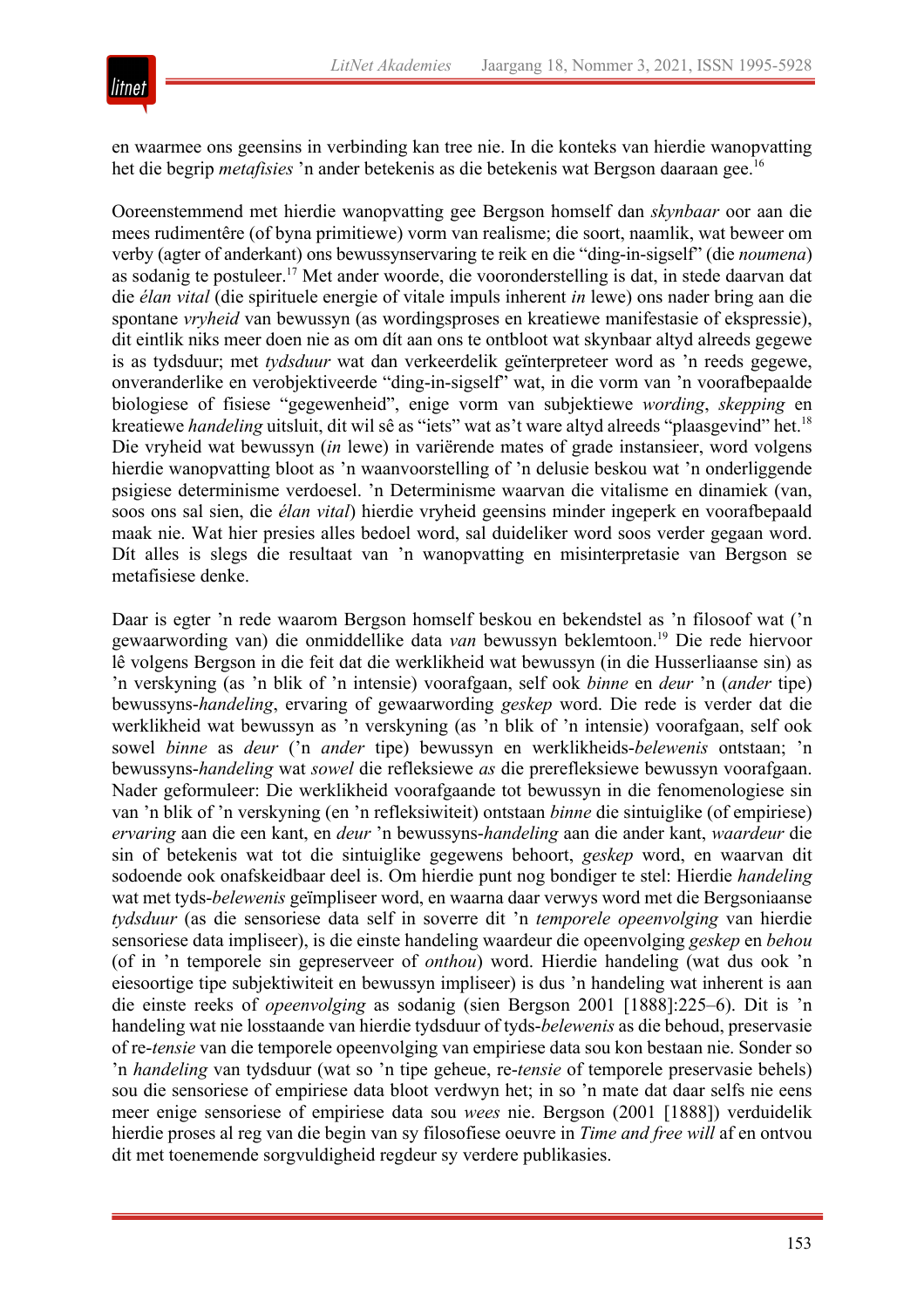

en waarmee ons geensins in verbinding kan tree nie. In die konteks van hierdie wanopvatting het die begrip *metafisies* 'n ander betekenis as die betekenis wat Bergson daaraan gee.16

Ooreenstemmend met hierdie wanopvatting gee Bergson homself dan *skynbaar* oor aan die mees rudimentêre (of byna primitiewe) vorm van realisme; die soort, naamlik, wat beweer om verby (agter of anderkant) ons bewussynservaring te reik en die "ding-in-sigself" (die *noumena*) as sodanig te postuleer.17 Met ander woorde, die vooronderstelling is dat, in stede daarvan dat die *élan vital* (die spirituele energie of vitale impuls inherent *in* lewe) ons nader bring aan die spontane *vryheid* van bewussyn (as wordingsproses en kreatiewe manifestasie of ekspressie), dit eintlik niks meer doen nie as om dít aan ons te ontbloot wat skynbaar altyd alreeds gegewe is as tydsduur; met *tydsduur* wat dan verkeerdelik geïnterpreteer word as 'n reeds gegewe, onveranderlike en verobjektiveerde "ding-in-sigself" wat, in die vorm van 'n voorafbepaalde biologiese of fisiese "gegewenheid", enige vorm van subjektiewe *wording*, *skepping* en kreatiewe *handeling* uitsluit, dit wil sê as "iets" wat as't ware altyd alreeds "plaasgevind" het.18 Die vryheid wat bewussyn (*in* lewe) in variërende mates of grade instansieer, word volgens hierdie wanopvatting bloot as 'n waanvoorstelling of 'n delusie beskou wat 'n onderliggende psigiese determinisme verdoesel. 'n Determinisme waarvan die vitalisme en dinamiek (van, soos ons sal sien, die *élan vital*) hierdie vryheid geensins minder ingeperk en voorafbepaald maak nie. Wat hier presies alles bedoel word, sal duideliker word soos verder gegaan word. Dít alles is slegs die resultaat van 'n wanopvatting en misinterpretasie van Bergson se metafisiese denke.

Daar is egter 'n rede waarom Bergson homself beskou en bekendstel as 'n filosoof wat ('n gewaarwording van) die onmiddellike data *van* bewussyn beklemtoon.19 Die rede hiervoor lê volgens Bergson in die feit dat die werklikheid wat bewussyn (in die Husserliaanse sin) as 'n verskyning (as 'n blik of 'n intensie) voorafgaan, self ook *binne* en *deur* 'n (*ander* tipe) bewussyns-*handeling*, ervaring of gewaarwording *geskep* word. Die rede is verder dat die werklikheid wat bewussyn as 'n verskyning (as 'n blik of 'n intensie) voorafgaan, self ook sowel *binne* as *deur* ('n *ander* tipe) bewussyn en werklikheids-*belewenis* ontstaan; 'n bewussyns-*handeling* wat *sowel* die refleksiewe *as* die prerefleksiewe bewussyn voorafgaan. Nader geformuleer: Die werklikheid voorafgaande tot bewussyn in die fenomenologiese sin van 'n blik of 'n verskyning (en 'n refleksiwiteit) ontstaan *binne* die sintuiglike (of empiriese) *ervaring* aan die een kant, en *deur* 'n bewussyns-*handeling* aan die ander kant, *waardeur* die sin of betekenis wat tot die sintuiglike gegewens behoort, *geskep* word, en waarvan dit sodoende ook onafskeidbaar deel is. Om hierdie punt nog bondiger te stel: Hierdie *handeling* wat met tyds-*belewenis* geïmpliseer word, en waarna daar verwys word met die Bergsoniaanse *tydsduur* (as die sensoriese data self in soverre dit 'n *temporele opeenvolging* van hierdie sensoriese data impliseer), is die einste handeling waardeur die opeenvolging *geskep* en *behou* (of in 'n temporele sin gepreserveer of *onthou*) word. Hierdie handeling (wat dus ook 'n eiesoortige tipe subjektiwiteit en bewussyn impliseer) is dus 'n handeling wat inherent is aan die einste reeks of *opeenvolging* as sodanig (sien Bergson 2001 [1888]:225–6). Dit is 'n handeling wat nie losstaande van hierdie tydsduur of tyds-*belewenis* as die behoud, preservasie of re-*tensie* van die temporele opeenvolging van empiriese data sou kon bestaan nie. Sonder so 'n *handeling* van tydsduur (wat so 'n tipe geheue, re-*tensie* of temporele preservasie behels) sou die sensoriese of empiriese data bloot verdwyn het; in so 'n mate dat daar selfs nie eens meer enige sensoriese of empiriese data sou *wees* nie. Bergson (2001 [1888]) verduidelik hierdie proses al reg van die begin van sy filosofiese oeuvre in *Time and free will* af en ontvou dit met toenemende sorgvuldigheid regdeur sy verdere publikasies.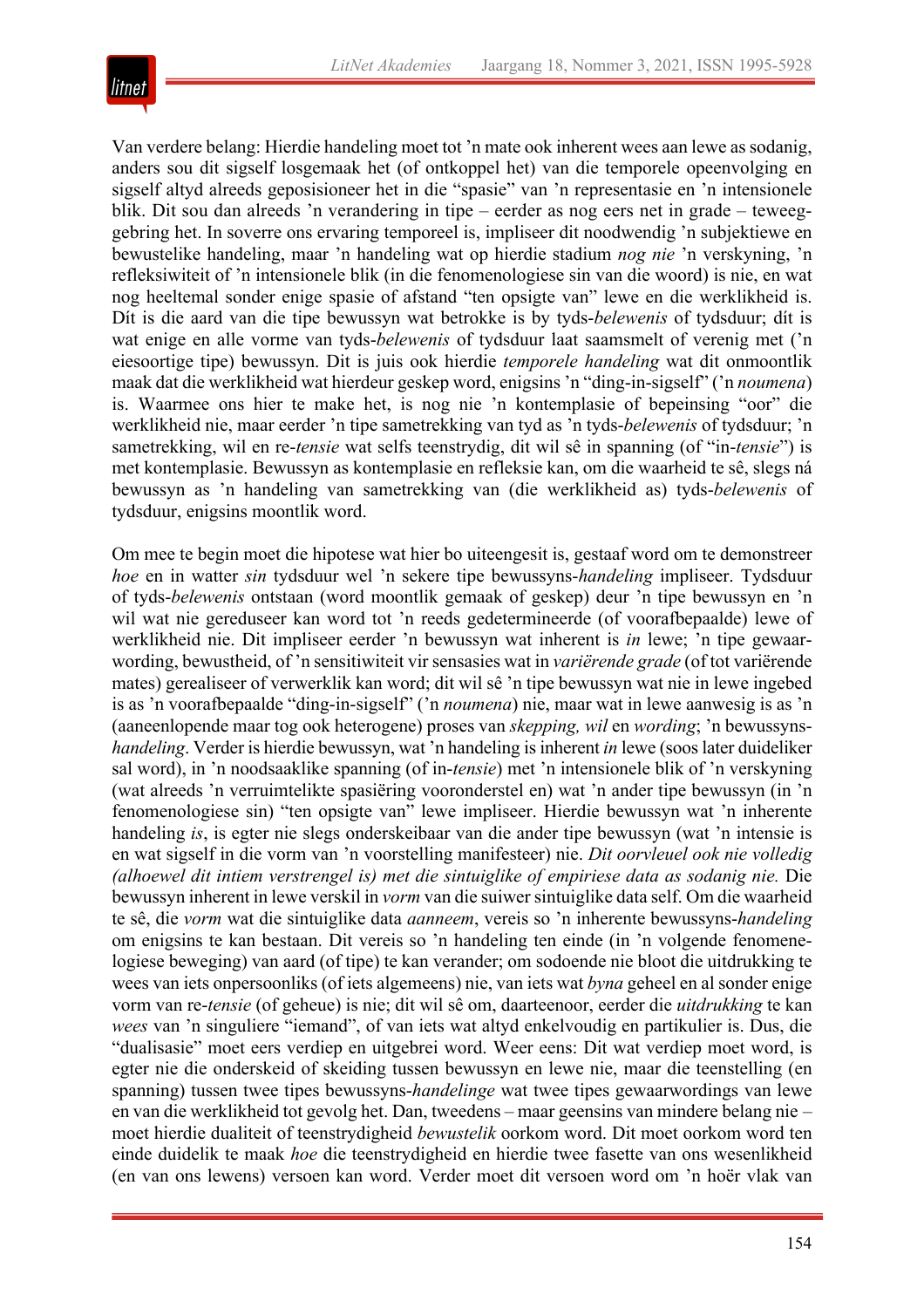

Van verdere belang: Hierdie handeling moet tot 'n mate ook inherent wees aan lewe as sodanig, anders sou dit sigself losgemaak het (of ontkoppel het) van die temporele opeenvolging en sigself altyd alreeds geposisioneer het in die "spasie" van 'n representasie en 'n intensionele blik. Dit sou dan alreeds 'n verandering in tipe – eerder as nog eers net in grade – teweeggebring het. In soverre ons ervaring temporeel is, impliseer dit noodwendig 'n subjektiewe en bewustelike handeling, maar 'n handeling wat op hierdie stadium *nog nie* 'n verskyning, 'n refleksiwiteit of 'n intensionele blik (in die fenomenologiese sin van die woord) is nie, en wat nog heeltemal sonder enige spasie of afstand "ten opsigte van" lewe en die werklikheid is. Dít is die aard van die tipe bewussyn wat betrokke is by tyds-*belewenis* of tydsduur; dít is wat enige en alle vorme van tyds-*belewenis* of tydsduur laat saamsmelt of verenig met ('n eiesoortige tipe) bewussyn. Dit is juis ook hierdie *temporele handeling* wat dit onmoontlik maak dat die werklikheid wat hierdeur geskep word, enigsins 'n "ding-in-sigself" ('n *noumena*) is. Waarmee ons hier te make het, is nog nie 'n kontemplasie of bepeinsing "oor" die werklikheid nie, maar eerder 'n tipe sametrekking van tyd as 'n tyds-*belewenis* of tydsduur; 'n sametrekking, wil en re-*tensie* wat selfs teenstrydig, dit wil sê in spanning (of "in-*tensie*") is met kontemplasie. Bewussyn as kontemplasie en refleksie kan, om die waarheid te sê, slegs ná bewussyn as 'n handeling van sametrekking van (die werklikheid as) tyds-*belewenis* of tydsduur, enigsins moontlik word.

Om mee te begin moet die hipotese wat hier bo uiteengesit is, gestaaf word om te demonstreer *hoe* en in watter *sin* tydsduur wel 'n sekere tipe bewussyns-*handeling* impliseer. Tydsduur of tyds-*belewenis* ontstaan (word moontlik gemaak of geskep) deur 'n tipe bewussyn en 'n wil wat nie gereduseer kan word tot 'n reeds gedetermineerde (of voorafbepaalde) lewe of werklikheid nie. Dit impliseer eerder 'n bewussyn wat inherent is *in* lewe; 'n tipe gewaarwording, bewustheid, of 'n sensitiwiteit vir sensasies wat in *variërende grade* (of tot variërende mates) gerealiseer of verwerklik kan word; dit wil sê 'n tipe bewussyn wat nie in lewe ingebed is as 'n voorafbepaalde "ding-in-sigself" ('n *noumena*) nie, maar wat in lewe aanwesig is as 'n (aaneenlopende maar tog ook heterogene) proses van *skepping, wil* en *wording*; 'n bewussyns*handeling*. Verder is hierdie bewussyn, wat 'n handeling is inherent *in* lewe (soos later duideliker sal word), in 'n noodsaaklike spanning (of in-*tensie*) met 'n intensionele blik of 'n verskyning (wat alreeds 'n verruimtelikte spasiëring vooronderstel en) wat 'n ander tipe bewussyn (in 'n fenomenologiese sin) "ten opsigte van" lewe impliseer. Hierdie bewussyn wat 'n inherente handeling *is*, is egter nie slegs onderskeibaar van die ander tipe bewussyn (wat 'n intensie is en wat sigself in die vorm van 'n voorstelling manifesteer) nie. *Dit oorvleuel ook nie volledig (alhoewel dit intiem verstrengel is) met die sintuiglike of empiriese data as sodanig nie.* Die bewussyn inherent in lewe verskil in *vorm* van die suiwer sintuiglike data self. Om die waarheid te sê, die *vorm* wat die sintuiglike data *aanneem*, vereis so 'n inherente bewussyns-*handeling* om enigsins te kan bestaan. Dit vereis so 'n handeling ten einde (in 'n volgende fenomenelogiese beweging) van aard (of tipe) te kan verander; om sodoende nie bloot die uitdrukking te wees van iets onpersoonliks (of iets algemeens) nie, van iets wat *byna* geheel en al sonder enige vorm van re-*tensie* (of geheue) is nie; dit wil sê om, daarteenoor, eerder die *uitdrukking* te kan *wees* van 'n singuliere "iemand", of van iets wat altyd enkelvoudig en partikulier is. Dus, die "dualisasie" moet eers verdiep en uitgebrei word. Weer eens: Dit wat verdiep moet word, is egter nie die onderskeid of skeiding tussen bewussyn en lewe nie, maar die teenstelling (en spanning) tussen twee tipes bewussyns-*handelinge* wat twee tipes gewaarwordings van lewe en van die werklikheid tot gevolg het. Dan, tweedens – maar geensins van mindere belang nie – moet hierdie dualiteit of teenstrydigheid *bewustelik* oorkom word. Dit moet oorkom word ten einde duidelik te maak *hoe* die teenstrydigheid en hierdie twee fasette van ons wesenlikheid (en van ons lewens) versoen kan word. Verder moet dit versoen word om 'n hoër vlak van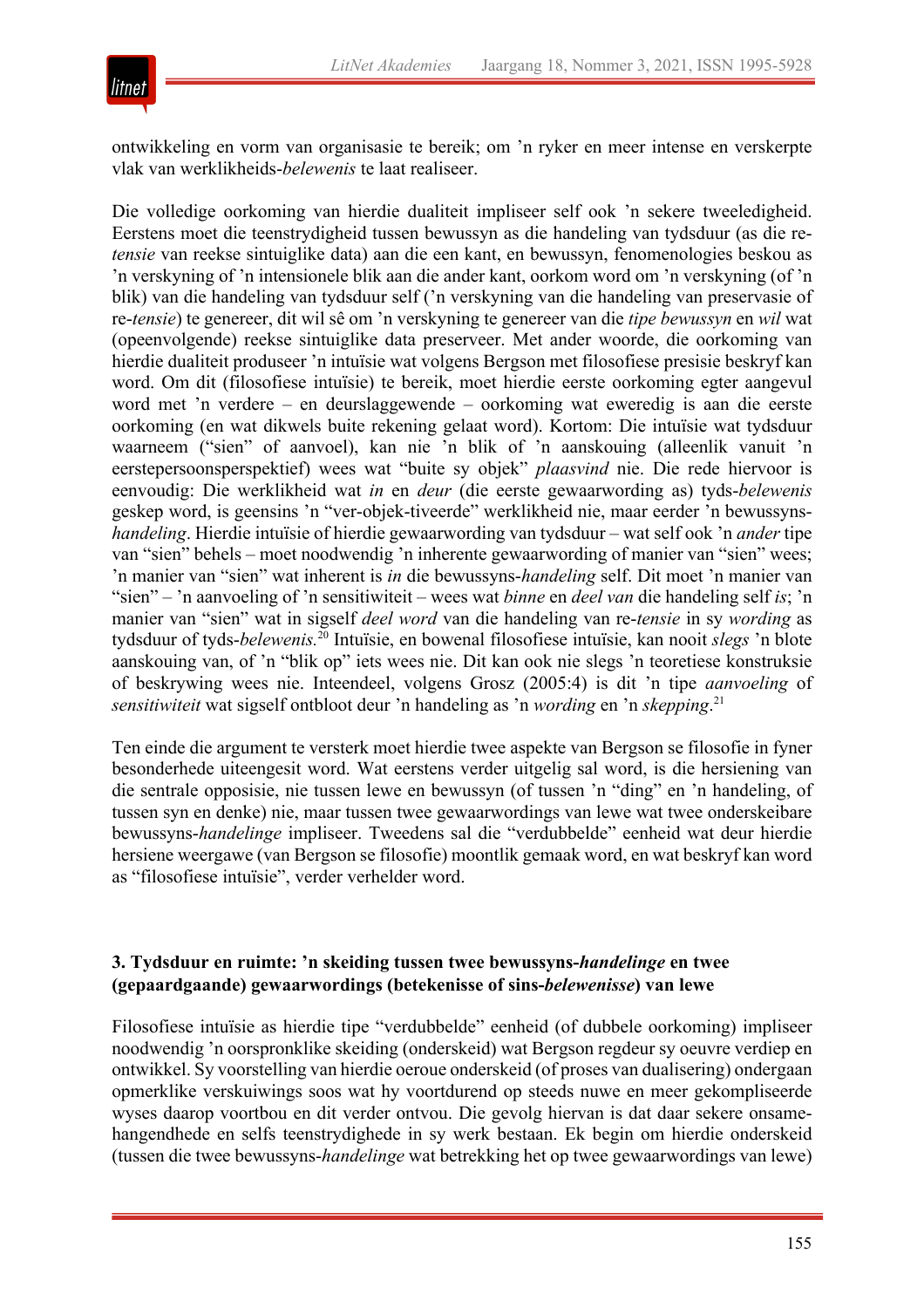

ontwikkeling en vorm van organisasie te bereik; om 'n ryker en meer intense en verskerpte vlak van werklikheids-*belewenis* te laat realiseer.

Die volledige oorkoming van hierdie dualiteit impliseer self ook 'n sekere tweeledigheid. Eerstens moet die teenstrydigheid tussen bewussyn as die handeling van tydsduur (as die re*tensie* van reekse sintuiglike data) aan die een kant, en bewussyn, fenomenologies beskou as 'n verskyning of 'n intensionele blik aan die ander kant, oorkom word om 'n verskyning (of 'n blik) van die handeling van tydsduur self ('n verskyning van die handeling van preservasie of re-*tensie*) te genereer, dit wil sê om 'n verskyning te genereer van die *tipe bewussyn* en *wil* wat (opeenvolgende) reekse sintuiglike data preserveer. Met ander woorde, die oorkoming van hierdie dualiteit produseer 'n intuïsie wat volgens Bergson met filosofiese presisie beskryf kan word. Om dit (filosofiese intuïsie) te bereik, moet hierdie eerste oorkoming egter aangevul word met 'n verdere – en deurslaggewende – oorkoming wat eweredig is aan die eerste oorkoming (en wat dikwels buite rekening gelaat word). Kortom: Die intuïsie wat tydsduur waarneem ("sien" of aanvoel), kan nie 'n blik of 'n aanskouing (alleenlik vanuit 'n eerstepersoonsperspektief) wees wat "buite sy objek" *plaasvind* nie. Die rede hiervoor is eenvoudig: Die werklikheid wat *in* en *deur* (die eerste gewaarwording as) tyds-*belewenis* geskep word, is geensins 'n "ver-objek-tiveerde" werklikheid nie, maar eerder 'n bewussyns*handeling*. Hierdie intuïsie of hierdie gewaarwording van tydsduur – wat self ook 'n *ander* tipe van "sien" behels – moet noodwendig 'n inherente gewaarwording of manier van "sien" wees; 'n manier van "sien" wat inherent is *in* die bewussyns-*handeling* self. Dit moet 'n manier van "sien" – 'n aanvoeling of 'n sensitiwiteit – wees wat *binne* en *deel van* die handeling self *is*; 'n manier van "sien" wat in sigself *deel word* van die handeling van re-*tensie* in sy *wording* as tydsduur of tyds-*belewenis.*<sup>20</sup> Intuïsie, en bowenal filosofiese intuïsie, kan nooit *slegs* 'n blote aanskouing van, of 'n "blik op" iets wees nie. Dit kan ook nie slegs 'n teoretiese konstruksie of beskrywing wees nie. Inteendeel, volgens Grosz (2005:4) is dit 'n tipe *aanvoeling* of *sensitiwiteit* wat sigself ontbloot deur 'n handeling as 'n *wording* en 'n *skepping*. 21

Ten einde die argument te versterk moet hierdie twee aspekte van Bergson se filosofie in fyner besonderhede uiteengesit word. Wat eerstens verder uitgelig sal word, is die hersiening van die sentrale opposisie, nie tussen lewe en bewussyn (of tussen 'n "ding" en 'n handeling, of tussen syn en denke) nie, maar tussen twee gewaarwordings van lewe wat twee onderskeibare bewussyns-*handelinge* impliseer. Tweedens sal die "verdubbelde" eenheid wat deur hierdie hersiene weergawe (van Bergson se filosofie) moontlik gemaak word, en wat beskryf kan word as "filosofiese intuïsie", verder verhelder word.

### **3. Tydsduur en ruimte: 'n skeiding tussen twee bewussyns-***handelinge* **en twee (gepaardgaande) gewaarwordings (betekenisse of sins-***belewenisse***) van lewe**

Filosofiese intuïsie as hierdie tipe "verdubbelde" eenheid (of dubbele oorkoming) impliseer noodwendig 'n oorspronklike skeiding (onderskeid) wat Bergson regdeur sy oeuvre verdiep en ontwikkel. Sy voorstelling van hierdie oeroue onderskeid (of proses van dualisering) ondergaan opmerklike verskuiwings soos wat hy voortdurend op steeds nuwe en meer gekompliseerde wyses daarop voortbou en dit verder ontvou. Die gevolg hiervan is dat daar sekere onsamehangendhede en selfs teenstrydighede in sy werk bestaan. Ek begin om hierdie onderskeid (tussen die twee bewussyns-*handelinge* wat betrekking het op twee gewaarwordings van lewe)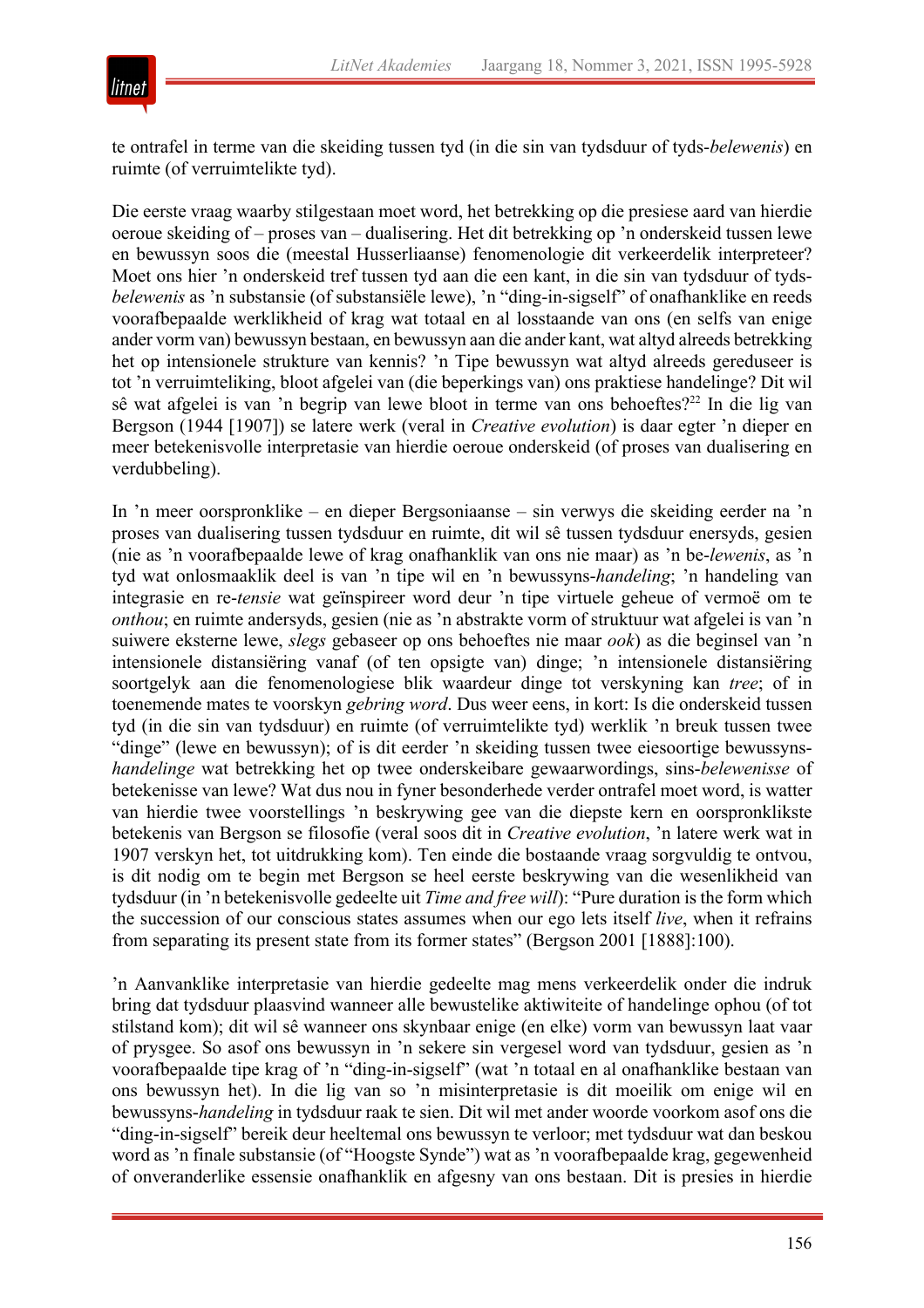

te ontrafel in terme van die skeiding tussen tyd (in die sin van tydsduur of tyds-*belewenis*) en ruimte (of verruimtelikte tyd).

Die eerste vraag waarby stilgestaan moet word, het betrekking op die presiese aard van hierdie oeroue skeiding of – proses van – dualisering. Het dit betrekking op 'n onderskeid tussen lewe en bewussyn soos die (meestal Husserliaanse) fenomenologie dit verkeerdelik interpreteer? Moet ons hier 'n onderskeid tref tussen tyd aan die een kant, in die sin van tydsduur of tyds*belewenis* as 'n substansie (of substansiële lewe), 'n "ding-in-sigself" of onafhanklike en reeds voorafbepaalde werklikheid of krag wat totaal en al losstaande van ons (en selfs van enige ander vorm van) bewussyn bestaan, en bewussyn aan die ander kant, wat altyd alreeds betrekking het op intensionele strukture van kennis? 'n Tipe bewussyn wat altyd alreeds gereduseer is tot 'n verruimteliking, bloot afgelei van (die beperkings van) ons praktiese handelinge? Dit wil sê wat afgelei is van 'n begrip van lewe bloot in terme van ons behoeftes?<sup>22</sup> In die lig van Bergson (1944 [1907]) se latere werk (veral in *Creative evolution*) is daar egter 'n dieper en meer betekenisvolle interpretasie van hierdie oeroue onderskeid (of proses van dualisering en verdubbeling).

In 'n meer oorspronklike – en dieper Bergsoniaanse – sin verwys die skeiding eerder na 'n proses van dualisering tussen tydsduur en ruimte, dit wil sê tussen tydsduur enersyds, gesien (nie as 'n voorafbepaalde lewe of krag onafhanklik van ons nie maar) as 'n be-*lewenis*, as 'n tyd wat onlosmaaklik deel is van 'n tipe wil en 'n bewussyns-*handeling*; 'n handeling van integrasie en re-*tensie* wat geïnspireer word deur 'n tipe virtuele geheue of vermoë om te *onthou*; en ruimte andersyds, gesien (nie as 'n abstrakte vorm of struktuur wat afgelei is van 'n suiwere eksterne lewe, *slegs* gebaseer op ons behoeftes nie maar *ook*) as die beginsel van 'n intensionele distansiëring vanaf (of ten opsigte van) dinge; 'n intensionele distansiëring soortgelyk aan die fenomenologiese blik waardeur dinge tot verskyning kan *tree*; of in toenemende mates te voorskyn *gebring word*. Dus weer eens, in kort: Is die onderskeid tussen tyd (in die sin van tydsduur) en ruimte (of verruimtelikte tyd) werklik 'n breuk tussen twee "dinge" (lewe en bewussyn); of is dit eerder 'n skeiding tussen twee eiesoortige bewussyns*handelinge* wat betrekking het op twee onderskeibare gewaarwordings, sins-*belewenisse* of betekenisse van lewe? Wat dus nou in fyner besonderhede verder ontrafel moet word, is watter van hierdie twee voorstellings 'n beskrywing gee van die diepste kern en oorspronklikste betekenis van Bergson se filosofie (veral soos dit in *Creative evolution*, 'n latere werk wat in 1907 verskyn het, tot uitdrukking kom). Ten einde die bostaande vraag sorgvuldig te ontvou, is dit nodig om te begin met Bergson se heel eerste beskrywing van die wesenlikheid van tydsduur (in 'n betekenisvolle gedeelte uit *Time and free will*): "Pure duration is the form which the succession of our conscious states assumes when our ego lets itself *live*, when it refrains from separating its present state from its former states" (Bergson 2001 [1888]:100).

'n Aanvanklike interpretasie van hierdie gedeelte mag mens verkeerdelik onder die indruk bring dat tydsduur plaasvind wanneer alle bewustelike aktiwiteite of handelinge ophou (of tot stilstand kom); dit wil sê wanneer ons skynbaar enige (en elke) vorm van bewussyn laat vaar of prysgee. So asof ons bewussyn in 'n sekere sin vergesel word van tydsduur, gesien as 'n voorafbepaalde tipe krag of 'n "ding-in-sigself" (wat 'n totaal en al onafhanklike bestaan van ons bewussyn het). In die lig van so 'n misinterpretasie is dit moeilik om enige wil en bewussyns-*handeling* in tydsduur raak te sien. Dit wil met ander woorde voorkom asof ons die "ding-in-sigself" bereik deur heeltemal ons bewussyn te verloor; met tydsduur wat dan beskou word as 'n finale substansie (of "Hoogste Synde") wat as 'n voorafbepaalde krag, gegewenheid of onveranderlike essensie onafhanklik en afgesny van ons bestaan. Dit is presies in hierdie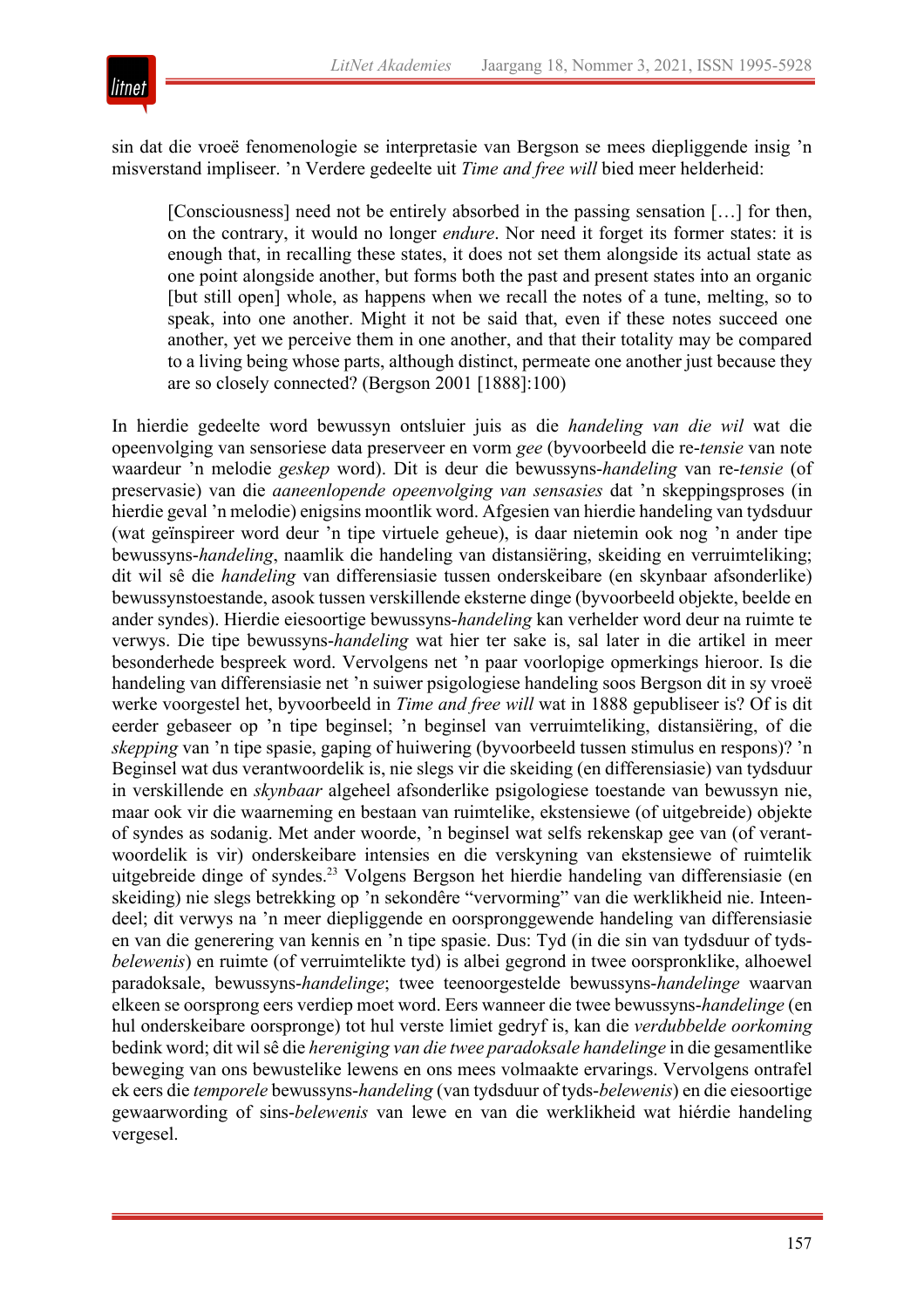

sin dat die vroeë fenomenologie se interpretasie van Bergson se mees diepliggende insig 'n misverstand impliseer. 'n Verdere gedeelte uit *Time and free will* bied meer helderheid:

[Consciousness] need not be entirely absorbed in the passing sensation […] for then, on the contrary, it would no longer *endure*. Nor need it forget its former states: it is enough that, in recalling these states, it does not set them alongside its actual state as one point alongside another, but forms both the past and present states into an organic [but still open] whole, as happens when we recall the notes of a tune, melting, so to speak, into one another. Might it not be said that, even if these notes succeed one another, yet we perceive them in one another, and that their totality may be compared to a living being whose parts, although distinct, permeate one another just because they are so closely connected? (Bergson 2001 [1888]:100)

In hierdie gedeelte word bewussyn ontsluier juis as die *handeling van die wil* wat die opeenvolging van sensoriese data preserveer en vorm *gee* (byvoorbeeld die re-*tensie* van note waardeur 'n melodie *geskep* word). Dit is deur die bewussyns-*handeling* van re-*tensie* (of preservasie) van die *aaneenlopende opeenvolging van sensasies* dat 'n skeppingsproses (in hierdie geval 'n melodie) enigsins moontlik word. Afgesien van hierdie handeling van tydsduur (wat geïnspireer word deur 'n tipe virtuele geheue), is daar nietemin ook nog 'n ander tipe bewussyns-*handeling*, naamlik die handeling van distansiëring, skeiding en verruimteliking; dit wil sê die *handeling* van differensiasie tussen onderskeibare (en skynbaar afsonderlike) bewussynstoestande, asook tussen verskillende eksterne dinge (byvoorbeeld objekte, beelde en ander syndes). Hierdie eiesoortige bewussyns-*handeling* kan verhelder word deur na ruimte te verwys. Die tipe bewussyns-*handeling* wat hier ter sake is, sal later in die artikel in meer besonderhede bespreek word. Vervolgens net 'n paar voorlopige opmerkings hieroor. Is die handeling van differensiasie net 'n suiwer psigologiese handeling soos Bergson dit in sy vroeë werke voorgestel het, byvoorbeeld in *Time and free will* wat in 1888 gepubliseer is? Of is dit eerder gebaseer op 'n tipe beginsel; 'n beginsel van verruimteliking, distansiëring, of die *skepping* van 'n tipe spasie, gaping of huiwering (byvoorbeeld tussen stimulus en respons)? 'n Beginsel wat dus verantwoordelik is, nie slegs vir die skeiding (en differensiasie) van tydsduur in verskillende en *skynbaar* algeheel afsonderlike psigologiese toestande van bewussyn nie, maar ook vir die waarneming en bestaan van ruimtelike, ekstensiewe (of uitgebreide) objekte of syndes as sodanig. Met ander woorde, 'n beginsel wat selfs rekenskap gee van (of verantwoordelik is vir) onderskeibare intensies en die verskyning van ekstensiewe of ruimtelik uitgebreide dinge of syndes.<sup>23</sup> Volgens Bergson het hierdie handeling van differensiasie (en skeiding) nie slegs betrekking op 'n sekondêre "vervorming" van die werklikheid nie. Inteendeel; dit verwys na 'n meer diepliggende en oorspronggewende handeling van differensiasie en van die generering van kennis en 'n tipe spasie. Dus: Tyd (in die sin van tydsduur of tyds*belewenis*) en ruimte (of verruimtelikte tyd) is albei gegrond in twee oorspronklike, alhoewel paradoksale, bewussyns-*handelinge*; twee teenoorgestelde bewussyns-*handelinge* waarvan elkeen se oorsprong eers verdiep moet word. Eers wanneer die twee bewussyns-*handelinge* (en hul onderskeibare oorspronge) tot hul verste limiet gedryf is, kan die *verdubbelde oorkoming* bedink word; dit wil sê die *hereniging van die twee paradoksale handelinge* in die gesamentlike beweging van ons bewustelike lewens en ons mees volmaakte ervarings. Vervolgens ontrafel ek eers die *temporele* bewussyns-*handeling* (van tydsduur of tyds-*belewenis*) en die eiesoortige gewaarwording of sins-*belewenis* van lewe en van die werklikheid wat hiérdie handeling vergesel.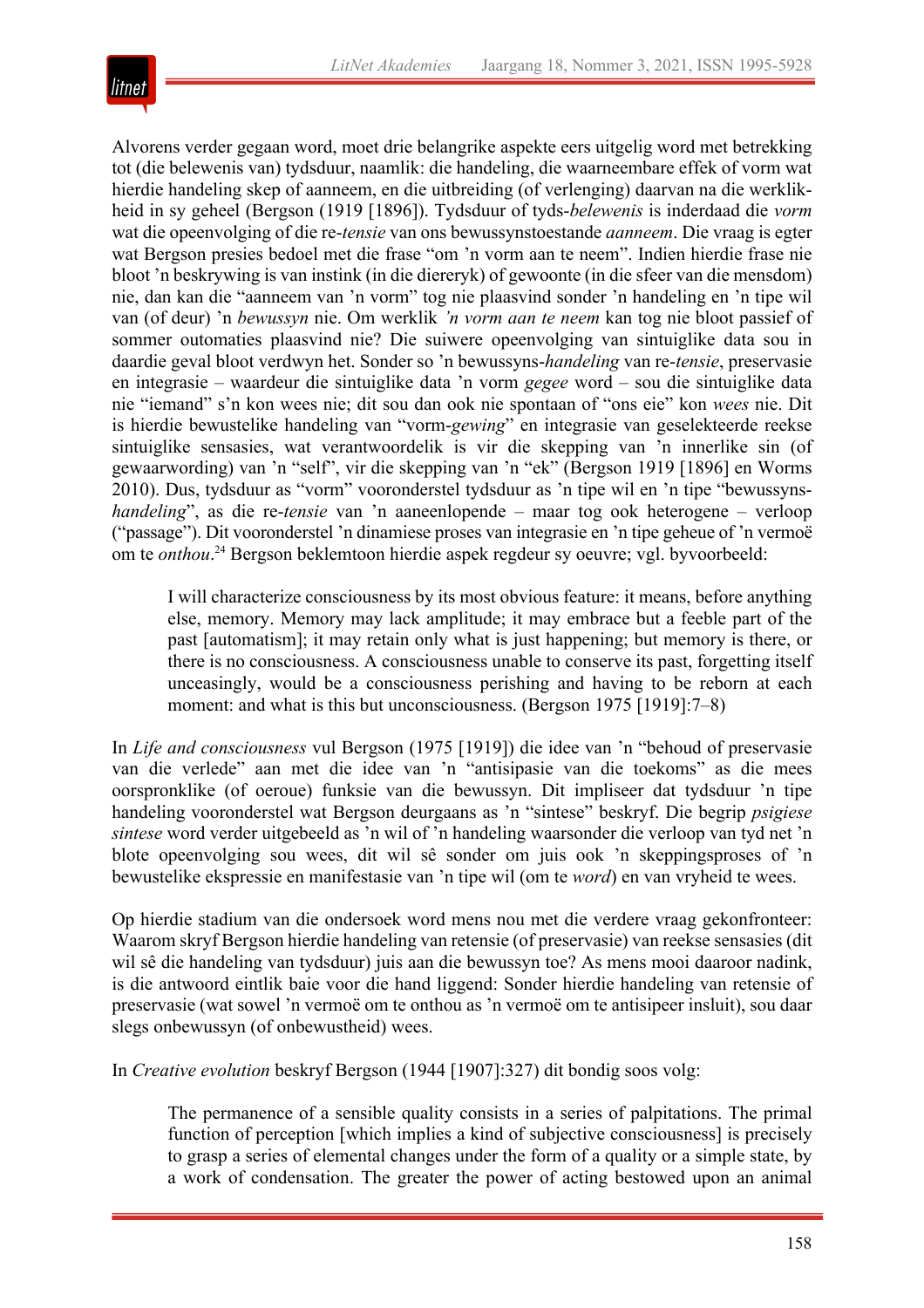

Alvorens verder gegaan word, moet drie belangrike aspekte eers uitgelig word met betrekking tot (die belewenis van) tydsduur, naamlik: die handeling, die waarneembare effek of vorm wat hierdie handeling skep of aanneem, en die uitbreiding (of verlenging) daarvan na die werklikheid in sy geheel (Bergson (1919 [1896]). Tydsduur of tyds-*belewenis* is inderdaad die *vorm* wat die opeenvolging of die re-*tensie* van ons bewussynstoestande *aanneem*. Die vraag is egter wat Bergson presies bedoel met die frase "om 'n vorm aan te neem". Indien hierdie frase nie bloot 'n beskrywing is van instink (in die diereryk) of gewoonte (in die sfeer van die mensdom) nie, dan kan die "aanneem van 'n vorm" tog nie plaasvind sonder 'n handeling en 'n tipe wil van (of deur) 'n *bewussyn* nie. Om werklik *'n vorm aan te neem* kan tog nie bloot passief of sommer outomaties plaasvind nie? Die suiwere opeenvolging van sintuiglike data sou in daardie geval bloot verdwyn het. Sonder so 'n bewussyns-*handeling* van re-*tensie*, preservasie en integrasie – waardeur die sintuiglike data 'n vorm *gegee* word – sou die sintuiglike data nie "iemand" s'n kon wees nie; dit sou dan ook nie spontaan of "ons eie" kon *wees* nie. Dit is hierdie bewustelike handeling van "vorm-*gewing*" en integrasie van geselekteerde reekse sintuiglike sensasies, wat verantwoordelik is vir die skepping van 'n innerlike sin (of gewaarwording) van 'n "self", vir die skepping van 'n "ek" (Bergson 1919 [1896] en Worms 2010). Dus, tydsduur as "vorm" vooronderstel tydsduur as 'n tipe wil en 'n tipe "bewussyns*handeling*", as die re-*tensie* van 'n aaneenlopende – maar tog ook heterogene – verloop ("passage"). Dit vooronderstel 'n dinamiese proses van integrasie en 'n tipe geheue of 'n vermoë om te *onthou*. <sup>24</sup> Bergson beklemtoon hierdie aspek regdeur sy oeuvre; vgl. byvoorbeeld:

I will characterize consciousness by its most obvious feature: it means, before anything else, memory. Memory may lack amplitude; it may embrace but a feeble part of the past [automatism]; it may retain only what is just happening; but memory is there, or there is no consciousness. A consciousness unable to conserve its past, forgetting itself unceasingly, would be a consciousness perishing and having to be reborn at each moment: and what is this but unconsciousness. (Bergson 1975 [1919]:7–8)

In *Life and consciousness* vul Bergson (1975 [1919]) die idee van 'n "behoud of preservasie van die verlede" aan met die idee van 'n "antisipasie van die toekoms" as die mees oorspronklike (of oeroue) funksie van die bewussyn. Dit impliseer dat tydsduur 'n tipe handeling vooronderstel wat Bergson deurgaans as 'n "sintese" beskryf. Die begrip *psigiese sintese* word verder uitgebeeld as 'n wil of 'n handeling waarsonder die verloop van tyd net 'n blote opeenvolging sou wees, dit wil sê sonder om juis ook 'n skeppingsproses of 'n bewustelike ekspressie en manifestasie van 'n tipe wil (om te *word*) en van vryheid te wees.

Op hierdie stadium van die ondersoek word mens nou met die verdere vraag gekonfronteer: Waarom skryf Bergson hierdie handeling van retensie (of preservasie) van reekse sensasies (dit wil sê die handeling van tydsduur) juis aan die bewussyn toe? As mens mooi daaroor nadink, is die antwoord eintlik baie voor die hand liggend: Sonder hierdie handeling van retensie of preservasie (wat sowel 'n vermoë om te onthou as 'n vermoë om te antisipeer insluit), sou daar slegs onbewussyn (of onbewustheid) wees.

In *Creative evolution* beskryf Bergson (1944 [1907]:327) dit bondig soos volg:

The permanence of a sensible quality consists in a series of palpitations. The primal function of perception [which implies a kind of subjective consciousness] is precisely to grasp a series of elemental changes under the form of a quality or a simple state, by a work of condensation. The greater the power of acting bestowed upon an animal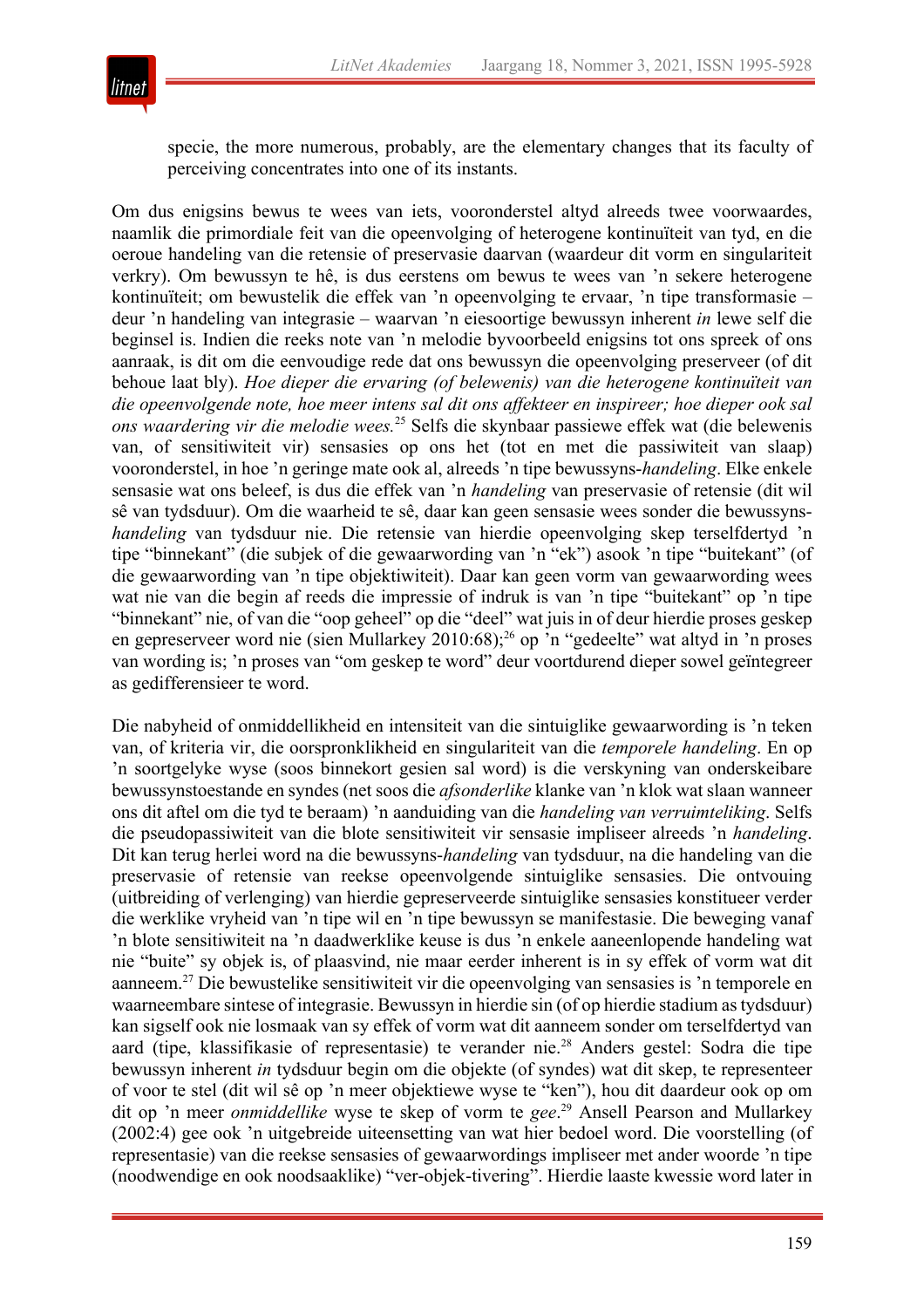

specie, the more numerous, probably, are the elementary changes that its faculty of perceiving concentrates into one of its instants.

Om dus enigsins bewus te wees van iets, vooronderstel altyd alreeds twee voorwaardes, naamlik die primordiale feit van die opeenvolging of heterogene kontinuïteit van tyd, en die oeroue handeling van die retensie of preservasie daarvan (waardeur dit vorm en singulariteit verkry). Om bewussyn te hê, is dus eerstens om bewus te wees van 'n sekere heterogene kontinuïteit; om bewustelik die effek van 'n opeenvolging te ervaar, 'n tipe transformasie – deur 'n handeling van integrasie – waarvan 'n eiesoortige bewussyn inherent *in* lewe self die beginsel is. Indien die reeks note van 'n melodie byvoorbeeld enigsins tot ons spreek of ons aanraak, is dit om die eenvoudige rede dat ons bewussyn die opeenvolging preserveer (of dit behoue laat bly). *Hoe dieper die ervaring (of belewenis) van die heterogene kontinuïteit van die opeenvolgende note, hoe meer intens sal dit ons affekteer en inspireer; hoe dieper ook sal ons waardering vir die melodie wees.*<sup>25</sup> Selfs die skynbaar passiewe effek wat (die belewenis van, of sensitiwiteit vir) sensasies op ons het (tot en met die passiwiteit van slaap) vooronderstel, in hoe 'n geringe mate ook al, alreeds 'n tipe bewussyns-*handeling*. Elke enkele sensasie wat ons beleef, is dus die effek van 'n *handeling* van preservasie of retensie (dit wil sê van tydsduur). Om die waarheid te sê, daar kan geen sensasie wees sonder die bewussyns*handeling* van tydsduur nie. Die retensie van hierdie opeenvolging skep terselfdertyd 'n tipe "binnekant" (die subjek of die gewaarwording van 'n "ek") asook 'n tipe "buitekant" (of die gewaarwording van 'n tipe objektiwiteit). Daar kan geen vorm van gewaarwording wees wat nie van die begin af reeds die impressie of indruk is van 'n tipe "buitekant" op 'n tipe "binnekant" nie, of van die "oop geheel" op die "deel" wat juis in of deur hierdie proses geskep en gepreserveer word nie (sien Mullarkey 2010:68);<sup>26</sup> op 'n "gedeelte" wat altyd in 'n proses van wording is; 'n proses van "om geskep te word" deur voortdurend dieper sowel geïntegreer as gedifferensieer te word.

Die nabyheid of onmiddellikheid en intensiteit van die sintuiglike gewaarwording is 'n teken van, of kriteria vir, die oorspronklikheid en singulariteit van die *temporele handeling*. En op 'n soortgelyke wyse (soos binnekort gesien sal word) is die verskyning van onderskeibare bewussynstoestande en syndes (net soos die *afsonderlike* klanke van 'n klok wat slaan wanneer ons dit aftel om die tyd te beraam) 'n aanduiding van die *handeling van verruimteliking*. Selfs die pseudopassiwiteit van die blote sensitiwiteit vir sensasie impliseer alreeds 'n *handeling*. Dit kan terug herlei word na die bewussyns-*handeling* van tydsduur, na die handeling van die preservasie of retensie van reekse opeenvolgende sintuiglike sensasies. Die ontvouing (uitbreiding of verlenging) van hierdie gepreserveerde sintuiglike sensasies konstitueer verder die werklike vryheid van 'n tipe wil en 'n tipe bewussyn se manifestasie. Die beweging vanaf 'n blote sensitiwiteit na 'n daadwerklike keuse is dus 'n enkele aaneenlopende handeling wat nie "buite" sy objek is, of plaasvind, nie maar eerder inherent is in sy effek of vorm wat dit aanneem.27 Die bewustelike sensitiwiteit vir die opeenvolging van sensasies is 'n temporele en waarneembare sintese of integrasie. Bewussyn in hierdie sin (of op hierdie stadium as tydsduur) kan sigself ook nie losmaak van sy effek of vorm wat dit aanneem sonder om terselfdertyd van aard (tipe, klassifikasie of representasie) te verander nie.<sup>28</sup> Anders gestel: Sodra die tipe bewussyn inherent *in* tydsduur begin om die objekte (of syndes) wat dit skep, te representeer of voor te stel (dit wil sê op 'n meer objektiewe wyse te "ken"), hou dit daardeur ook op om dit op 'n meer *onmiddellike* wyse te skep of vorm te *gee*. <sup>29</sup> Ansell Pearson and Mullarkey (2002:4) gee ook 'n uitgebreide uiteensetting van wat hier bedoel word. Die voorstelling (of representasie) van die reekse sensasies of gewaarwordings impliseer met ander woorde 'n tipe (noodwendige en ook noodsaaklike) "ver-objek-tivering". Hierdie laaste kwessie word later in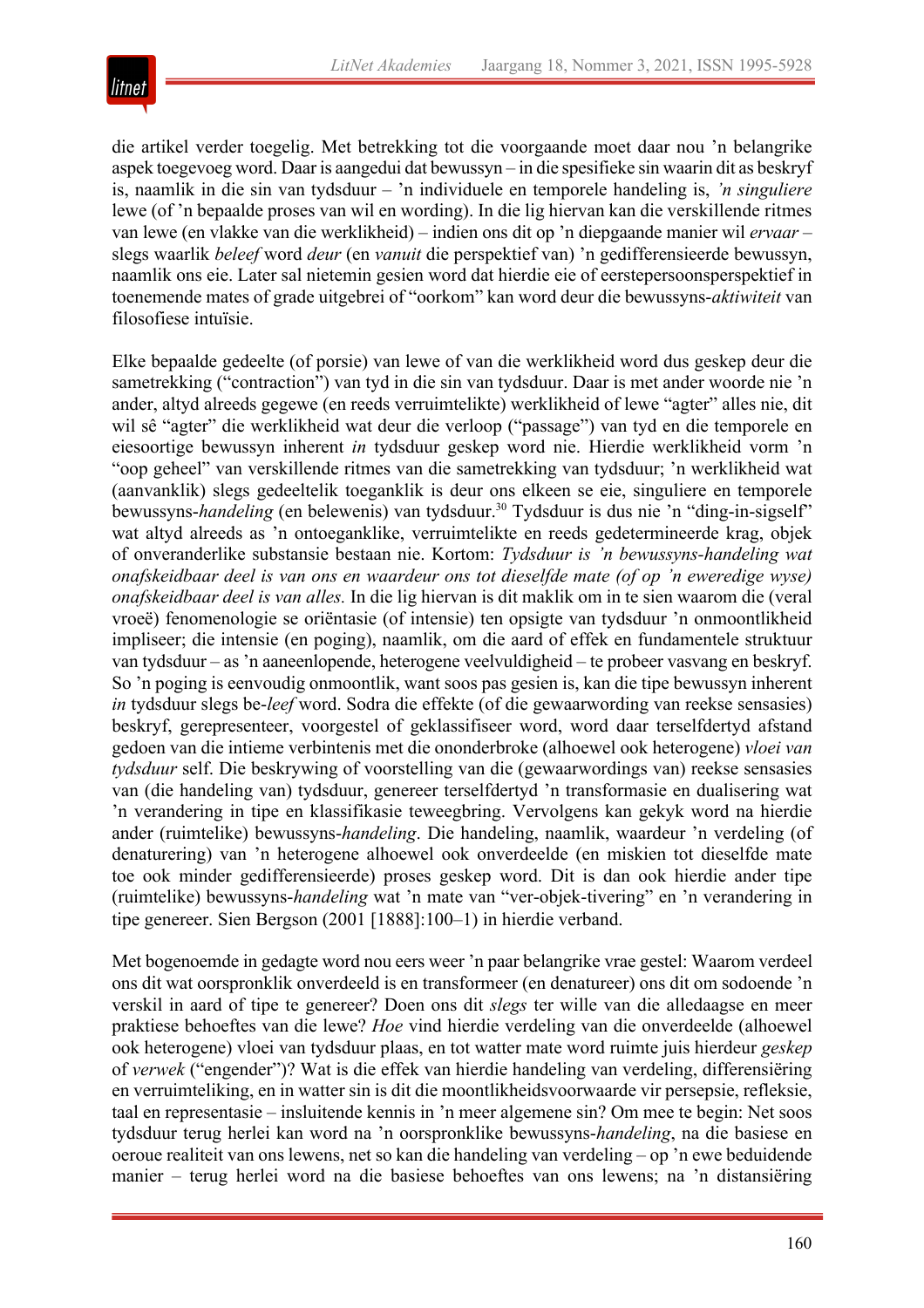

die artikel verder toegelig. Met betrekking tot die voorgaande moet daar nou 'n belangrike aspek toegevoeg word. Daar is aangedui dat bewussyn – in die spesifieke sin waarin dit as beskryf is, naamlik in die sin van tydsduur – 'n individuele en temporele handeling is, *'n singuliere* lewe (of 'n bepaalde proses van wil en wording). In die lig hiervan kan die verskillende ritmes van lewe (en vlakke van die werklikheid) – indien ons dit op 'n diepgaande manier wil *ervaar –* slegs waarlik *beleef* word *deur* (en *vanuit* die perspektief van) 'n gedifferensieerde bewussyn, naamlik ons eie. Later sal nietemin gesien word dat hierdie eie of eerstepersoonsperspektief in toenemende mates of grade uitgebrei of "oorkom" kan word deur die bewussyns-*aktiwiteit* van filosofiese intuïsie.

Elke bepaalde gedeelte (of porsie) van lewe of van die werklikheid word dus geskep deur die sametrekking ("contraction") van tyd in die sin van tydsduur. Daar is met ander woorde nie 'n ander, altyd alreeds gegewe (en reeds verruimtelikte) werklikheid of lewe "agter" alles nie, dit wil sê "agter" die werklikheid wat deur die verloop ("passage") van tyd en die temporele en eiesoortige bewussyn inherent *in* tydsduur geskep word nie. Hierdie werklikheid vorm 'n "oop geheel" van verskillende ritmes van die sametrekking van tydsduur; 'n werklikheid wat (aanvanklik) slegs gedeeltelik toeganklik is deur ons elkeen se eie, singuliere en temporele bewussyns-*handeling* (en belewenis) van tydsduur.<sup>30</sup> Tydsduur is dus nie 'n "ding-in-sigself" wat altyd alreeds as 'n ontoeganklike, verruimtelikte en reeds gedetermineerde krag, objek of onveranderlike substansie bestaan nie. Kortom: *Tydsduur is 'n bewussyns-handeling wat onafskeidbaar deel is van ons en waardeur ons tot dieselfde mate (of op 'n eweredige wyse) onafskeidbaar deel is van alles.* In die lig hiervan is dit maklik om in te sien waarom die (veral vroeë) fenomenologie se oriëntasie (of intensie) ten opsigte van tydsduur 'n onmoontlikheid impliseer; die intensie (en poging), naamlik, om die aard of effek en fundamentele struktuur van tydsduur – as 'n aaneenlopende, heterogene veelvuldigheid – te probeer vasvang en beskryf. So 'n poging is eenvoudig onmoontlik, want soos pas gesien is, kan die tipe bewussyn inherent *in* tydsduur slegs be-*leef* word. Sodra die effekte (of die gewaarwording van reekse sensasies) beskryf, gerepresenteer, voorgestel of geklassifiseer word, word daar terselfdertyd afstand gedoen van die intieme verbintenis met die ononderbroke (alhoewel ook heterogene) *vloei van tydsduur* self. Die beskrywing of voorstelling van die (gewaarwordings van) reekse sensasies van (die handeling van) tydsduur, genereer terselfdertyd 'n transformasie en dualisering wat 'n verandering in tipe en klassifikasie teweegbring. Vervolgens kan gekyk word na hierdie ander (ruimtelike) bewussyns-*handeling*. Die handeling, naamlik, waardeur 'n verdeling (of denaturering) van 'n heterogene alhoewel ook onverdeelde (en miskien tot dieselfde mate toe ook minder gedifferensieerde) proses geskep word. Dit is dan ook hierdie ander tipe (ruimtelike) bewussyns-*handeling* wat 'n mate van "ver-objek-tivering" en 'n verandering in tipe genereer. Sien Bergson (2001 [1888]:100–1) in hierdie verband.

Met bogenoemde in gedagte word nou eers weer 'n paar belangrike vrae gestel: Waarom verdeel ons dit wat oorspronklik onverdeeld is en transformeer (en denatureer) ons dit om sodoende 'n verskil in aard of tipe te genereer? Doen ons dit *slegs* ter wille van die alledaagse en meer praktiese behoeftes van die lewe? *Hoe* vind hierdie verdeling van die onverdeelde (alhoewel ook heterogene) vloei van tydsduur plaas, en tot watter mate word ruimte juis hierdeur *geskep* of *verwek* ("engender")? Wat is die effek van hierdie handeling van verdeling, differensiëring en verruimteliking, en in watter sin is dit die moontlikheidsvoorwaarde vir persepsie, refleksie, taal en representasie – insluitende kennis in 'n meer algemene sin? Om mee te begin: Net soos tydsduur terug herlei kan word na 'n oorspronklike bewussyns-*handeling*, na die basiese en oeroue realiteit van ons lewens, net so kan die handeling van verdeling – op 'n ewe beduidende manier – terug herlei word na die basiese behoeftes van ons lewens; na 'n distansiëring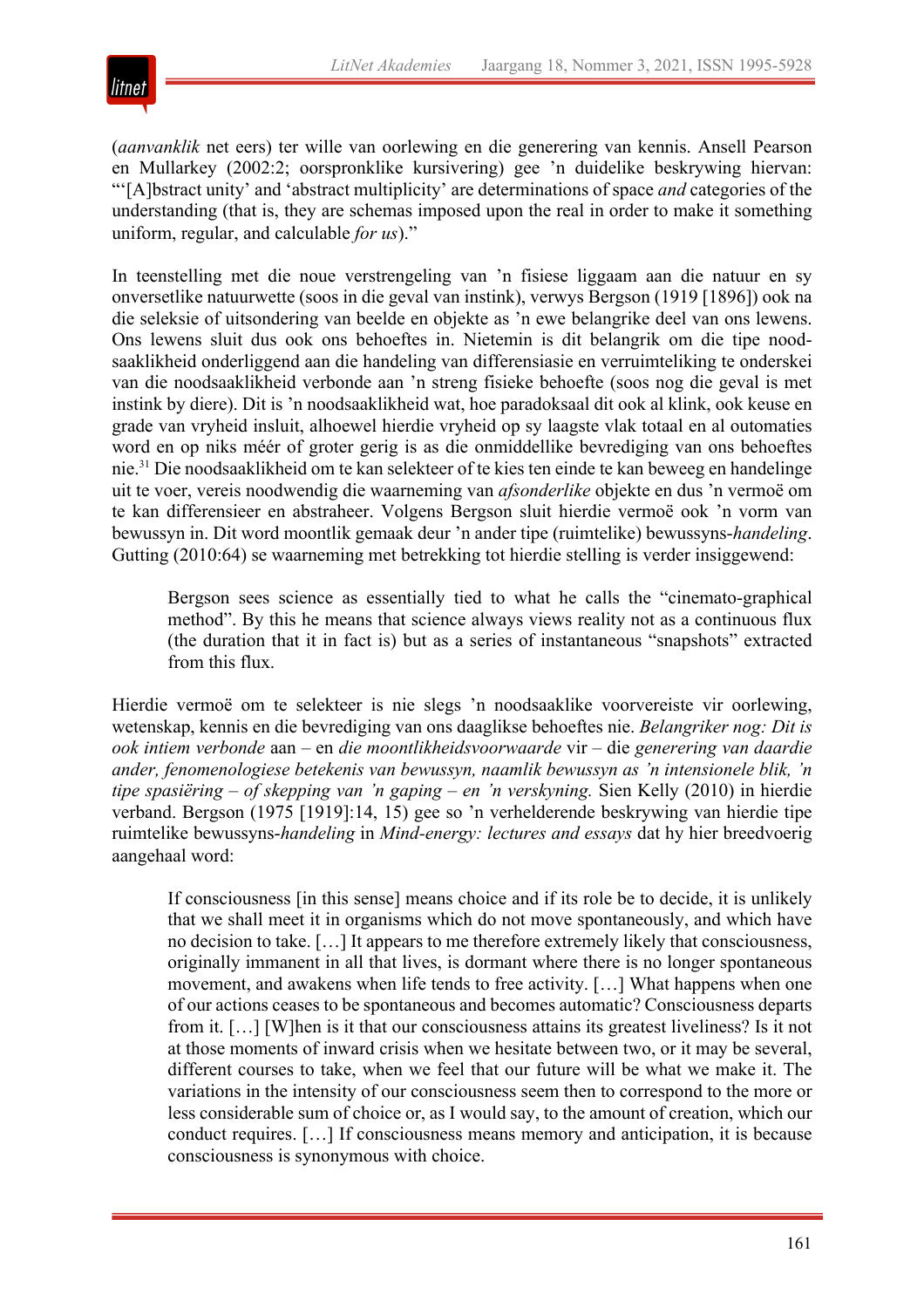

(*aanvanklik* net eers) ter wille van oorlewing en die generering van kennis. Ansell Pearson en Mullarkey (2002:2; oorspronklike kursivering) gee 'n duidelike beskrywing hiervan: "'[A]bstract unity' and 'abstract multiplicity' are determinations of space *and* categories of the understanding (that is, they are schemas imposed upon the real in order to make it something uniform, regular, and calculable *for us*)."

In teenstelling met die noue verstrengeling van 'n fisiese liggaam aan die natuur en sy onversetlike natuurwette (soos in die geval van instink), verwys Bergson (1919 [1896]) ook na die seleksie of uitsondering van beelde en objekte as 'n ewe belangrike deel van ons lewens. Ons lewens sluit dus ook ons behoeftes in. Nietemin is dit belangrik om die tipe noodsaaklikheid onderliggend aan die handeling van differensiasie en verruimteliking te onderskei van die noodsaaklikheid verbonde aan 'n streng fisieke behoefte (soos nog die geval is met instink by diere). Dit is 'n noodsaaklikheid wat, hoe paradoksaal dit ook al klink, ook keuse en grade van vryheid insluit, alhoewel hierdie vryheid op sy laagste vlak totaal en al outomaties word en op niks méér of groter gerig is as die onmiddellike bevrediging van ons behoeftes nie.31 Die noodsaaklikheid om te kan selekteer of te kies ten einde te kan beweeg en handelinge uit te voer, vereis noodwendig die waarneming van *afsonderlike* objekte en dus 'n vermoë om te kan differensieer en abstraheer. Volgens Bergson sluit hierdie vermoë ook 'n vorm van bewussyn in. Dit word moontlik gemaak deur 'n ander tipe (ruimtelike) bewussyns-*handeling*. Gutting (2010:64) se waarneming met betrekking tot hierdie stelling is verder insiggewend:

Bergson sees science as essentially tied to what he calls the "cinemato-graphical method". By this he means that science always views reality not as a continuous flux (the duration that it in fact is) but as a series of instantaneous "snapshots" extracted from this flux.

Hierdie vermoë om te selekteer is nie slegs 'n noodsaaklike voorvereiste vir oorlewing, wetenskap, kennis en die bevrediging van ons daaglikse behoeftes nie. *Belangriker nog: Dit is ook intiem verbonde* aan – en *die moontlikheidsvoorwaarde* vir – die *generering van daardie ander, fenomenologiese betekenis van bewussyn, naamlik bewussyn as 'n intensionele blik, 'n tipe spasiëring – of skepping van 'n gaping – en 'n verskyning.* Sien Kelly (2010) in hierdie verband. Bergson (1975 [1919]:14, 15) gee so 'n verhelderende beskrywing van hierdie tipe ruimtelike bewussyns-*handeling* in *Mind-energy: lectures and essays* dat hy hier breedvoerig aangehaal word:

If consciousness [in this sense] means choice and if its role be to decide, it is unlikely that we shall meet it in organisms which do not move spontaneously, and which have no decision to take. […] It appears to me therefore extremely likely that consciousness, originally immanent in all that lives, is dormant where there is no longer spontaneous movement, and awakens when life tends to free activity. […] What happens when one of our actions ceases to be spontaneous and becomes automatic? Consciousness departs from it. […] [W]hen is it that our consciousness attains its greatest liveliness? Is it not at those moments of inward crisis when we hesitate between two, or it may be several, different courses to take, when we feel that our future will be what we make it. The variations in the intensity of our consciousness seem then to correspond to the more or less considerable sum of choice or, as I would say, to the amount of creation, which our conduct requires. […] If consciousness means memory and anticipation, it is because consciousness is synonymous with choice.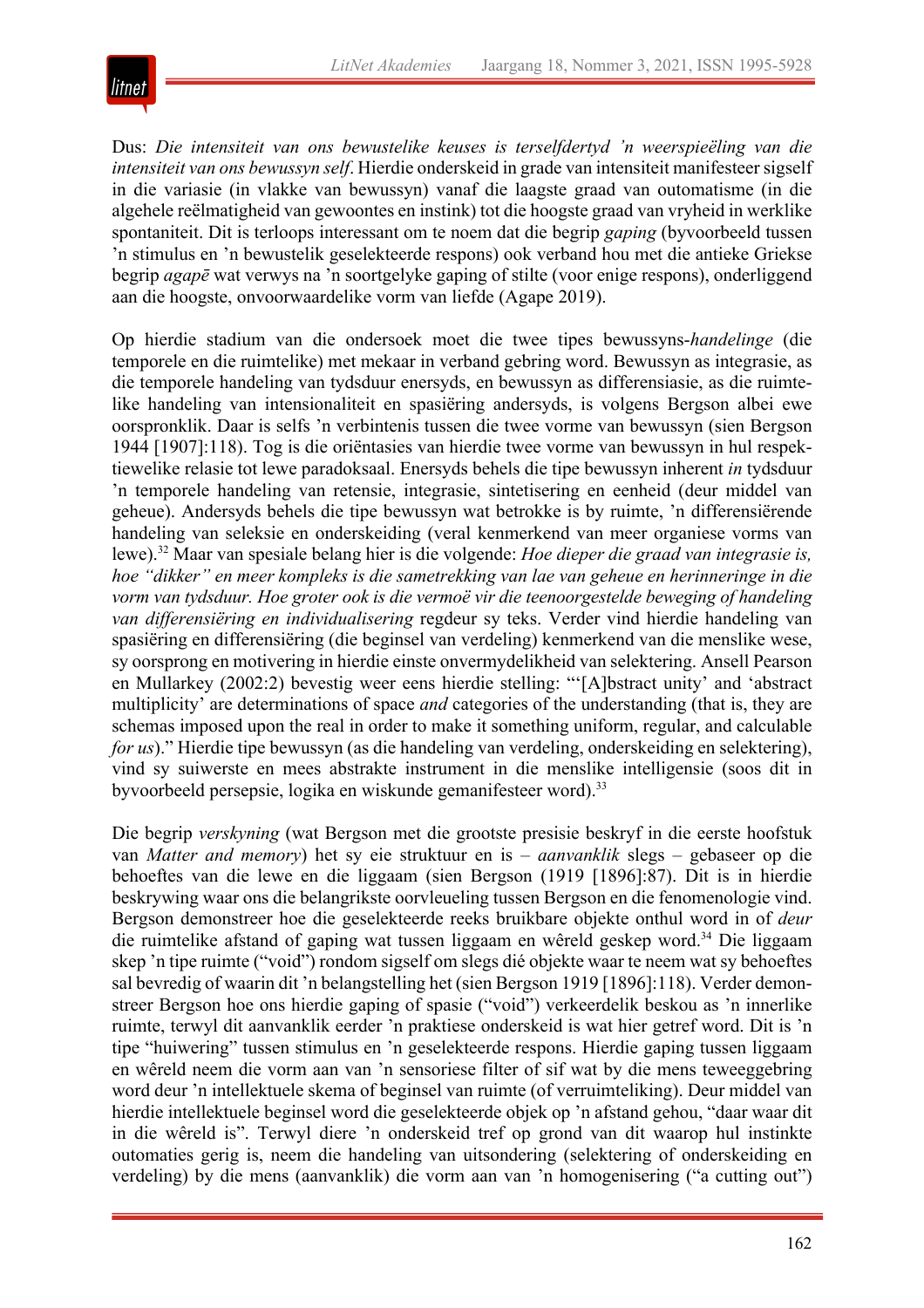

Dus: *Die intensiteit van ons bewustelike keuses is terselfdertyd 'n weerspieëling van die intensiteit van ons bewussyn self*. Hierdie onderskeid in grade van intensiteit manifesteer sigself in die variasie (in vlakke van bewussyn) vanaf die laagste graad van outomatisme (in die algehele reëlmatigheid van gewoontes en instink) tot die hoogste graad van vryheid in werklike spontaniteit. Dit is terloops interessant om te noem dat die begrip *gaping* (byvoorbeeld tussen 'n stimulus en 'n bewustelik geselekteerde respons) ook verband hou met die antieke Griekse begrip *agapē* wat verwys na 'n soortgelyke gaping of stilte (voor enige respons), onderliggend aan die hoogste, onvoorwaardelike vorm van liefde (Agape 2019).

Op hierdie stadium van die ondersoek moet die twee tipes bewussyns-*handelinge* (die temporele en die ruimtelike) met mekaar in verband gebring word. Bewussyn as integrasie, as die temporele handeling van tydsduur enersyds, en bewussyn as differensiasie, as die ruimtelike handeling van intensionaliteit en spasiëring andersyds, is volgens Bergson albei ewe oorspronklik. Daar is selfs 'n verbintenis tussen die twee vorme van bewussyn (sien Bergson 1944 [1907]:118). Tog is die oriëntasies van hierdie twee vorme van bewussyn in hul respektiewelike relasie tot lewe paradoksaal. Enersyds behels die tipe bewussyn inherent *in* tydsduur 'n temporele handeling van retensie, integrasie, sintetisering en eenheid (deur middel van geheue). Andersyds behels die tipe bewussyn wat betrokke is by ruimte, 'n differensiërende handeling van seleksie en onderskeiding (veral kenmerkend van meer organiese vorms van lewe).32 Maar van spesiale belang hier is die volgende: *Hoe dieper die graad van integrasie is, hoe "dikker" en meer kompleks is die sametrekking van lae van geheue en herinneringe in die vorm van tydsduur. Hoe groter ook is die vermoë vir die teenoorgestelde beweging of handeling van differensiëring en individualisering* regdeur sy teks. Verder vind hierdie handeling van spasiëring en differensiëring (die beginsel van verdeling) kenmerkend van die menslike wese, sy oorsprong en motivering in hierdie einste onvermydelikheid van selektering. Ansell Pearson en Mullarkey (2002:2) bevestig weer eens hierdie stelling: "'[A]bstract unity' and 'abstract multiplicity' are determinations of space *and* categories of the understanding (that is, they are schemas imposed upon the real in order to make it something uniform, regular, and calculable *for us*)." Hierdie tipe bewussyn (as die handeling van verdeling, onderskeiding en selektering), vind sy suiwerste en mees abstrakte instrument in die menslike intelligensie (soos dit in byvoorbeeld persepsie, logika en wiskunde gemanifesteer word).33

Die begrip *verskyning* (wat Bergson met die grootste presisie beskryf in die eerste hoofstuk van *Matter and memory*) het sy eie struktuur en is – *aanvanklik* slegs – gebaseer op die behoeftes van die lewe en die liggaam (sien Bergson (1919 [1896]:87). Dit is in hierdie beskrywing waar ons die belangrikste oorvleueling tussen Bergson en die fenomenologie vind. Bergson demonstreer hoe die geselekteerde reeks bruikbare objekte onthul word in of *deur* die ruimtelike afstand of gaping wat tussen liggaam en wêreld geskep word.34 Die liggaam skep 'n tipe ruimte ("void") rondom sigself om slegs dié objekte waar te neem wat sy behoeftes sal bevredig of waarin dit 'n belangstelling het (sien Bergson 1919 [1896]:118). Verder demonstreer Bergson hoe ons hierdie gaping of spasie ("void") verkeerdelik beskou as 'n innerlike ruimte, terwyl dit aanvanklik eerder 'n praktiese onderskeid is wat hier getref word. Dit is 'n tipe "huiwering" tussen stimulus en 'n geselekteerde respons. Hierdie gaping tussen liggaam en wêreld neem die vorm aan van 'n sensoriese filter of sif wat by die mens teweeggebring word deur 'n intellektuele skema of beginsel van ruimte (of verruimteliking). Deur middel van hierdie intellektuele beginsel word die geselekteerde objek op 'n afstand gehou, "daar waar dit in die wêreld is". Terwyl diere 'n onderskeid tref op grond van dit waarop hul instinkte outomaties gerig is, neem die handeling van uitsondering (selektering of onderskeiding en verdeling) by die mens (aanvanklik) die vorm aan van 'n homogenisering ("a cutting out")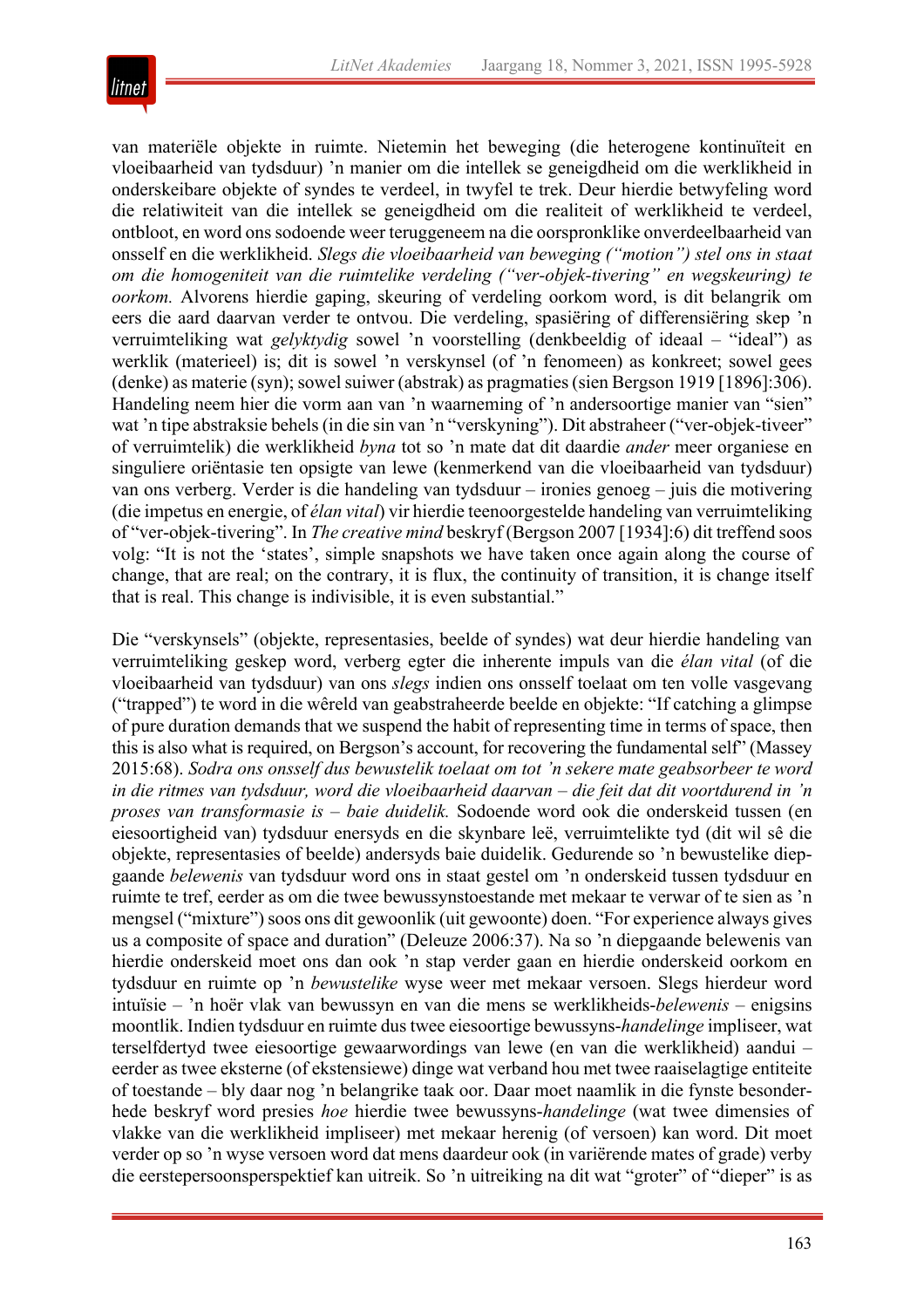

van materiële objekte in ruimte. Nietemin het beweging (die heterogene kontinuïteit en vloeibaarheid van tydsduur) 'n manier om die intellek se geneigdheid om die werklikheid in onderskeibare objekte of syndes te verdeel, in twyfel te trek. Deur hierdie betwyfeling word die relatiwiteit van die intellek se geneigdheid om die realiteit of werklikheid te verdeel, ontbloot, en word ons sodoende weer teruggeneem na die oorspronklike onverdeelbaarheid van onsself en die werklikheid. *Slegs die vloeibaarheid van beweging ("motion") stel ons in staat om die homogeniteit van die ruimtelike verdeling ("ver-objek-tivering" en wegskeuring) te oorkom.* Alvorens hierdie gaping, skeuring of verdeling oorkom word, is dit belangrik om eers die aard daarvan verder te ontvou. Die verdeling, spasiëring of differensiëring skep 'n verruimteliking wat *gelyktydig* sowel 'n voorstelling (denkbeeldig of ideaal – "ideal") as werklik (materieel) is; dit is sowel 'n verskynsel (of 'n fenomeen) as konkreet; sowel gees (denke) as materie (syn); sowel suiwer (abstrak) as pragmaties (sien Bergson 1919 [1896]:306). Handeling neem hier die vorm aan van 'n waarneming of 'n andersoortige manier van "sien" wat 'n tipe abstraksie behels (in die sin van 'n "verskyning"). Dit abstraheer ("ver-objek-tiveer" of verruimtelik) die werklikheid *byna* tot so 'n mate dat dit daardie *ander* meer organiese en singuliere oriëntasie ten opsigte van lewe (kenmerkend van die vloeibaarheid van tydsduur) van ons verberg. Verder is die handeling van tydsduur – ironies genoeg – juis die motivering (die impetus en energie, of *élan vital*) vir hierdie teenoorgestelde handeling van verruimteliking of "ver-objek-tivering". In *The creative mind* beskryf (Bergson 2007 [1934]:6) dit treffend soos volg: "It is not the 'states', simple snapshots we have taken once again along the course of change, that are real; on the contrary, it is flux, the continuity of transition, it is change itself that is real. This change is indivisible, it is even substantial."

Die "verskynsels" (objekte, representasies, beelde of syndes) wat deur hierdie handeling van verruimteliking geskep word, verberg egter die inherente impuls van die *élan vital* (of die vloeibaarheid van tydsduur) van ons *slegs* indien ons onsself toelaat om ten volle vasgevang ("trapped") te word in die wêreld van geabstraheerde beelde en objekte: "If catching a glimpse of pure duration demands that we suspend the habit of representing time in terms of space, then this is also what is required, on Bergson's account, for recovering the fundamental self" (Massey 2015:68). *Sodra ons onsself dus bewustelik toelaat om tot 'n sekere mate geabsorbeer te word in die ritmes van tydsduur, word die vloeibaarheid daarvan – die feit dat dit voortdurend in 'n proses van transformasie is – baie duidelik.* Sodoende word ook die onderskeid tussen (en eiesoortigheid van) tydsduur enersyds en die skynbare leë, verruimtelikte tyd (dit wil sê die objekte, representasies of beelde) andersyds baie duidelik. Gedurende so 'n bewustelike diepgaande *belewenis* van tydsduur word ons in staat gestel om 'n onderskeid tussen tydsduur en ruimte te tref, eerder as om die twee bewussynstoestande met mekaar te verwar of te sien as 'n mengsel ("mixture") soos ons dit gewoonlik (uit gewoonte) doen. "For experience always gives us a composite of space and duration" (Deleuze 2006:37). Na so 'n diepgaande belewenis van hierdie onderskeid moet ons dan ook 'n stap verder gaan en hierdie onderskeid oorkom en tydsduur en ruimte op 'n *bewustelike* wyse weer met mekaar versoen. Slegs hierdeur word intuïsie – 'n hoër vlak van bewussyn en van die mens se werklikheids-*belewenis* – enigsins moontlik. Indien tydsduur en ruimte dus twee eiesoortige bewussyns-*handelinge* impliseer, wat terselfdertyd twee eiesoortige gewaarwordings van lewe (en van die werklikheid) aandui – eerder as twee eksterne (of ekstensiewe) dinge wat verband hou met twee raaiselagtige entiteite of toestande – bly daar nog 'n belangrike taak oor. Daar moet naamlik in die fynste besonderhede beskryf word presies *hoe* hierdie twee bewussyns-*handelinge* (wat twee dimensies of vlakke van die werklikheid impliseer) met mekaar herenig (of versoen) kan word. Dit moet verder op so 'n wyse versoen word dat mens daardeur ook (in variërende mates of grade) verby die eerstepersoonsperspektief kan uitreik. So 'n uitreiking na dit wat "groter" of "dieper" is as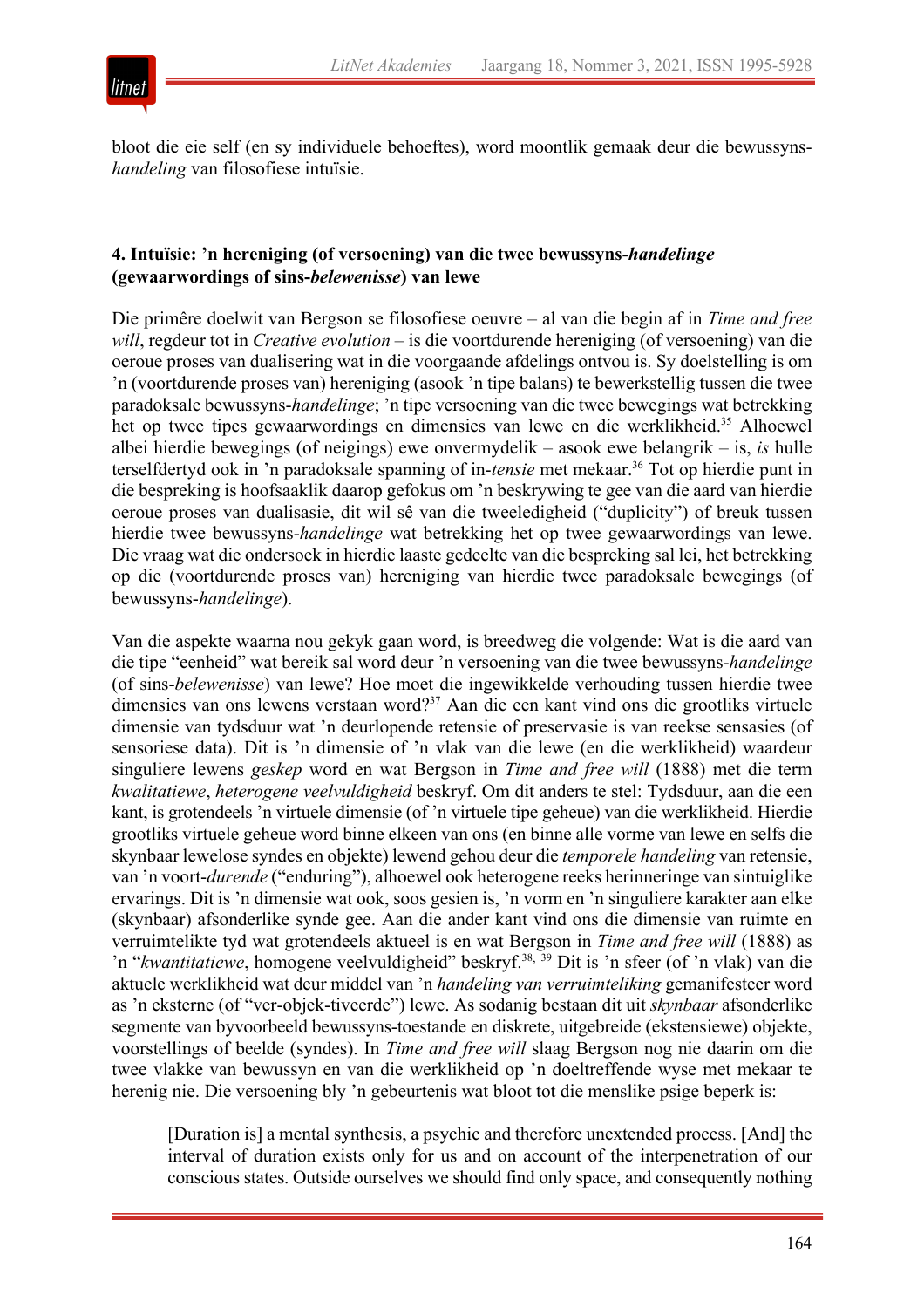



bloot die eie self (en sy individuele behoeftes), word moontlik gemaak deur die bewussyns*handeling* van filosofiese intuïsie.

### **4. Intuïsie: 'n hereniging (of versoening) van die twee bewussyns-***handelinge* **(gewaarwordings of sins-***belewenisse***) van lewe**

Die primêre doelwit van Bergson se filosofiese oeuvre – al van die begin af in *Time and free will*, regdeur tot in *Creative evolution* – is die voortdurende hereniging (of versoening) van die oeroue proses van dualisering wat in die voorgaande afdelings ontvou is. Sy doelstelling is om 'n (voortdurende proses van) hereniging (asook 'n tipe balans) te bewerkstellig tussen die twee paradoksale bewussyns-*handelinge*; 'n tipe versoening van die twee bewegings wat betrekking het op twee tipes gewaarwordings en dimensies van lewe en die werklikheid.<sup>35</sup> Alhoewel albei hierdie bewegings (of neigings) ewe onvermydelik – asook ewe belangrik – is, *is* hulle terselfdertyd ook in 'n paradoksale spanning of in-*tensie* met mekaar.36 Tot op hierdie punt in die bespreking is hoofsaaklik daarop gefokus om 'n beskrywing te gee van die aard van hierdie oeroue proses van dualisasie, dit wil sê van die tweeledigheid ("duplicity") of breuk tussen hierdie twee bewussyns-*handelinge* wat betrekking het op twee gewaarwordings van lewe. Die vraag wat die ondersoek in hierdie laaste gedeelte van die bespreking sal lei, het betrekking op die (voortdurende proses van) hereniging van hierdie twee paradoksale bewegings (of bewussyns-*handelinge*).

Van die aspekte waarna nou gekyk gaan word, is breedweg die volgende: Wat is die aard van die tipe "eenheid" wat bereik sal word deur 'n versoening van die twee bewussyns-*handelinge* (of sins-*belewenisse*) van lewe? Hoe moet die ingewikkelde verhouding tussen hierdie twee dimensies van ons lewens verstaan word?<sup>37</sup> Aan die een kant vind ons die grootliks virtuele dimensie van tydsduur wat 'n deurlopende retensie of preservasie is van reekse sensasies (of sensoriese data). Dit is 'n dimensie of 'n vlak van die lewe (en die werklikheid) waardeur singuliere lewens *geskep* word en wat Bergson in *Time and free will* (1888) met die term *kwalitatiewe*, *heterogene veelvuldigheid* beskryf. Om dit anders te stel: Tydsduur, aan die een kant, is grotendeels 'n virtuele dimensie (of 'n virtuele tipe geheue) van die werklikheid. Hierdie grootliks virtuele geheue word binne elkeen van ons (en binne alle vorme van lewe en selfs die skynbaar lewelose syndes en objekte) lewend gehou deur die *temporele handeling* van retensie, van 'n voort-*durende* ("enduring"), alhoewel ook heterogene reeks herinneringe van sintuiglike ervarings. Dit is 'n dimensie wat ook, soos gesien is, 'n vorm en 'n singuliere karakter aan elke (skynbaar) afsonderlike synde gee. Aan die ander kant vind ons die dimensie van ruimte en verruimtelikte tyd wat grotendeels aktueel is en wat Bergson in *Time and free will* (1888) as 'n "*kwantitatiewe*, homogene veelvuldigheid" beskryf.<sup>38, 39</sup> Dit is 'n sfeer (of 'n vlak) van die aktuele werklikheid wat deur middel van 'n *handeling van verruimteliking* gemanifesteer word as 'n eksterne (of "ver-objek-tiveerde") lewe. As sodanig bestaan dit uit *skynbaar* afsonderlike segmente van byvoorbeeld bewussyns-toestande en diskrete, uitgebreide (ekstensiewe) objekte, voorstellings of beelde (syndes). In *Time and free will* slaag Bergson nog nie daarin om die twee vlakke van bewussyn en van die werklikheid op 'n doeltreffende wyse met mekaar te herenig nie. Die versoening bly 'n gebeurtenis wat bloot tot die menslike psige beperk is:

[Duration is] a mental synthesis, a psychic and therefore unextended process. [And] the interval of duration exists only for us and on account of the interpenetration of our conscious states. Outside ourselves we should find only space, and consequently nothing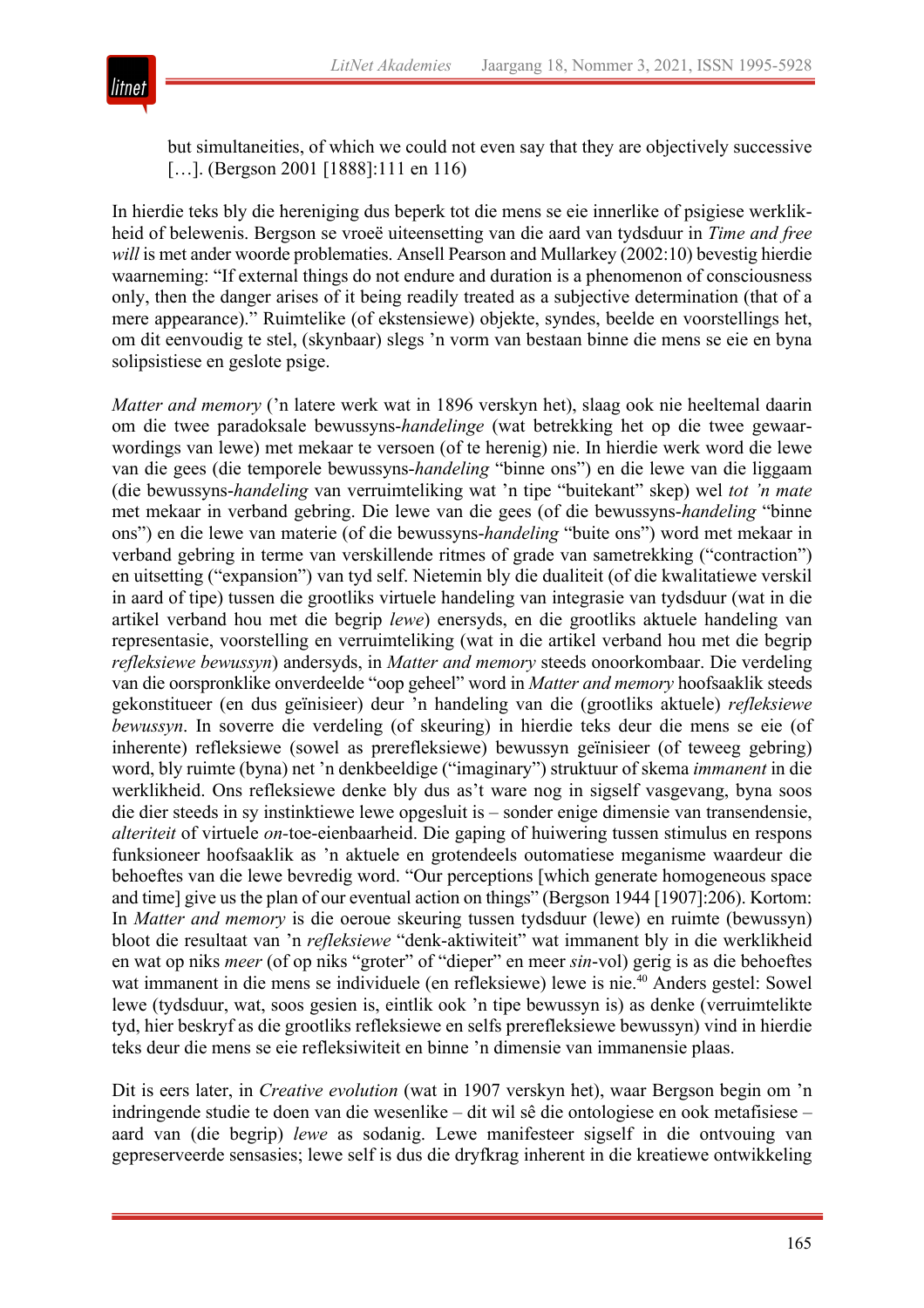

but simultaneities, of which we could not even say that they are objectively successive [...]. (Bergson 2001 [1888]:111 en 116)

In hierdie teks bly die hereniging dus beperk tot die mens se eie innerlike of psigiese werklikheid of belewenis. Bergson se vroeë uiteensetting van die aard van tydsduur in *Time and free will* is met ander woorde problematies. Ansell Pearson and Mullarkey (2002:10) bevestig hierdie waarneming: "If external things do not endure and duration is a phenomenon of consciousness only, then the danger arises of it being readily treated as a subjective determination (that of a mere appearance)." Ruimtelike (of ekstensiewe) objekte, syndes, beelde en voorstellings het, om dit eenvoudig te stel, (skynbaar) slegs 'n vorm van bestaan binne die mens se eie en byna solipsistiese en geslote psige.

*Matter and memory* ('n latere werk wat in 1896 verskyn het), slaag ook nie heeltemal daarin om die twee paradoksale bewussyns-*handelinge* (wat betrekking het op die twee gewaarwordings van lewe) met mekaar te versoen (of te herenig) nie. In hierdie werk word die lewe van die gees (die temporele bewussyns-*handeling* "binne ons") en die lewe van die liggaam (die bewussyns-*handeling* van verruimteliking wat 'n tipe "buitekant" skep) wel *tot 'n mate* met mekaar in verband gebring. Die lewe van die gees (of die bewussyns-*handeling* "binne ons") en die lewe van materie (of die bewussyns-*handeling* "buite ons") word met mekaar in verband gebring in terme van verskillende ritmes of grade van sametrekking ("contraction") en uitsetting ("expansion") van tyd self. Nietemin bly die dualiteit (of die kwalitatiewe verskil in aard of tipe) tussen die grootliks virtuele handeling van integrasie van tydsduur (wat in die artikel verband hou met die begrip *lewe*) enersyds, en die grootliks aktuele handeling van representasie, voorstelling en verruimteliking (wat in die artikel verband hou met die begrip *refleksiewe bewussyn*) andersyds, in *Matter and memory* steeds onoorkombaar. Die verdeling van die oorspronklike onverdeelde "oop geheel" word in *Matter and memory* hoofsaaklik steeds gekonstitueer (en dus geïnisieer) deur 'n handeling van die (grootliks aktuele) *refleksiewe bewussyn*. In soverre die verdeling (of skeuring) in hierdie teks deur die mens se eie (of inherente) refleksiewe (sowel as prerefleksiewe) bewussyn geïnisieer (of teweeg gebring) word, bly ruimte (byna) net 'n denkbeeldige ("imaginary") struktuur of skema *immanent* in die werklikheid. Ons refleksiewe denke bly dus as't ware nog in sigself vasgevang, byna soos die dier steeds in sy instinktiewe lewe opgesluit is – sonder enige dimensie van transendensie, *alteriteit* of virtuele *on-*toe-eienbaarheid. Die gaping of huiwering tussen stimulus en respons funksioneer hoofsaaklik as 'n aktuele en grotendeels outomatiese meganisme waardeur die behoeftes van die lewe bevredig word. "Our perceptions [which generate homogeneous space and time] give us the plan of our eventual action on things" (Bergson 1944 [1907]:206). Kortom: In *Matter and memory* is die oeroue skeuring tussen tydsduur (lewe) en ruimte (bewussyn) bloot die resultaat van 'n *refleksiewe* "denk-aktiwiteit" wat immanent bly in die werklikheid en wat op niks *meer* (of op niks "groter" of "dieper" en meer *sin*-vol) gerig is as die behoeftes wat immanent in die mens se individuele (en refleksiewe) lewe is nie.<sup>40</sup> Anders gestel: Sowel lewe (tydsduur, wat, soos gesien is, eintlik ook 'n tipe bewussyn is) as denke (verruimtelikte tyd, hier beskryf as die grootliks refleksiewe en selfs prerefleksiewe bewussyn) vind in hierdie teks deur die mens se eie refleksiwiteit en binne 'n dimensie van immanensie plaas.

Dit is eers later, in *Creative evolution* (wat in 1907 verskyn het), waar Bergson begin om 'n indringende studie te doen van die wesenlike – dit wil sê die ontologiese en ook metafisiese – aard van (die begrip) *lewe* as sodanig. Lewe manifesteer sigself in die ontvouing van gepreserveerde sensasies; lewe self is dus die dryfkrag inherent in die kreatiewe ontwikkeling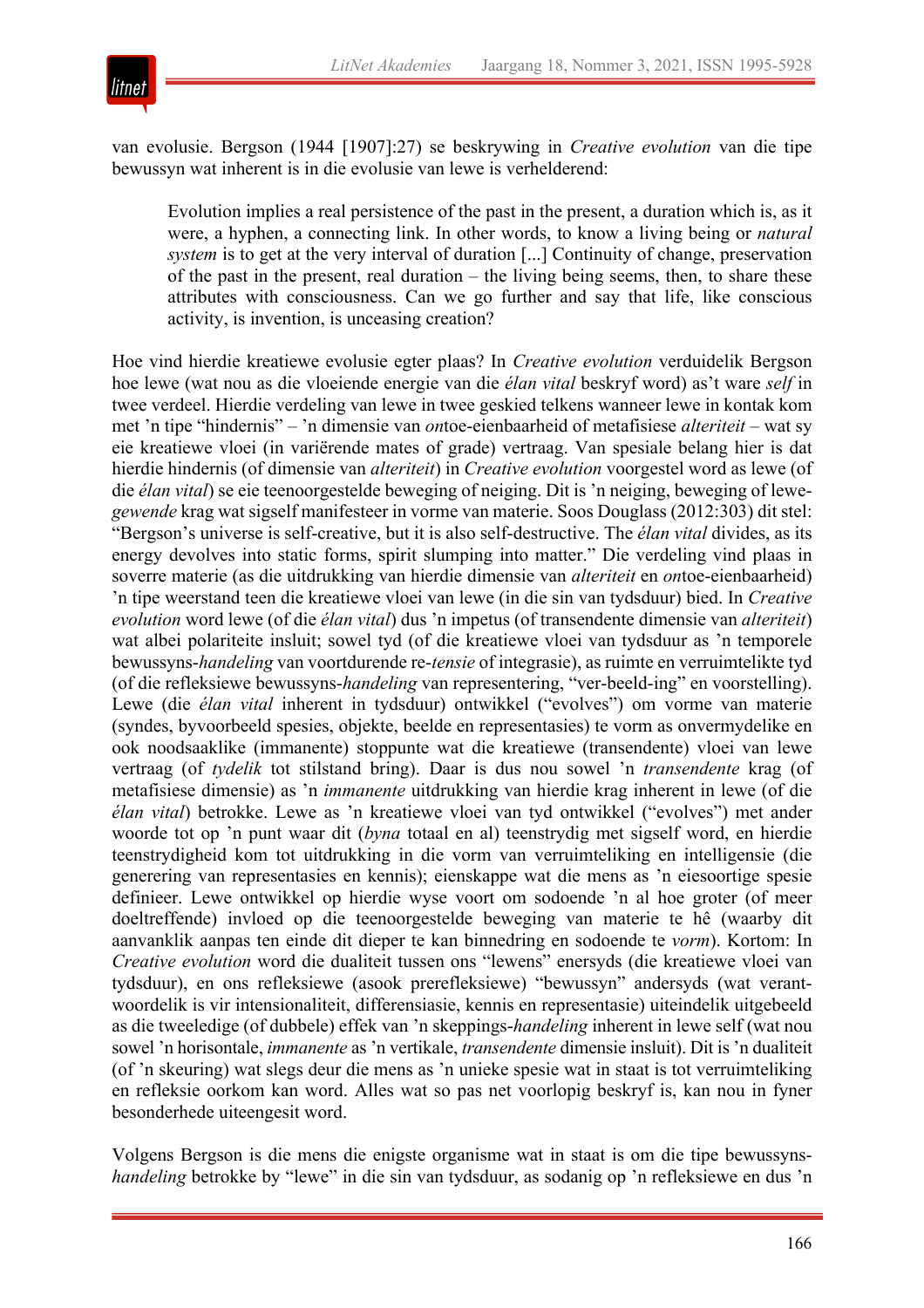

van evolusie. Bergson (1944 [1907]:27) se beskrywing in *Creative evolution* van die tipe bewussyn wat inherent is in die evolusie van lewe is verhelderend:

Evolution implies a real persistence of the past in the present, a duration which is, as it were, a hyphen, a connecting link. In other words, to know a living being or *natural system* is to get at the very interval of duration [...] Continuity of change, preservation of the past in the present, real duration – the living being seems, then, to share these attributes with consciousness. Can we go further and say that life, like conscious activity, is invention, is unceasing creation?

Hoe vind hierdie kreatiewe evolusie egter plaas? In *Creative evolution* verduidelik Bergson hoe lewe (wat nou as die vloeiende energie van die *élan vital* beskryf word) as't ware *self* in twee verdeel. Hierdie verdeling van lewe in twee geskied telkens wanneer lewe in kontak kom met 'n tipe "hindernis" – 'n dimensie van *on*toe-eienbaarheid of metafisiese *alteriteit* – wat sy eie kreatiewe vloei (in variërende mates of grade) vertraag. Van spesiale belang hier is dat hierdie hindernis (of dimensie van *alteriteit*) in *Creative evolution* voorgestel word as lewe (of die *élan vital*) se eie teenoorgestelde beweging of neiging. Dit is 'n neiging, beweging of lewe*gewende* krag wat sigself manifesteer in vorme van materie. Soos Douglass (2012:303) dit stel: "Bergson's universe is self-creative, but it is also self-destructive. The *élan vital* divides, as its energy devolves into static forms, spirit slumping into matter." Die verdeling vind plaas in soverre materie (as die uitdrukking van hierdie dimensie van *alteriteit* en *on*toe-eienbaarheid) 'n tipe weerstand teen die kreatiewe vloei van lewe (in die sin van tydsduur) bied. In *Creative evolution* word lewe (of die *élan vital*) dus 'n impetus (of transendente dimensie van *alteriteit*) wat albei polariteite insluit; sowel tyd (of die kreatiewe vloei van tydsduur as 'n temporele bewussyns-*handeling* van voortdurende re-*tensie* of integrasie), as ruimte en verruimtelikte tyd (of die refleksiewe bewussyns-*handeling* van representering, "ver-beeld-ing" en voorstelling). Lewe (die *élan vital* inherent in tydsduur) ontwikkel ("evolves") om vorme van materie (syndes, byvoorbeeld spesies, objekte, beelde en representasies) te vorm as onvermydelike en ook noodsaaklike (immanente) stoppunte wat die kreatiewe (transendente) vloei van lewe vertraag (of *tydelik* tot stilstand bring). Daar is dus nou sowel 'n *transendente* krag (of metafisiese dimensie) as 'n *immanente* uitdrukking van hierdie krag inherent in lewe (of die *élan vital*) betrokke. Lewe as 'n kreatiewe vloei van tyd ontwikkel ("evolves") met ander woorde tot op 'n punt waar dit (*byna* totaal en al) teenstrydig met sigself word, en hierdie teenstrydigheid kom tot uitdrukking in die vorm van verruimteliking en intelligensie (die generering van representasies en kennis); eienskappe wat die mens as 'n eiesoortige spesie definieer. Lewe ontwikkel op hierdie wyse voort om sodoende 'n al hoe groter (of meer doeltreffende) invloed op die teenoorgestelde beweging van materie te hê (waarby dit aanvanklik aanpas ten einde dit dieper te kan binnedring en sodoende te *vorm*). Kortom: In *Creative evolution* word die dualiteit tussen ons "lewens" enersyds (die kreatiewe vloei van tydsduur), en ons refleksiewe (asook prerefleksiewe) "bewussyn" andersyds (wat verantwoordelik is vir intensionaliteit, differensiasie, kennis en representasie) uiteindelik uitgebeeld as die tweeledige (of dubbele) effek van 'n skeppings-*handeling* inherent in lewe self (wat nou sowel 'n horisontale, *immanente* as 'n vertikale, *transendente* dimensie insluit). Dit is 'n dualiteit (of 'n skeuring) wat slegs deur die mens as 'n unieke spesie wat in staat is tot verruimteliking en refleksie oorkom kan word. Alles wat so pas net voorlopig beskryf is, kan nou in fyner besonderhede uiteengesit word.

Volgens Bergson is die mens die enigste organisme wat in staat is om die tipe bewussyns*handeling* betrokke by "lewe" in die sin van tydsduur, as sodanig op 'n refleksiewe en dus 'n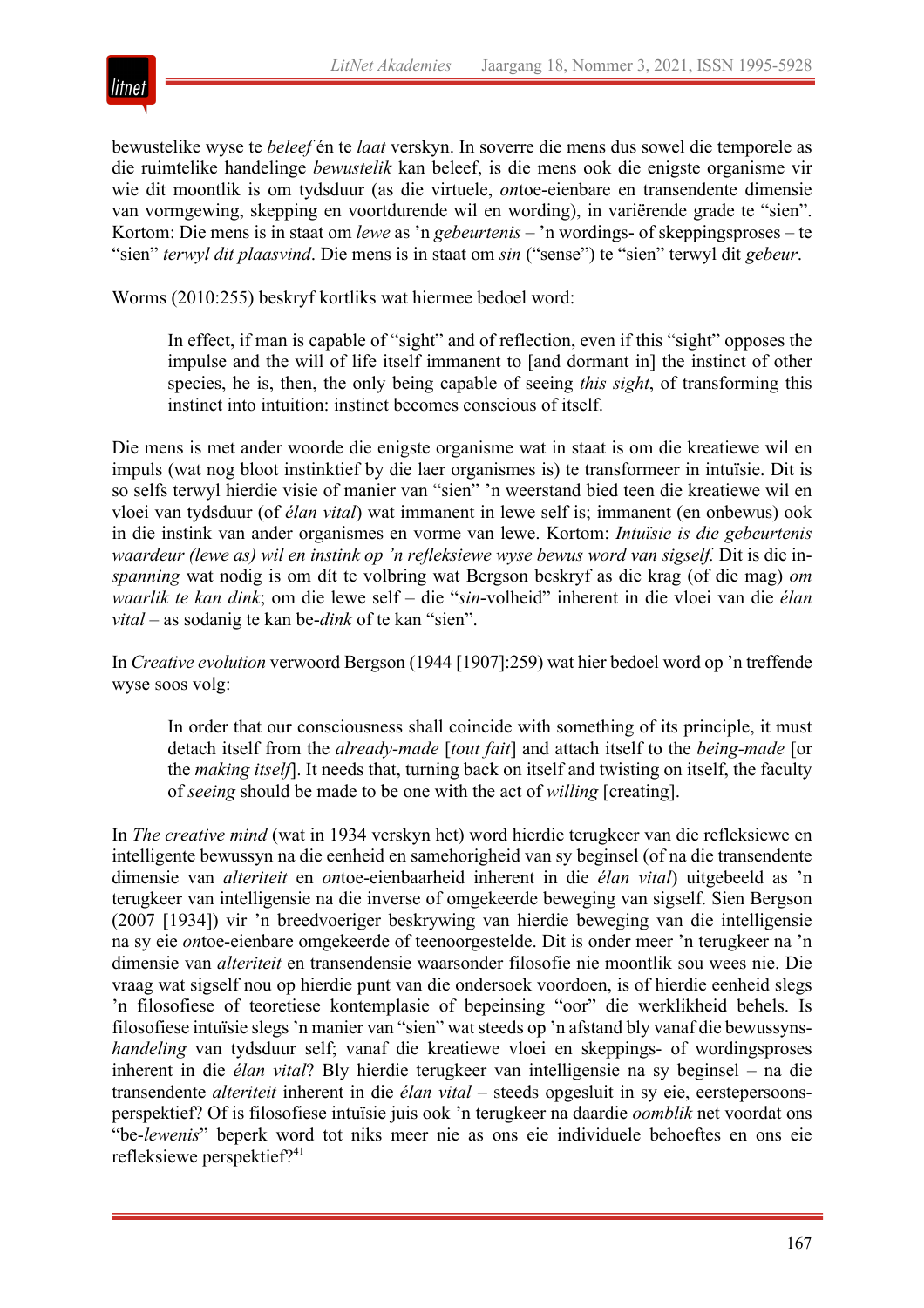

bewustelike wyse te *beleef* én te *laat* verskyn. In soverre die mens dus sowel die temporele as die ruimtelike handelinge *bewustelik* kan beleef, is die mens ook die enigste organisme vir wie dit moontlik is om tydsduur (as die virtuele, *on*toe-eienbare en transendente dimensie van vormgewing, skepping en voortdurende wil en wording), in variërende grade te "sien". Kortom: Die mens is in staat om *lewe* as 'n *gebeurtenis* – 'n wordings- of skeppingsproses – te "sien" *terwyl dit plaasvind*. Die mens is in staat om *sin* ("sense") te "sien" terwyl dit *gebeur*.

Worms (2010:255) beskryf kortliks wat hiermee bedoel word:

In effect, if man is capable of "sight" and of reflection, even if this "sight" opposes the impulse and the will of life itself immanent to [and dormant in] the instinct of other species, he is, then, the only being capable of seeing *this sight*, of transforming this instinct into intuition: instinct becomes conscious of itself.

Die mens is met ander woorde die enigste organisme wat in staat is om die kreatiewe wil en impuls (wat nog bloot instinktief by die laer organismes is) te transformeer in intuïsie. Dit is so selfs terwyl hierdie visie of manier van "sien" 'n weerstand bied teen die kreatiewe wil en vloei van tydsduur (of *élan vital*) wat immanent in lewe self is; immanent (en onbewus) ook in die instink van ander organismes en vorme van lewe. Kortom: *Intuïsie is die gebeurtenis waardeur (lewe as) wil en instink op 'n refleksiewe wyse bewus word van sigself.* Dit is die in*spanning* wat nodig is om dít te volbring wat Bergson beskryf as die krag (of die mag) *om waarlik te kan dink*; om die lewe self – die "*sin*-volheid" inherent in die vloei van die *élan vital* – as sodanig te kan be-*dink* of te kan "sien".

In *Creative evolution* verwoord Bergson (1944 [1907]:259) wat hier bedoel word op 'n treffende wyse soos volg:

In order that our consciousness shall coincide with something of its principle, it must detach itself from the *already-made* [*tout fait*] and attach itself to the *being-made* [or the *making itself*]. It needs that, turning back on itself and twisting on itself, the faculty of *seeing* should be made to be one with the act of *willing* [creating].

In *The creative mind* (wat in 1934 verskyn het) word hierdie terugkeer van die refleksiewe en intelligente bewussyn na die eenheid en samehorigheid van sy beginsel (of na die transendente dimensie van *alteriteit* en *on*toe-eienbaarheid inherent in die *élan vital*) uitgebeeld as 'n terugkeer van intelligensie na die inverse of omgekeerde beweging van sigself. Sien Bergson (2007 [1934]) vir 'n breedvoeriger beskrywing van hierdie beweging van die intelligensie na sy eie *on*toe-eienbare omgekeerde of teenoorgestelde. Dit is onder meer 'n terugkeer na 'n dimensie van *alteriteit* en transendensie waarsonder filosofie nie moontlik sou wees nie. Die vraag wat sigself nou op hierdie punt van die ondersoek voordoen, is of hierdie eenheid slegs 'n filosofiese of teoretiese kontemplasie of bepeinsing "oor" die werklikheid behels. Is filosofiese intuïsie slegs 'n manier van "sien" wat steeds op 'n afstand bly vanaf die bewussyns*handeling* van tydsduur self; vanaf die kreatiewe vloei en skeppings- of wordingsproses inherent in die *élan vital*? Bly hierdie terugkeer van intelligensie na sy beginsel – na die transendente *alteriteit* inherent in die *élan vital* – steeds opgesluit in sy eie, eerstepersoonsperspektief? Of is filosofiese intuïsie juis ook 'n terugkeer na daardie *oomblik* net voordat ons "be-*lewenis*" beperk word tot niks meer nie as ons eie individuele behoeftes en ons eie refleksiewe perspektief?<sup>41</sup>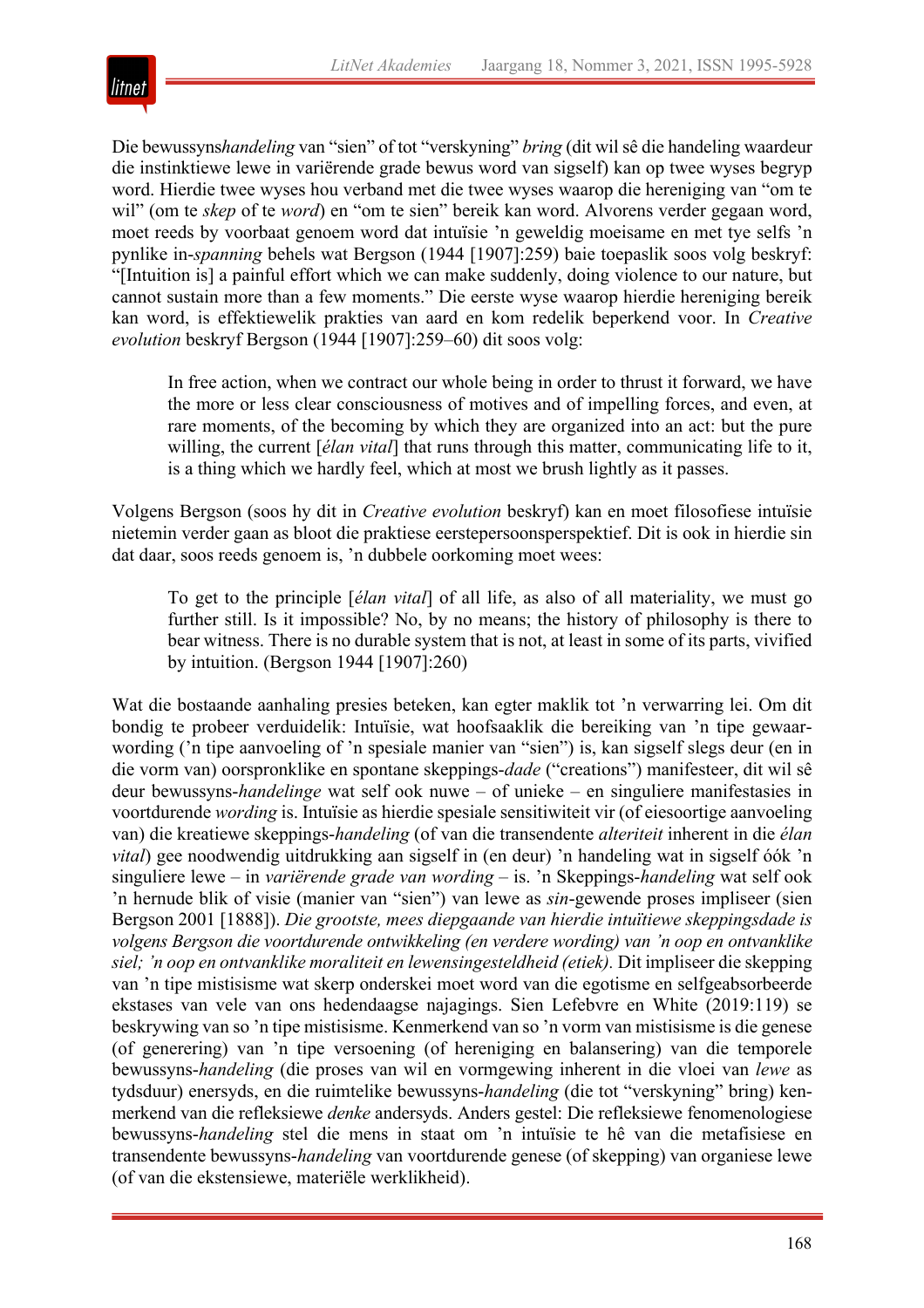

Die bewussyns*handeling* van "sien" of tot "verskyning" *bring* (dit wil sê die handeling waardeur die instinktiewe lewe in variërende grade bewus word van sigself) kan op twee wyses begryp word. Hierdie twee wyses hou verband met die twee wyses waarop die hereniging van "om te wil" (om te *skep* of te *word*) en "om te sien" bereik kan word. Alvorens verder gegaan word, moet reeds by voorbaat genoem word dat intuïsie 'n geweldig moeisame en met tye selfs 'n pynlike in-*spanning* behels wat Bergson (1944 [1907]:259) baie toepaslik soos volg beskryf: "[Intuition is] a painful effort which we can make suddenly, doing violence to our nature, but cannot sustain more than a few moments." Die eerste wyse waarop hierdie hereniging bereik kan word, is effektiewelik prakties van aard en kom redelik beperkend voor. In *Creative evolution* beskryf Bergson (1944 [1907]:259–60) dit soos volg:

In free action, when we contract our whole being in order to thrust it forward, we have the more or less clear consciousness of motives and of impelling forces, and even, at rare moments, of the becoming by which they are organized into an act: but the pure willing, the current [*élan vital*] that runs through this matter, communicating life to it, is a thing which we hardly feel, which at most we brush lightly as it passes.

Volgens Bergson (soos hy dit in *Creative evolution* beskryf) kan en moet filosofiese intuïsie nietemin verder gaan as bloot die praktiese eerstepersoonsperspektief. Dit is ook in hierdie sin dat daar, soos reeds genoem is, 'n dubbele oorkoming moet wees:

To get to the principle [*élan vital*] of all life, as also of all materiality, we must go further still. Is it impossible? No, by no means; the history of philosophy is there to bear witness. There is no durable system that is not, at least in some of its parts, vivified by intuition. (Bergson 1944 [1907]:260)

Wat die bostaande aanhaling presies beteken, kan egter maklik tot 'n verwarring lei. Om dit bondig te probeer verduidelik: Intuïsie, wat hoofsaaklik die bereiking van 'n tipe gewaarwording ('n tipe aanvoeling of 'n spesiale manier van "sien") is, kan sigself slegs deur (en in die vorm van) oorspronklike en spontane skeppings-*dade* ("creations") manifesteer, dit wil sê deur bewussyns-*handelinge* wat self ook nuwe – of unieke – en singuliere manifestasies in voortdurende *wording* is. Intuïsie as hierdie spesiale sensitiwiteit vir (of eiesoortige aanvoeling van) die kreatiewe skeppings-*handeling* (of van die transendente *alteriteit* inherent in die *élan vital*) gee noodwendig uitdrukking aan sigself in (en deur) 'n handeling wat in sigself óók 'n singuliere lewe – in *variërende grade van wording* – is. 'n Skeppings-*handeling* wat self ook 'n hernude blik of visie (manier van "sien") van lewe as *sin*-gewende proses impliseer (sien Bergson 2001 [1888]). *Die grootste, mees diepgaande van hierdie intuïtiewe skeppingsdade is volgens Bergson die voortdurende ontwikkeling (en verdere wording) van 'n oop en ontvanklike siel; 'n oop en ontvanklike moraliteit en lewensingesteldheid (etiek).* Dit impliseer die skepping van 'n tipe mistisisme wat skerp onderskei moet word van die egotisme en selfgeabsorbeerde ekstases van vele van ons hedendaagse najagings. Sien Lefebvre en White (2019:119) se beskrywing van so 'n tipe mistisisme. Kenmerkend van so 'n vorm van mistisisme is die genese (of generering) van 'n tipe versoening (of hereniging en balansering) van die temporele bewussyns-*handeling* (die proses van wil en vormgewing inherent in die vloei van *lewe* as tydsduur) enersyds, en die ruimtelike bewussyns-*handeling* (die tot "verskyning" bring) kenmerkend van die refleksiewe *denke* andersyds. Anders gestel: Die refleksiewe fenomenologiese bewussyns-*handeling* stel die mens in staat om 'n intuïsie te hê van die metafisiese en transendente bewussyns-*handeling* van voortdurende genese (of skepping) van organiese lewe (of van die ekstensiewe, materiële werklikheid).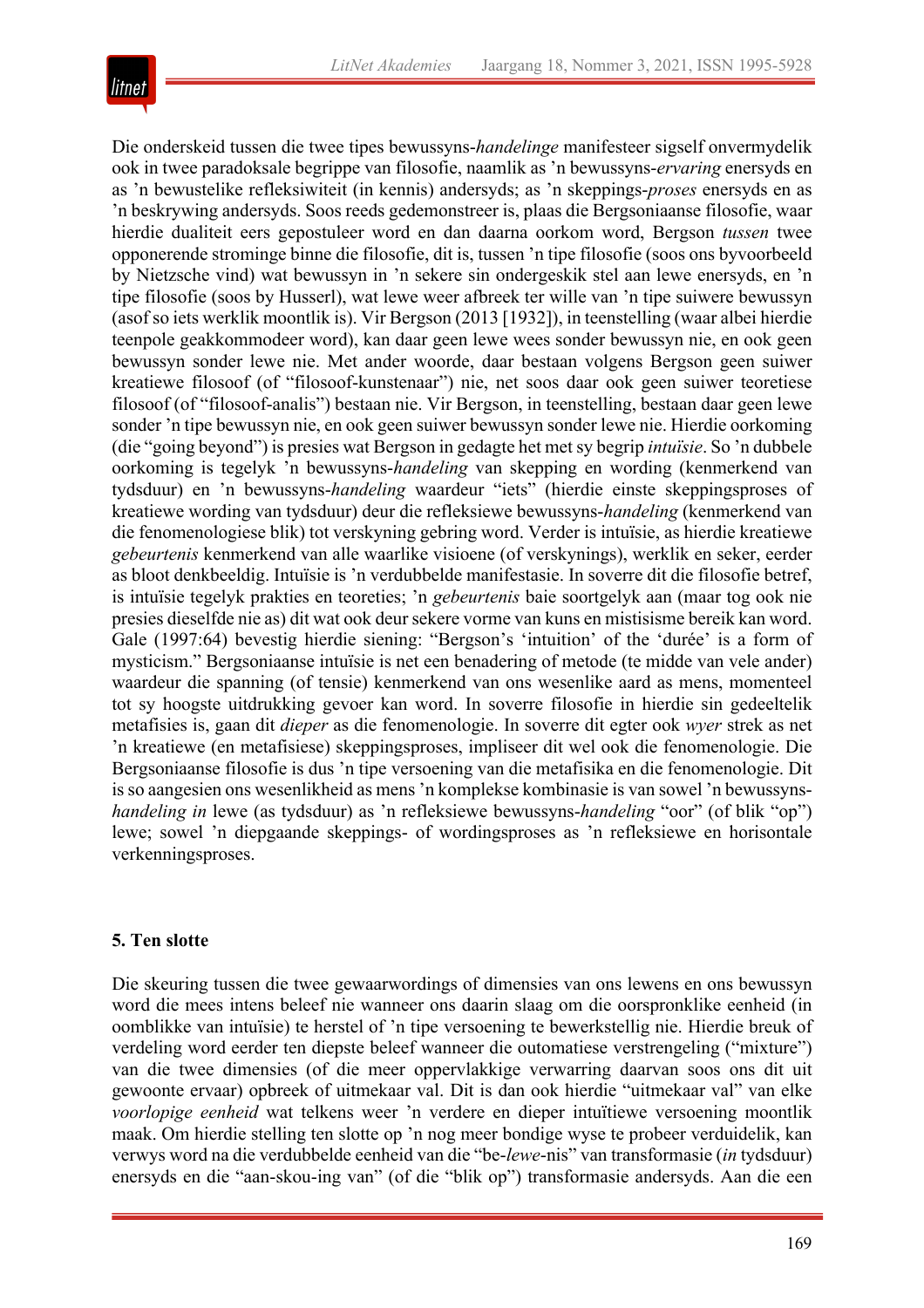

Die onderskeid tussen die twee tipes bewussyns-*handelinge* manifesteer sigself onvermydelik ook in twee paradoksale begrippe van filosofie, naamlik as 'n bewussyns-*ervaring* enersyds en as 'n bewustelike refleksiwiteit (in kennis) andersyds; as 'n skeppings-*proses* enersyds en as 'n beskrywing andersyds. Soos reeds gedemonstreer is, plaas die Bergsoniaanse filosofie, waar hierdie dualiteit eers gepostuleer word en dan daarna oorkom word, Bergson *tussen* twee opponerende strominge binne die filosofie, dit is, tussen 'n tipe filosofie (soos ons byvoorbeeld by Nietzsche vind) wat bewussyn in 'n sekere sin ondergeskik stel aan lewe enersyds, en 'n tipe filosofie (soos by Husserl), wat lewe weer afbreek ter wille van 'n tipe suiwere bewussyn (asof so iets werklik moontlik is). Vir Bergson (2013 [1932]), in teenstelling (waar albei hierdie teenpole geakkommodeer word), kan daar geen lewe wees sonder bewussyn nie, en ook geen bewussyn sonder lewe nie. Met ander woorde, daar bestaan volgens Bergson geen suiwer kreatiewe filosoof (of "filosoof-kunstenaar") nie, net soos daar ook geen suiwer teoretiese filosoof (of "filosoof-analis") bestaan nie. Vir Bergson, in teenstelling, bestaan daar geen lewe sonder 'n tipe bewussyn nie, en ook geen suiwer bewussyn sonder lewe nie. Hierdie oorkoming (die "going beyond") is presies wat Bergson in gedagte het met sy begrip *intuïsie*. So 'n dubbele oorkoming is tegelyk 'n bewussyns-*handeling* van skepping en wording (kenmerkend van tydsduur) en 'n bewussyns-*handeling* waardeur "iets" (hierdie einste skeppingsproses of kreatiewe wording van tydsduur) deur die refleksiewe bewussyns-*handeling* (kenmerkend van die fenomenologiese blik) tot verskyning gebring word. Verder is intuïsie, as hierdie kreatiewe *gebeurtenis* kenmerkend van alle waarlike visioene (of verskynings), werklik en seker, eerder as bloot denkbeeldig. Intuïsie is 'n verdubbelde manifestasie. In soverre dit die filosofie betref, is intuïsie tegelyk prakties en teoreties; 'n *gebeurtenis* baie soortgelyk aan (maar tog ook nie presies dieselfde nie as) dit wat ook deur sekere vorme van kuns en mistisisme bereik kan word. Gale (1997:64) bevestig hierdie siening: "Bergson's 'intuition' of the 'durée' is a form of mysticism." Bergsoniaanse intuïsie is net een benadering of metode (te midde van vele ander) waardeur die spanning (of tensie) kenmerkend van ons wesenlike aard as mens, momenteel tot sy hoogste uitdrukking gevoer kan word. In soverre filosofie in hierdie sin gedeeltelik metafisies is, gaan dit *dieper* as die fenomenologie. In soverre dit egter ook *wyer* strek as net 'n kreatiewe (en metafisiese) skeppingsproses, impliseer dit wel ook die fenomenologie. Die Bergsoniaanse filosofie is dus 'n tipe versoening van die metafisika en die fenomenologie. Dit is so aangesien ons wesenlikheid as mens 'n komplekse kombinasie is van sowel 'n bewussyns*handeling in* lewe (as tydsduur) as 'n refleksiewe bewussyns-*handeling* "oor" (of blik "op") lewe; sowel 'n diepgaande skeppings- of wordingsproses as 'n refleksiewe en horisontale verkenningsproses.

#### **5. Ten slotte**

Die skeuring tussen die twee gewaarwordings of dimensies van ons lewens en ons bewussyn word die mees intens beleef nie wanneer ons daarin slaag om die oorspronklike eenheid (in oomblikke van intuïsie) te herstel of 'n tipe versoening te bewerkstellig nie. Hierdie breuk of verdeling word eerder ten diepste beleef wanneer die outomatiese verstrengeling ("mixture") van die twee dimensies (of die meer oppervlakkige verwarring daarvan soos ons dit uit gewoonte ervaar) opbreek of uitmekaar val. Dit is dan ook hierdie "uitmekaar val" van elke *voorlopige eenheid* wat telkens weer 'n verdere en dieper intuïtiewe versoening moontlik maak. Om hierdie stelling ten slotte op 'n nog meer bondige wyse te probeer verduidelik, kan verwys word na die verdubbelde eenheid van die "be-*lewe*-nis" van transformasie (*in* tydsduur) enersyds en die "aan-skou-ing van" (of die "blik op") transformasie andersyds. Aan die een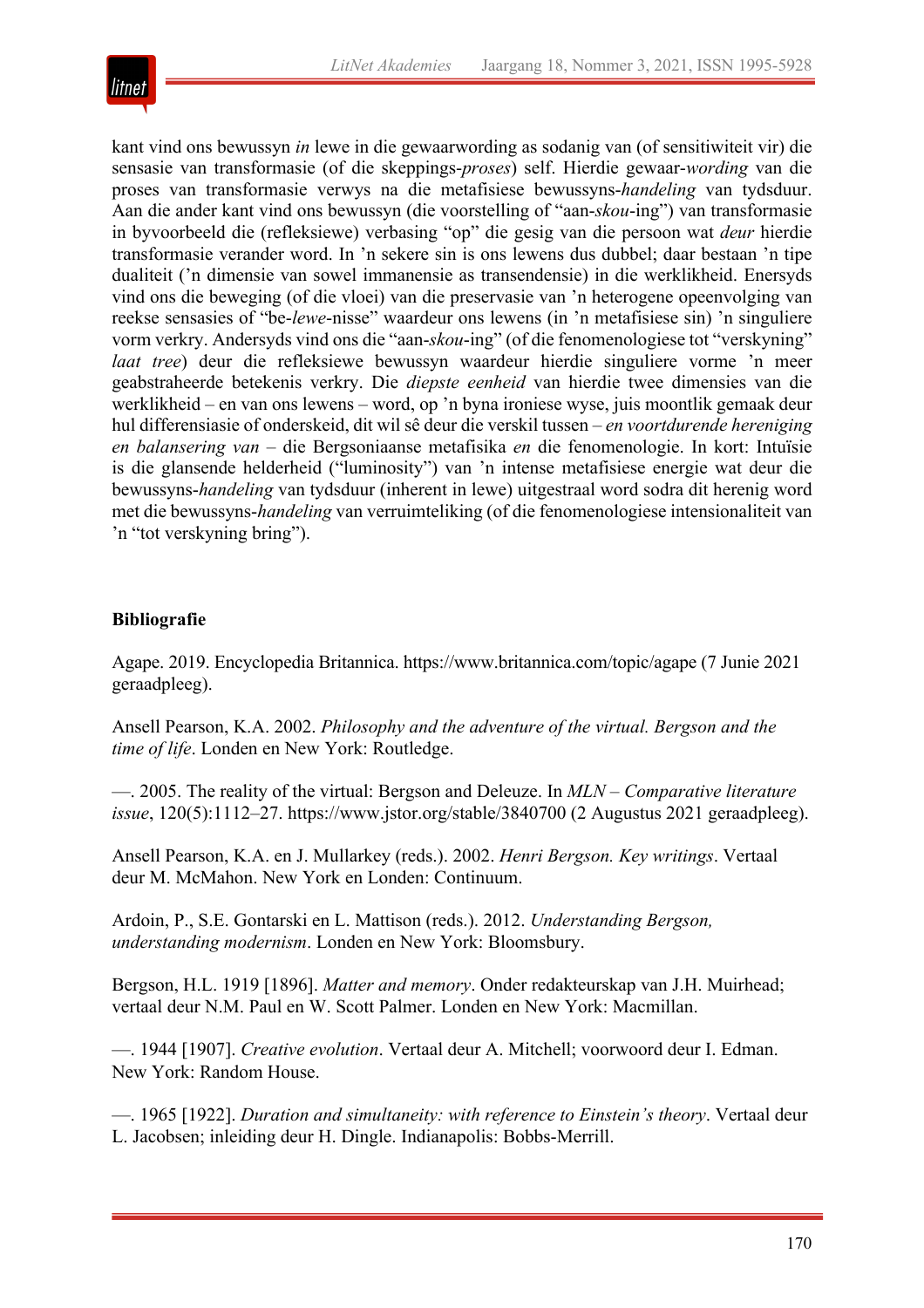

kant vind ons bewussyn *in* lewe in die gewaarwording as sodanig van (of sensitiwiteit vir) die sensasie van transformasie (of die skeppings-*proses*) self. Hierdie gewaar-*wording* van die proses van transformasie verwys na die metafisiese bewussyns-*handeling* van tydsduur. Aan die ander kant vind ons bewussyn (die voorstelling of "aan-*skou*-ing") van transformasie in byvoorbeeld die (refleksiewe) verbasing "op" die gesig van die persoon wat *deur* hierdie transformasie verander word. In 'n sekere sin is ons lewens dus dubbel; daar bestaan 'n tipe dualiteit ('n dimensie van sowel immanensie as transendensie) in die werklikheid. Enersyds vind ons die beweging (of die vloei) van die preservasie van 'n heterogene opeenvolging van reekse sensasies of "be-*lewe*-nisse" waardeur ons lewens (in 'n metafisiese sin) 'n singuliere vorm verkry. Andersyds vind ons die "aan-*skou*-ing" (of die fenomenologiese tot "verskyning" *laat tree*) deur die refleksiewe bewussyn waardeur hierdie singuliere vorme 'n meer geabstraheerde betekenis verkry. Die *diepste eenheid* van hierdie twee dimensies van die werklikheid – en van ons lewens – word, op 'n byna ironiese wyse, juis moontlik gemaak deur hul differensiasie of onderskeid, dit wil sê deur die verskil tussen – *en voortdurende hereniging en balansering van* – die Bergsoniaanse metafisika *en* die fenomenologie. In kort: Intuïsie is die glansende helderheid ("luminosity") van 'n intense metafisiese energie wat deur die bewussyns-*handeling* van tydsduur (inherent in lewe) uitgestraal word sodra dit herenig word met die bewussyns-*handeling* van verruimteliking (of die fenomenologiese intensionaliteit van 'n "tot verskyning bring").

### **Bibliografie**

Agape. 2019. Encyclopedia Britannica. https://www.britannica.com/topic/agape (7 Junie 2021 geraadpleeg).

Ansell Pearson, K.A. 2002. *Philosophy and the adventure of the virtual. Bergson and the time of life*. Londen en New York: Routledge.

—. 2005. The reality of the virtual: Bergson and Deleuze. In *MLN – Comparative literature issue*, 120(5):1112–27. https://www.jstor.org/stable/3840700 (2 Augustus 2021 geraadpleeg).

Ansell Pearson, K.A. en J. Mullarkey (reds.). 2002. *Henri Bergson. Key writings*. Vertaal deur M. McMahon. New York en Londen: Continuum.

Ardoin, P., S.E. Gontarski en L. Mattison (reds.). 2012. *Understanding Bergson, understanding modernism*. Londen en New York: Bloomsbury.

Bergson, H.L. 1919 [1896]. *Matter and memory*. Onder redakteurskap van J.H. Muirhead; vertaal deur N.M. Paul en W. Scott Palmer. Londen en New York: Macmillan.

—. 1944 [1907]. *Creative evolution*. Vertaal deur A. Mitchell; voorwoord deur I. Edman. New York: Random House.

—. 1965 [1922]. *Duration and simultaneity: with reference to Einstein's theory*. Vertaal deur L. Jacobsen; inleiding deur H. Dingle. Indianapolis: Bobbs-Merrill.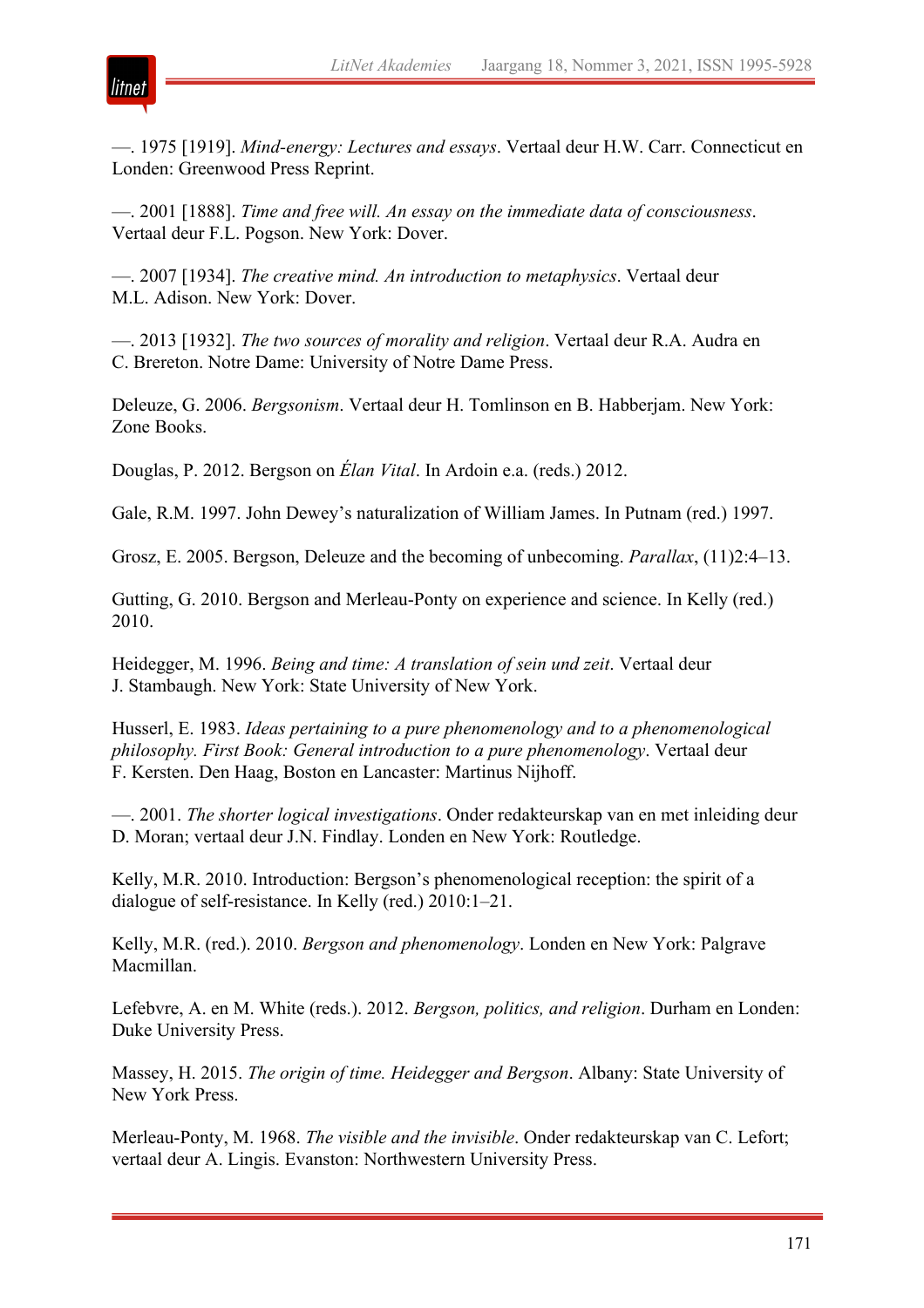

—. 1975 [1919]. *Mind-energy: Lectures and essays*. Vertaal deur H.W. Carr. Connecticut en Londen: Greenwood Press Reprint.

—. 2001 [1888]. *Time and free will. An essay on the immediate data of consciousness*. Vertaal deur F.L. Pogson. New York: Dover.

—. 2007 [1934]. *The creative mind. An introduction to metaphysics*. Vertaal deur M.L. Adison. New York: Dover.

—. 2013 [1932]. *The two sources of morality and religion*. Vertaal deur R.A. Audra en C. Brereton. Notre Dame: University of Notre Dame Press.

Deleuze, G. 2006. *Bergsonism*. Vertaal deur H. Tomlinson en B. Habberjam. New York: Zone Books.

Douglas, P. 2012. Bergson on *Élan Vital*. In Ardoin e.a. (reds.) 2012.

Gale, R.M. 1997. John Dewey's naturalization of William James. In Putnam (red.) 1997.

Grosz, E. 2005. Bergson, Deleuze and the becoming of unbecoming. *Parallax*, (11)2:4–13.

Gutting, G. 2010. Bergson and Merleau-Ponty on experience and science. In Kelly (red.) 2010.

Heidegger, M. 1996. *Being and time: A translation of sein und zeit*. Vertaal deur J. Stambaugh. New York: State University of New York.

Husserl, E. 1983. *Ideas pertaining to a pure phenomenology and to a phenomenological philosophy. First Book: General introduction to a pure phenomenology*. Vertaal deur F. Kersten. Den Haag, Boston en Lancaster: Martinus Nijhoff.

—. 2001. *The shorter logical investigations*. Onder redakteurskap van en met inleiding deur D. Moran; vertaal deur J.N. Findlay. Londen en New York: Routledge.

Kelly, M.R. 2010. Introduction: Bergson's phenomenological reception: the spirit of a dialogue of self-resistance. In Kelly (red.) 2010:1–21.

Kelly, M.R. (red.). 2010. *Bergson and phenomenology*. Londen en New York: Palgrave Macmillan.

Lefebvre, A. en M. White (reds.). 2012. *Bergson, politics, and religion*. Durham en Londen: Duke University Press.

Massey, H. 2015. *The origin of time. Heidegger and Bergson*. Albany: State University of New York Press.

Merleau-Ponty, M. 1968. *The visible and the invisible*. Onder redakteurskap van C. Lefort; vertaal deur A. Lingis. Evanston: Northwestern University Press.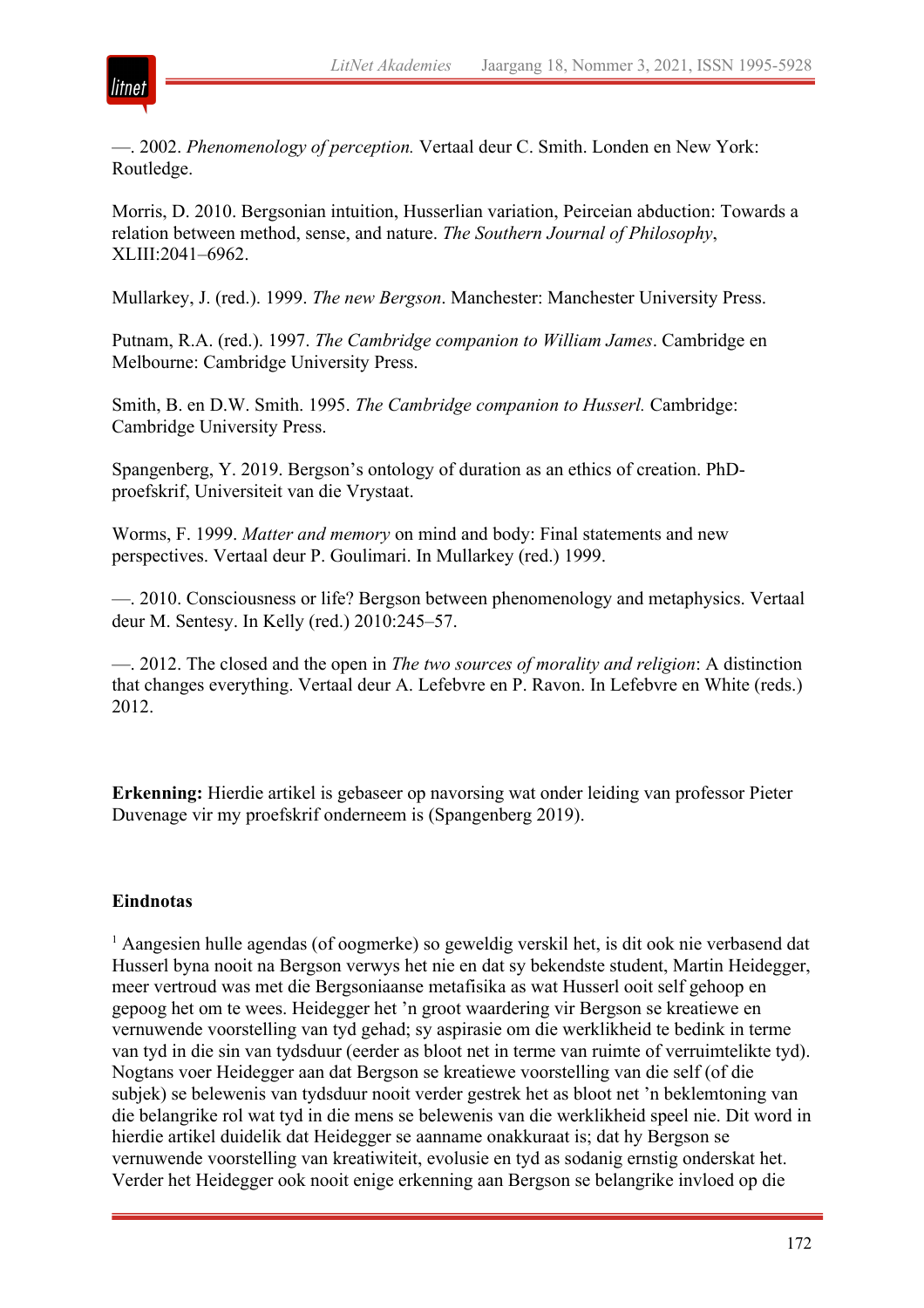

—. 2002. *Phenomenology of perception.* Vertaal deur C. Smith. Londen en New York: Routledge.

Morris, D. 2010. Bergsonian intuition, Husserlian variation, Peirceian abduction: Towards a relation between method, sense, and nature. *The Southern Journal of Philosophy*, XLIII:2041–6962.

Mullarkey, J. (red.). 1999. *The new Bergson*. Manchester: Manchester University Press.

Putnam, R.A. (red.). 1997. *The Cambridge companion to William James*. Cambridge en Melbourne: Cambridge University Press.

Smith, B. en D.W. Smith. 1995. *The Cambridge companion to Husserl.* Cambridge: Cambridge University Press.

Spangenberg, Y. 2019. Bergson's ontology of duration as an ethics of creation. PhDproefskrif, Universiteit van die Vrystaat.

Worms, F. 1999. *Matter and memory* on mind and body: Final statements and new perspectives. Vertaal deur P. Goulimari. In Mullarkey (red.) 1999.

—. 2010. Consciousness or life? Bergson between phenomenology and metaphysics. Vertaal deur M. Sentesy. In Kelly (red.) 2010:245–57.

—. 2012. The closed and the open in *The two sources of morality and religion*: A distinction that changes everything. Vertaal deur A. Lefebvre en P. Ravon. In Lefebvre en White (reds.) 2012.

**Erkenning:** Hierdie artikel is gebaseer op navorsing wat onder leiding van professor Pieter Duvenage vir my proefskrif onderneem is (Spangenberg 2019).

#### **Eindnotas**

<sup>1</sup> Aangesien hulle agendas (of oogmerke) so geweldig verskil het, is dit ook nie verbasend dat Husserl byna nooit na Bergson verwys het nie en dat sy bekendste student, Martin Heidegger, meer vertroud was met die Bergsoniaanse metafisika as wat Husserl ooit self gehoop en gepoog het om te wees. Heidegger het 'n groot waardering vir Bergson se kreatiewe en vernuwende voorstelling van tyd gehad; sy aspirasie om die werklikheid te bedink in terme van tyd in die sin van tydsduur (eerder as bloot net in terme van ruimte of verruimtelikte tyd). Nogtans voer Heidegger aan dat Bergson se kreatiewe voorstelling van die self (of die subjek) se belewenis van tydsduur nooit verder gestrek het as bloot net 'n beklemtoning van die belangrike rol wat tyd in die mens se belewenis van die werklikheid speel nie. Dit word in hierdie artikel duidelik dat Heidegger se aanname onakkuraat is; dat hy Bergson se vernuwende voorstelling van kreatiwiteit, evolusie en tyd as sodanig ernstig onderskat het. Verder het Heidegger ook nooit enige erkenning aan Bergson se belangrike invloed op die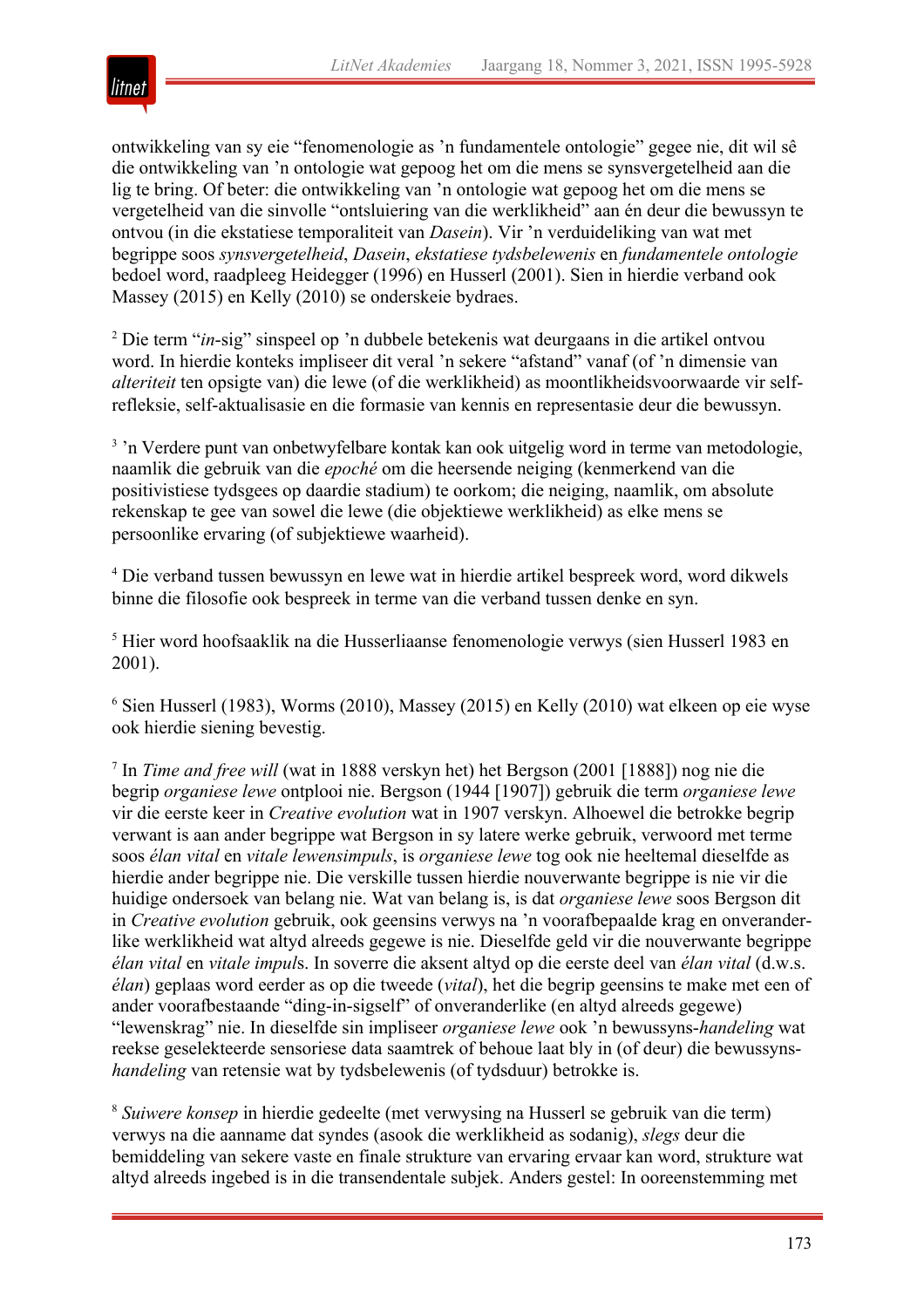

ontwikkeling van sy eie "fenomenologie as 'n fundamentele ontologie" gegee nie, dit wil sê die ontwikkeling van 'n ontologie wat gepoog het om die mens se synsvergetelheid aan die lig te bring. Of beter: die ontwikkeling van 'n ontologie wat gepoog het om die mens se vergetelheid van die sinvolle "ontsluiering van die werklikheid" aan én deur die bewussyn te ontvou (in die ekstatiese temporaliteit van *Dasein*). Vir 'n verduideliking van wat met begrippe soos *synsvergetelheid*, *Dasein*, *ekstatiese tydsbelewenis* en *fundamentele ontologie* bedoel word, raadpleeg Heidegger (1996) en Husserl (2001). Sien in hierdie verband ook Massey (2015) en Kelly (2010) se onderskeie bydraes.

<sup>2</sup> Die term "*in*-sig" sinspeel op 'n dubbele betekenis wat deurgaans in die artikel ontvou word. In hierdie konteks impliseer dit veral 'n sekere "afstand" vanaf (of 'n dimensie van *alteriteit* ten opsigte van) die lewe (of die werklikheid) as moontlikheidsvoorwaarde vir selfrefleksie, self-aktualisasie en die formasie van kennis en representasie deur die bewussyn.

<sup>3</sup>'n Verdere punt van onbetwyfelbare kontak kan ook uitgelig word in terme van metodologie, naamlik die gebruik van die *epoché* om die heersende neiging (kenmerkend van die positivistiese tydsgees op daardie stadium) te oorkom; die neiging, naamlik, om absolute rekenskap te gee van sowel die lewe (die objektiewe werklikheid) as elke mens se persoonlike ervaring (of subjektiewe waarheid).

<sup>4</sup> Die verband tussen bewussyn en lewe wat in hierdie artikel bespreek word, word dikwels binne die filosofie ook bespreek in terme van die verband tussen denke en syn.

<sup>5</sup> Hier word hoofsaaklik na die Husserliaanse fenomenologie verwys (sien Husserl 1983 en 2001).

 $6$  Sien Husserl (1983), Worms (2010), Massey (2015) en Kelly (2010) wat elkeen op eie wyse ook hierdie siening bevestig.

<sup>7</sup> In *Time and free will* (wat in 1888 verskyn het) het Bergson (2001 [1888]) nog nie die begrip *organiese lewe* ontplooi nie. Bergson (1944 [1907]) gebruik die term *organiese lewe* vir die eerste keer in *Creative evolution* wat in 1907 verskyn. Alhoewel die betrokke begrip verwant is aan ander begrippe wat Bergson in sy latere werke gebruik, verwoord met terme soos *élan vital* en *vitale lewensimpuls*, is *organiese lewe* tog ook nie heeltemal dieselfde as hierdie ander begrippe nie. Die verskille tussen hierdie nouverwante begrippe is nie vir die huidige ondersoek van belang nie. Wat van belang is, is dat *organiese lewe* soos Bergson dit in *Creative evolution* gebruik, ook geensins verwys na 'n voorafbepaalde krag en onveranderlike werklikheid wat altyd alreeds gegewe is nie. Dieselfde geld vir die nouverwante begrippe *élan vital* en *vitale impul*s. In soverre die aksent altyd op die eerste deel van *élan vital* (d.w.s. *élan*) geplaas word eerder as op die tweede (*vital*), het die begrip geensins te make met een of ander voorafbestaande "ding-in-sigself" of onveranderlike (en altyd alreeds gegewe) "lewenskrag" nie. In dieselfde sin impliseer *organiese lewe* ook 'n bewussyns-*handeling* wat reekse geselekteerde sensoriese data saamtrek of behoue laat bly in (of deur) die bewussyns*handeling* van retensie wat by tydsbelewenis (of tydsduur) betrokke is.

<sup>8</sup> *Suiwere konsep* in hierdie gedeelte (met verwysing na Husserl se gebruik van die term) verwys na die aanname dat syndes (asook die werklikheid as sodanig), *slegs* deur die bemiddeling van sekere vaste en finale strukture van ervaring ervaar kan word, strukture wat altyd alreeds ingebed is in die transendentale subjek. Anders gestel: In ooreenstemming met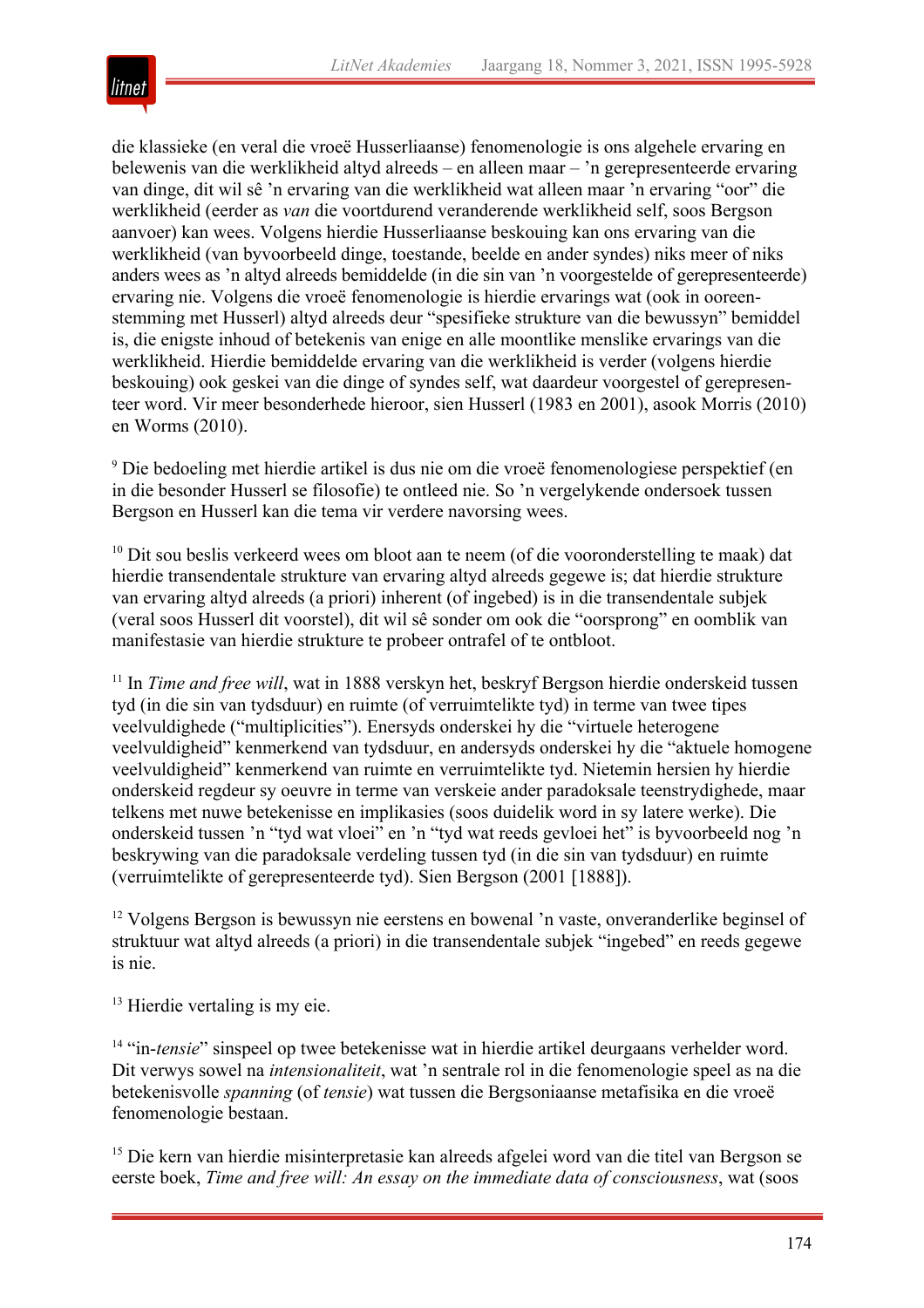

die klassieke (en veral die vroeë Husserliaanse) fenomenologie is ons algehele ervaring en belewenis van die werklikheid altyd alreeds – en alleen maar – 'n gerepresenteerde ervaring van dinge, dit wil sê 'n ervaring van die werklikheid wat alleen maar 'n ervaring "oor" die werklikheid (eerder as *van* die voortdurend veranderende werklikheid self, soos Bergson aanvoer) kan wees. Volgens hierdie Husserliaanse beskouing kan ons ervaring van die werklikheid (van byvoorbeeld dinge, toestande, beelde en ander syndes) niks meer of niks anders wees as 'n altyd alreeds bemiddelde (in die sin van 'n voorgestelde of gerepresenteerde) ervaring nie. Volgens die vroeë fenomenologie is hierdie ervarings wat (ook in ooreenstemming met Husserl) altyd alreeds deur "spesifieke strukture van die bewussyn" bemiddel is, die enigste inhoud of betekenis van enige en alle moontlike menslike ervarings van die werklikheid. Hierdie bemiddelde ervaring van die werklikheid is verder (volgens hierdie beskouing) ook geskei van die dinge of syndes self, wat daardeur voorgestel of gerepresenteer word. Vir meer besonderhede hieroor, sien Husserl (1983 en 2001), asook Morris (2010) en Worms (2010).

<sup>9</sup> Die bedoeling met hierdie artikel is dus nie om die vroeë fenomenologiese perspektief (en in die besonder Husserl se filosofie) te ontleed nie. So 'n vergelykende ondersoek tussen Bergson en Husserl kan die tema vir verdere navorsing wees.

 $10$  Dit sou beslis verkeerd wees om bloot aan te neem (of die vooronderstelling te maak) dat hierdie transendentale strukture van ervaring altyd alreeds gegewe is; dat hierdie strukture van ervaring altyd alreeds (a priori) inherent (of ingebed) is in die transendentale subjek (veral soos Husserl dit voorstel), dit wil sê sonder om ook die "oorsprong" en oomblik van manifestasie van hierdie strukture te probeer ontrafel of te ontbloot.

<sup>11</sup> In *Time and free will*, wat in 1888 verskyn het, beskryf Bergson hierdie onderskeid tussen tyd (in die sin van tydsduur) en ruimte (of verruimtelikte tyd) in terme van twee tipes veelvuldighede ("multiplicities"). Enersyds onderskei hy die "virtuele heterogene veelvuldigheid" kenmerkend van tydsduur, en andersyds onderskei hy die "aktuele homogene veelvuldigheid" kenmerkend van ruimte en verruimtelikte tyd. Nietemin hersien hy hierdie onderskeid regdeur sy oeuvre in terme van verskeie ander paradoksale teenstrydighede, maar telkens met nuwe betekenisse en implikasies (soos duidelik word in sy latere werke). Die onderskeid tussen 'n "tyd wat vloei" en 'n "tyd wat reeds gevloei het" is byvoorbeeld nog 'n beskrywing van die paradoksale verdeling tussen tyd (in die sin van tydsduur) en ruimte (verruimtelikte of gerepresenteerde tyd). Sien Bergson (2001 [1888]).

<sup>12</sup> Volgens Bergson is bewussyn nie eerstens en bowenal 'n vaste, onveranderlike beginsel of struktuur wat altyd alreeds (a priori) in die transendentale subjek "ingebed" en reeds gegewe is nie.

<sup>13</sup> Hierdie vertaling is my eie.

<sup>14</sup> "in-*tensie*" sinspeel op twee betekenisse wat in hierdie artikel deurgaans verhelder word. Dit verwys sowel na *intensionaliteit*, wat 'n sentrale rol in die fenomenologie speel as na die betekenisvolle *spanning* (of *tensie*) wat tussen die Bergsoniaanse metafisika en die vroeë fenomenologie bestaan.

<sup>15</sup> Die kern van hierdie misinterpretasie kan alreeds afgelei word van die titel van Bergson se eerste boek, *Time and free will: An essay on the immediate data of consciousness*, wat (soos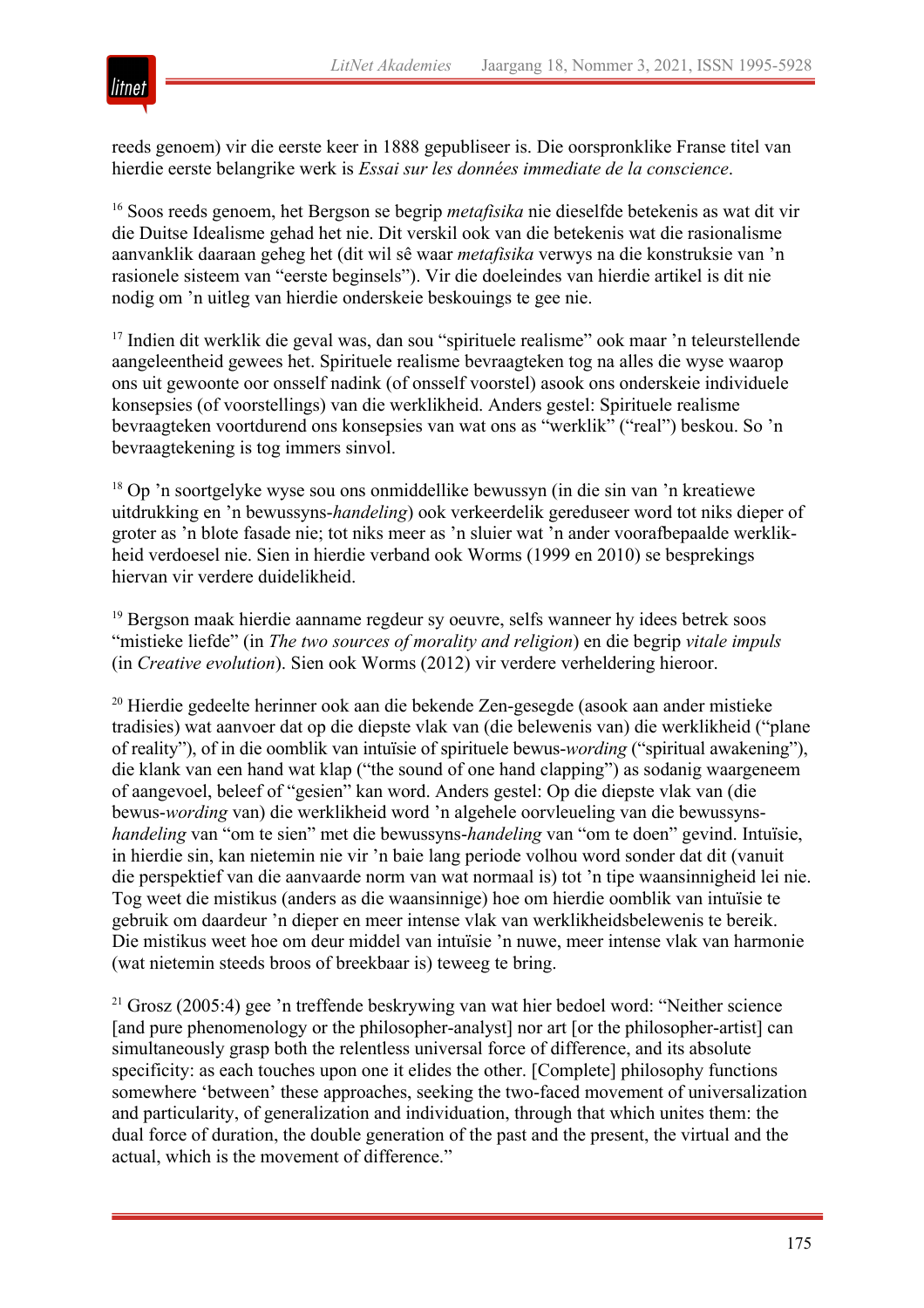

reeds genoem) vir die eerste keer in 1888 gepubliseer is. Die oorspronklike Franse titel van hierdie eerste belangrike werk is *Essai sur les données immediate de la conscience*.

<sup>16</sup> Soos reeds genoem, het Bergson se begrip *metafisika* nie dieselfde betekenis as wat dit vir die Duitse Idealisme gehad het nie. Dit verskil ook van die betekenis wat die rasionalisme aanvanklik daaraan geheg het (dit wil sê waar *metafisika* verwys na die konstruksie van 'n rasionele sisteem van "eerste beginsels"). Vir die doeleindes van hierdie artikel is dit nie nodig om 'n uitleg van hierdie onderskeie beskouings te gee nie.

<sup>17</sup> Indien dit werklik die geval was, dan sou "spirituele realisme" ook maar 'n teleurstellende aangeleentheid gewees het. Spirituele realisme bevraagteken tog na alles die wyse waarop ons uit gewoonte oor onsself nadink (of onsself voorstel) asook ons onderskeie individuele konsepsies (of voorstellings) van die werklikheid. Anders gestel: Spirituele realisme bevraagteken voortdurend ons konsepsies van wat ons as "werklik" ("real") beskou. So 'n bevraagtekening is tog immers sinvol.

<sup>18</sup> Op 'n soortgelyke wyse sou ons onmiddellike bewussyn (in die sin van 'n kreatiewe uitdrukking en 'n bewussyns-*handeling*) ook verkeerdelik gereduseer word tot niks dieper of groter as 'n blote fasade nie; tot niks meer as 'n sluier wat 'n ander voorafbepaalde werklikheid verdoesel nie. Sien in hierdie verband ook Worms (1999 en 2010) se besprekings hiervan vir verdere duidelikheid.

<sup>19</sup> Bergson maak hierdie aanname regdeur sy oeuvre, selfs wanneer hy idees betrek soos "mistieke liefde" (in *The two sources of morality and religion*) en die begrip *vitale impuls* (in *Creative evolution*). Sien ook Worms (2012) vir verdere verheldering hieroor.

<sup>20</sup> Hierdie gedeelte herinner ook aan die bekende Zen-gesegde (asook aan ander mistieke tradisies) wat aanvoer dat op die diepste vlak van (die belewenis van) die werklikheid ("plane of reality"), of in die oomblik van intuïsie of spirituele bewus-*wording* ("spiritual awakening"), die klank van een hand wat klap ("the sound of one hand clapping") as sodanig waargeneem of aangevoel, beleef of "gesien" kan word. Anders gestel: Op die diepste vlak van (die bewus-*wording* van) die werklikheid word 'n algehele oorvleueling van die bewussyns*handeling* van "om te sien" met die bewussyns-*handeling* van "om te doen" gevind. Intuïsie, in hierdie sin, kan nietemin nie vir 'n baie lang periode volhou word sonder dat dit (vanuit die perspektief van die aanvaarde norm van wat normaal is) tot 'n tipe waansinnigheid lei nie. Tog weet die mistikus (anders as die waansinnige) hoe om hierdie oomblik van intuïsie te gebruik om daardeur 'n dieper en meer intense vlak van werklikheidsbelewenis te bereik. Die mistikus weet hoe om deur middel van intuïsie 'n nuwe, meer intense vlak van harmonie (wat nietemin steeds broos of breekbaar is) teweeg te bring.

 $21$  Grosz (2005:4) gee 'n treffende beskrywing van wat hier bedoel word: "Neither science [and pure phenomenology or the philosopher-analyst] nor art [or the philosopher-artist] can simultaneously grasp both the relentless universal force of difference, and its absolute specificity: as each touches upon one it elides the other. [Complete] philosophy functions somewhere 'between' these approaches, seeking the two-faced movement of universalization and particularity, of generalization and individuation, through that which unites them: the dual force of duration, the double generation of the past and the present, the virtual and the actual, which is the movement of difference."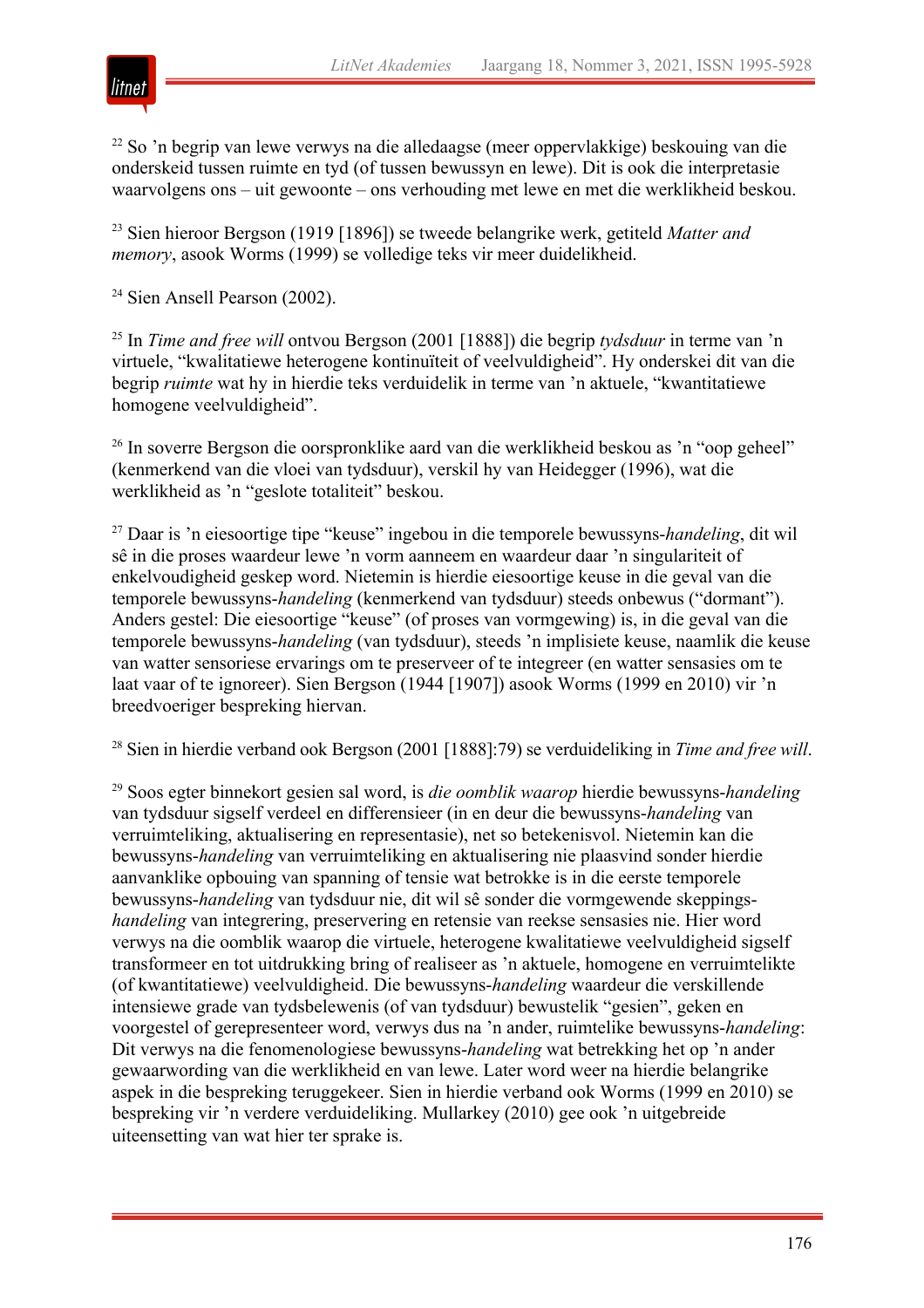

<sup>22</sup> So 'n begrip van lewe verwys na die alledaagse (meer oppervlakkige) beskouing van die onderskeid tussen ruimte en tyd (of tussen bewussyn en lewe). Dit is ook die interpretasie waarvolgens ons – uit gewoonte – ons verhouding met lewe en met die werklikheid beskou.

<sup>23</sup> Sien hieroor Bergson (1919 [1896]) se tweede belangrike werk, getiteld *Matter and memory*, asook Worms (1999) se volledige teks vir meer duidelikheid.

<sup>24</sup> Sien Ansell Pearson (2002).

<sup>25</sup> In *Time and free will* ontvou Bergson (2001 [1888]) die begrip *tydsduur* in terme van 'n virtuele, "kwalitatiewe heterogene kontinuïteit of veelvuldigheid". Hy onderskei dit van die begrip *ruimte* wat hy in hierdie teks verduidelik in terme van 'n aktuele, "kwantitatiewe homogene veelvuldigheid".

<sup>26</sup> In soverre Bergson die oorspronklike aard van die werklikheid beskou as 'n "oop geheel" (kenmerkend van die vloei van tydsduur), verskil hy van Heidegger (1996), wat die werklikheid as 'n "geslote totaliteit" beskou.

<sup>27</sup> Daar is 'n eiesoortige tipe "keuse" ingebou in die temporele bewussyns-*handeling*, dit wil sê in die proses waardeur lewe 'n vorm aanneem en waardeur daar 'n singulariteit of enkelvoudigheid geskep word. Nietemin is hierdie eiesoortige keuse in die geval van die temporele bewussyns-*handeling* (kenmerkend van tydsduur) steeds onbewus ("dormant"). Anders gestel: Die eiesoortige "keuse" (of proses van vormgewing) is, in die geval van die temporele bewussyns-*handeling* (van tydsduur), steeds 'n implisiete keuse, naamlik die keuse van watter sensoriese ervarings om te preserveer of te integreer (en watter sensasies om te laat vaar of te ignoreer). Sien Bergson (1944 [1907]) asook Worms (1999 en 2010) vir 'n breedvoeriger bespreking hiervan.

<sup>28</sup> Sien in hierdie verband ook Bergson (2001 [1888]:79) se verduideliking in *Time and free will*.

<sup>29</sup> Soos egter binnekort gesien sal word, is *die oomblik waarop* hierdie bewussyns-*handeling* van tydsduur sigself verdeel en differensieer (in en deur die bewussyns-*handeling* van verruimteliking, aktualisering en representasie), net so betekenisvol. Nietemin kan die bewussyns-*handeling* van verruimteliking en aktualisering nie plaasvind sonder hierdie aanvanklike opbouing van spanning of tensie wat betrokke is in die eerste temporele bewussyns-*handeling* van tydsduur nie, dit wil sê sonder die vormgewende skeppings*handeling* van integrering, preservering en retensie van reekse sensasies nie. Hier word verwys na die oomblik waarop die virtuele, heterogene kwalitatiewe veelvuldigheid sigself transformeer en tot uitdrukking bring of realiseer as 'n aktuele, homogene en verruimtelikte (of kwantitatiewe) veelvuldigheid. Die bewussyns-*handeling* waardeur die verskillende intensiewe grade van tydsbelewenis (of van tydsduur) bewustelik "gesien", geken en voorgestel of gerepresenteer word, verwys dus na 'n ander, ruimtelike bewussyns-*handeling*: Dit verwys na die fenomenologiese bewussyns-*handeling* wat betrekking het op 'n ander gewaarwording van die werklikheid en van lewe. Later word weer na hierdie belangrike aspek in die bespreking teruggekeer. Sien in hierdie verband ook Worms (1999 en 2010) se bespreking vir 'n verdere verduideliking. Mullarkey (2010) gee ook 'n uitgebreide uiteensetting van wat hier ter sprake is.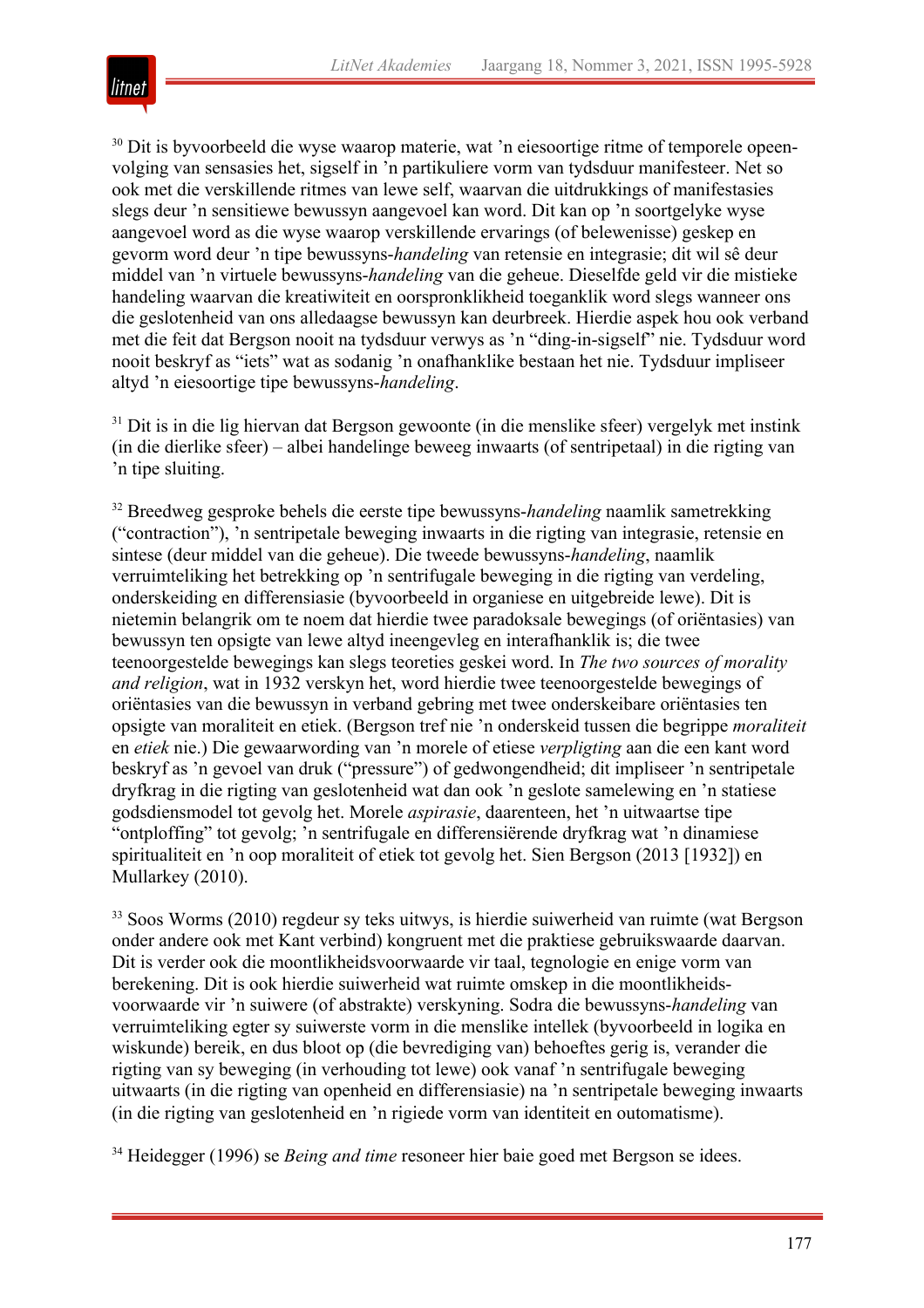

<sup>30</sup> Dit is byvoorbeeld die wyse waarop materie, wat 'n eiesoortige ritme of temporele opeenvolging van sensasies het, sigself in 'n partikuliere vorm van tydsduur manifesteer. Net so ook met die verskillende ritmes van lewe self, waarvan die uitdrukkings of manifestasies slegs deur 'n sensitiewe bewussyn aangevoel kan word. Dit kan op 'n soortgelyke wyse aangevoel word as die wyse waarop verskillende ervarings (of belewenisse) geskep en gevorm word deur 'n tipe bewussyns-*handeling* van retensie en integrasie; dit wil sê deur middel van 'n virtuele bewussyns-*handeling* van die geheue. Dieselfde geld vir die mistieke handeling waarvan die kreatiwiteit en oorspronklikheid toeganklik word slegs wanneer ons die geslotenheid van ons alledaagse bewussyn kan deurbreek. Hierdie aspek hou ook verband met die feit dat Bergson nooit na tydsduur verwys as 'n "ding-in-sigself" nie. Tydsduur word nooit beskryf as "iets" wat as sodanig 'n onafhanklike bestaan het nie. Tydsduur impliseer altyd 'n eiesoortige tipe bewussyns-*handeling*.

<sup>31</sup> Dit is in die lig hiervan dat Bergson gewoonte (in die menslike sfeer) vergelyk met instink (in die dierlike sfeer) – albei handelinge beweeg inwaarts (of sentripetaal) in die rigting van 'n tipe sluiting.

<sup>32</sup> Breedweg gesproke behels die eerste tipe bewussyns-*handeling* naamlik sametrekking ("contraction"), 'n sentripetale beweging inwaarts in die rigting van integrasie, retensie en sintese (deur middel van die geheue). Die tweede bewussyns-*handeling*, naamlik verruimteliking het betrekking op 'n sentrifugale beweging in die rigting van verdeling, onderskeiding en differensiasie (byvoorbeeld in organiese en uitgebreide lewe). Dit is nietemin belangrik om te noem dat hierdie twee paradoksale bewegings (of oriëntasies) van bewussyn ten opsigte van lewe altyd ineengevleg en interafhanklik is; die twee teenoorgestelde bewegings kan slegs teoreties geskei word. In *The two sources of morality and religion*, wat in 1932 verskyn het, word hierdie twee teenoorgestelde bewegings of oriëntasies van die bewussyn in verband gebring met twee onderskeibare oriëntasies ten opsigte van moraliteit en etiek. (Bergson tref nie 'n onderskeid tussen die begrippe *moraliteit* en *etiek* nie.) Die gewaarwording van 'n morele of etiese *verpligting* aan die een kant word beskryf as 'n gevoel van druk ("pressure") of gedwongendheid; dit impliseer 'n sentripetale dryfkrag in die rigting van geslotenheid wat dan ook 'n geslote samelewing en 'n statiese godsdiensmodel tot gevolg het. Morele *aspirasie*, daarenteen, het 'n uitwaartse tipe "ontploffing" tot gevolg; 'n sentrifugale en differensiërende dryfkrag wat 'n dinamiese spiritualiteit en 'n oop moraliteit of etiek tot gevolg het. Sien Bergson (2013 [1932]) en Mullarkey (2010).

<sup>33</sup> Soos Worms (2010) regdeur sy teks uitwys, is hierdie suiwerheid van ruimte (wat Bergson onder andere ook met Kant verbind) kongruent met die praktiese gebruikswaarde daarvan. Dit is verder ook die moontlikheidsvoorwaarde vir taal, tegnologie en enige vorm van berekening. Dit is ook hierdie suiwerheid wat ruimte omskep in die moontlikheidsvoorwaarde vir 'n suiwere (of abstrakte) verskyning. Sodra die bewussyns-*handeling* van verruimteliking egter sy suiwerste vorm in die menslike intellek (byvoorbeeld in logika en wiskunde) bereik, en dus bloot op (die bevrediging van) behoeftes gerig is, verander die rigting van sy beweging (in verhouding tot lewe) ook vanaf 'n sentrifugale beweging uitwaarts (in die rigting van openheid en differensiasie) na 'n sentripetale beweging inwaarts (in die rigting van geslotenheid en 'n rigiede vorm van identiteit en outomatisme).

<sup>34</sup> Heidegger (1996) se *Being and time* resoneer hier baie goed met Bergson se idees.